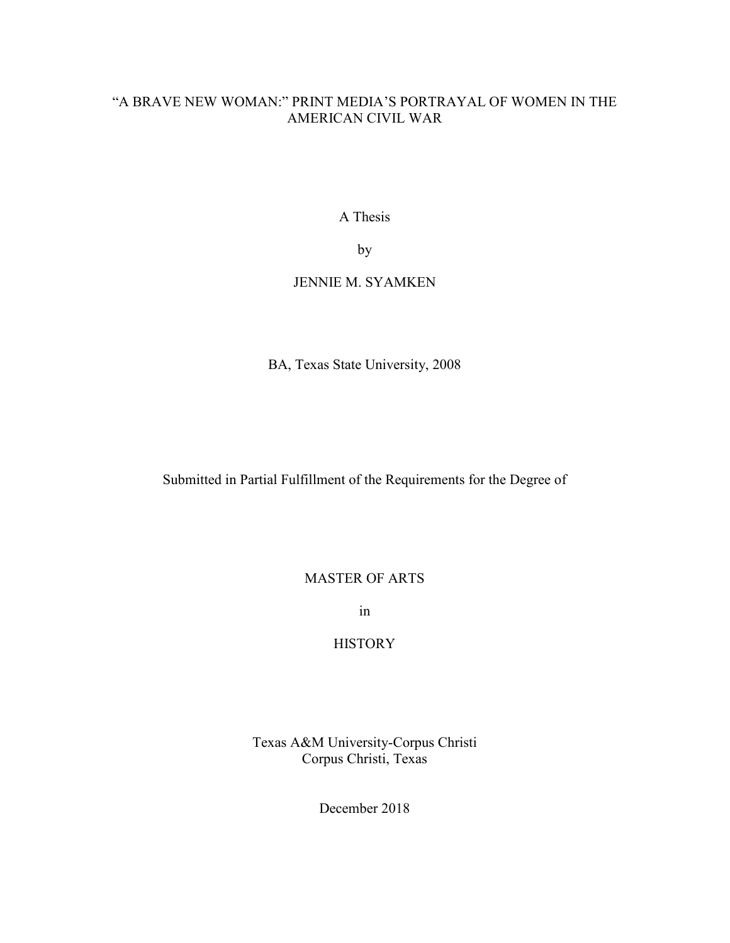# "A BRAVE NEW WOMAN:" PRINT MEDIA'S PORTRAYAL OF WOMEN IN THE AMERICAN CIVIL WAR

A Thesis

by

## JENNIE M. SYAMKEN

BA, Texas State University, 2008

Submitted in Partial Fulfillment of the Requirements for the Degree of

## MASTER OF ARTS

in

# **HISTORY**

Texas A&M University-Corpus Christi Corpus Christi, Texas

December 2018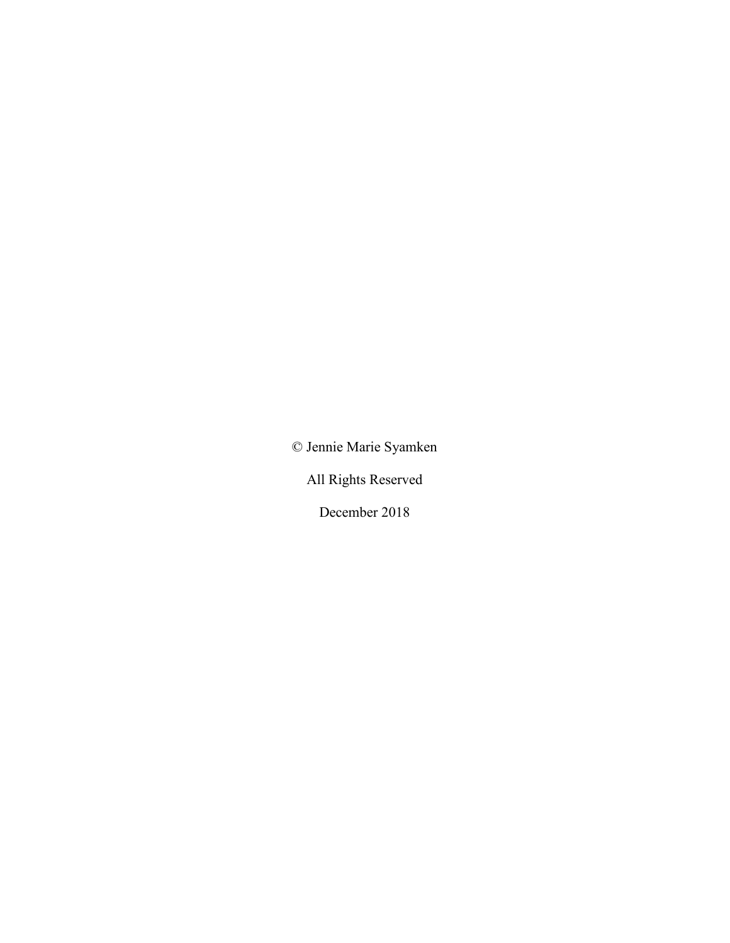© Jennie Marie Syamken

All Rights Reserved

December 2018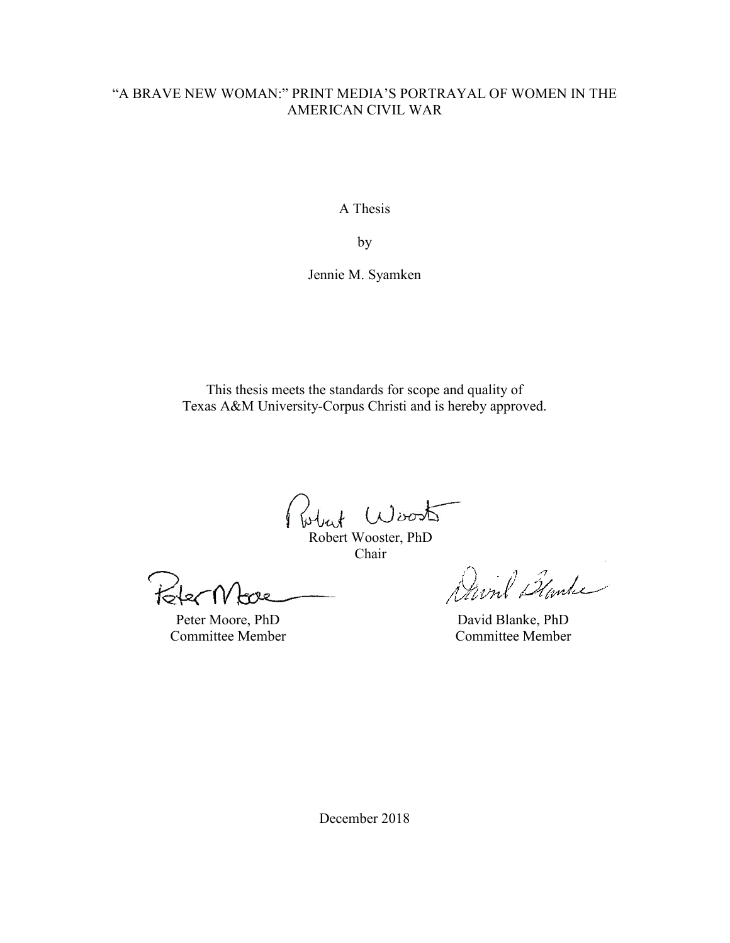# "A BRAVE NEW WOMAN:" PRINT MEDIA'S PORTRAYAL OF WOMEN IN THE AMERICAN CIVIL WAR

A Thesis

by

Jennie M. Syamken

This thesis meets the standards for scope and quality of Texas A&M University-Corpus Christi and is hereby approved.

Robert Wooster, PhD

Chair

lec

Peter Moore, PhD Committee Member

David Blanke

David Blanke, PhD Committee Member

December 2018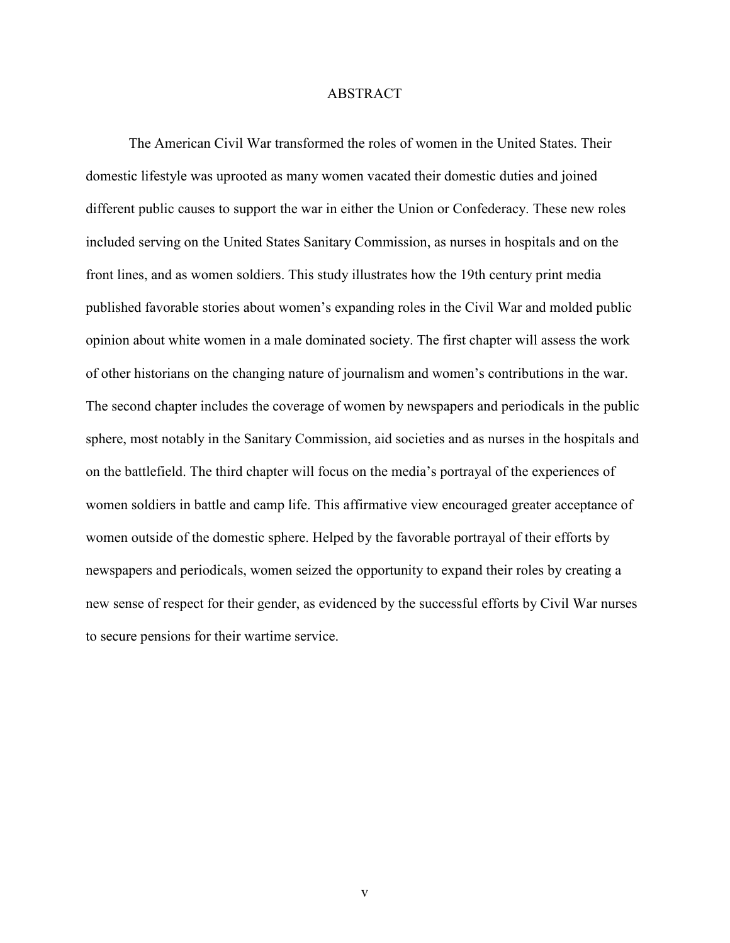## ABSTRACT

The American Civil War transformed the roles of women in the United States. Their domestic lifestyle was uprooted as many women vacated their domestic duties and joined different public causes to support the war in either the Union or Confederacy. These new roles included serving on the United States Sanitary Commission, as nurses in hospitals and on the front lines, and as women soldiers. This study illustrates how the 19th century print media published favorable stories about women's expanding roles in the Civil War and molded public opinion about white women in a male dominated society. The first chapter will assess the work of other historians on the changing nature of journalism and women's contributions in the war. The second chapter includes the coverage of women by newspapers and periodicals in the public sphere, most notably in the Sanitary Commission, aid societies and as nurses in the hospitals and on the battlefield. The third chapter will focus on the media's portrayal of the experiences of women soldiers in battle and camp life. This affirmative view encouraged greater acceptance of women outside of the domestic sphere. Helped by the favorable portrayal of their efforts by newspapers and periodicals, women seized the opportunity to expand their roles by creating a new sense of respect for their gender, as evidenced by the successful efforts by Civil War nurses to secure pensions for their wartime service.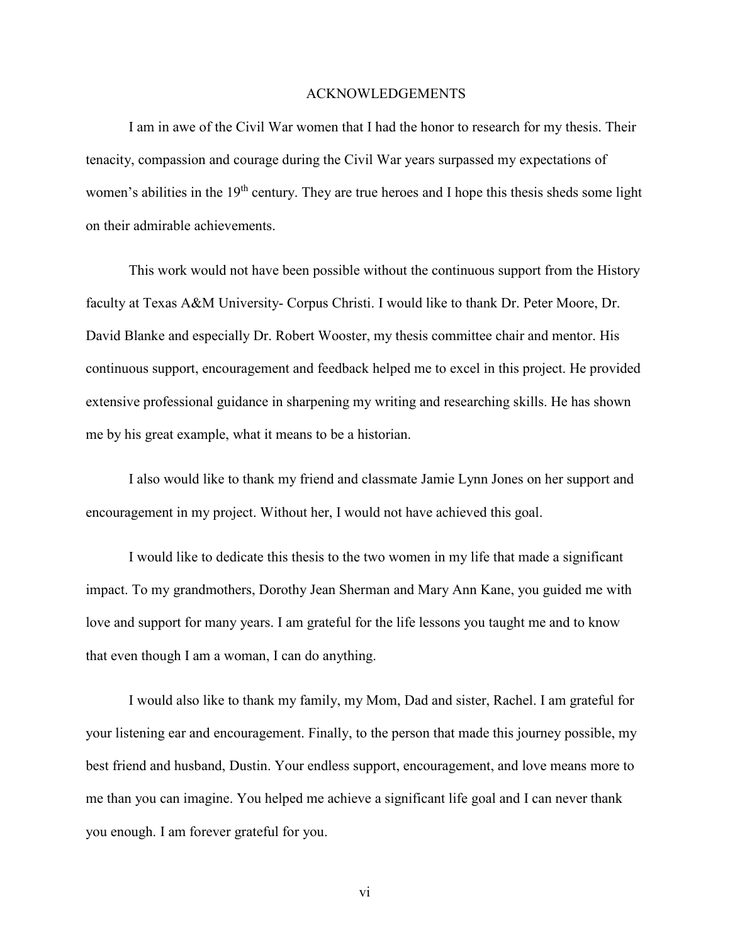### ACKNOWLEDGEMENTS

I am in awe of the Civil War women that I had the honor to research for my thesis. Their tenacity, compassion and courage during the Civil War years surpassed my expectations of women's abilities in the 19<sup>th</sup> century. They are true heroes and I hope this thesis sheds some light on their admirable achievements.

This work would not have been possible without the continuous support from the History faculty at Texas A&M University- Corpus Christi. I would like to thank Dr. Peter Moore, Dr. David Blanke and especially Dr. Robert Wooster, my thesis committee chair and mentor. His continuous support, encouragement and feedback helped me to excel in this project. He provided extensive professional guidance in sharpening my writing and researching skills. He has shown me by his great example, what it means to be a historian.

 I also would like to thank my friend and classmate Jamie Lynn Jones on her support and encouragement in my project. Without her, I would not have achieved this goal.

I would like to dedicate this thesis to the two women in my life that made a significant impact. To my grandmothers, Dorothy Jean Sherman and Mary Ann Kane, you guided me with love and support for many years. I am grateful for the life lessons you taught me and to know that even though I am a woman, I can do anything.

 I would also like to thank my family, my Mom, Dad and sister, Rachel. I am grateful for your listening ear and encouragement. Finally, to the person that made this journey possible, my best friend and husband, Dustin. Your endless support, encouragement, and love means more to me than you can imagine. You helped me achieve a significant life goal and I can never thank you enough. I am forever grateful for you.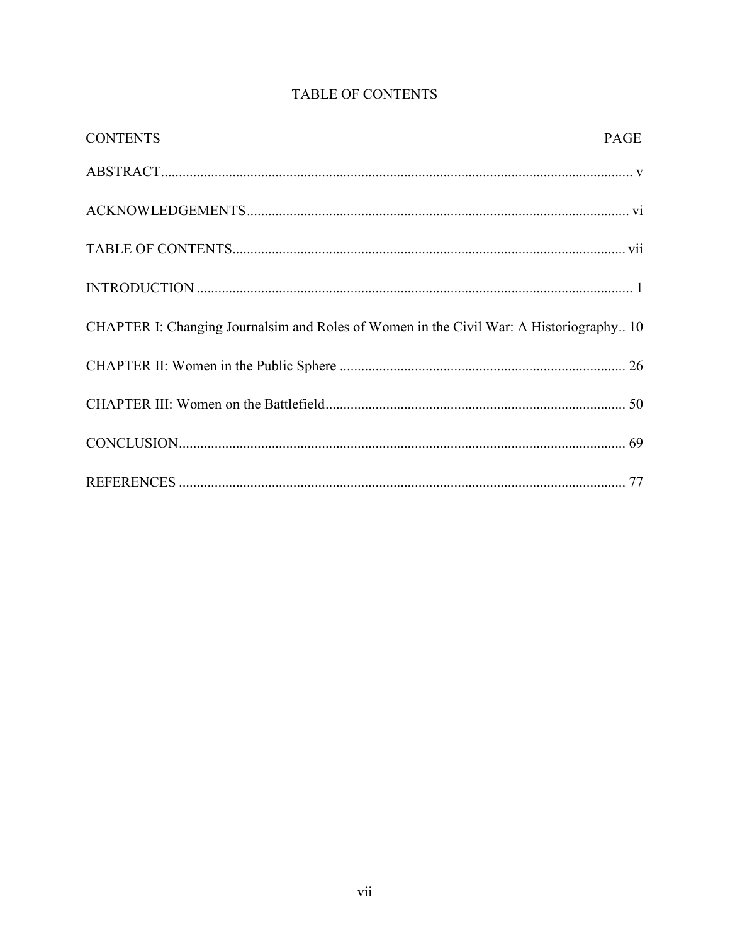| <b>CONTENTS</b>                                                                        | PAGE |
|----------------------------------------------------------------------------------------|------|
|                                                                                        |      |
|                                                                                        |      |
|                                                                                        |      |
|                                                                                        |      |
| CHAPTER I: Changing Journalsim and Roles of Women in the Civil War: A Historiography10 |      |
|                                                                                        |      |
|                                                                                        |      |
|                                                                                        |      |
|                                                                                        |      |

# TABLE OF CONTENTS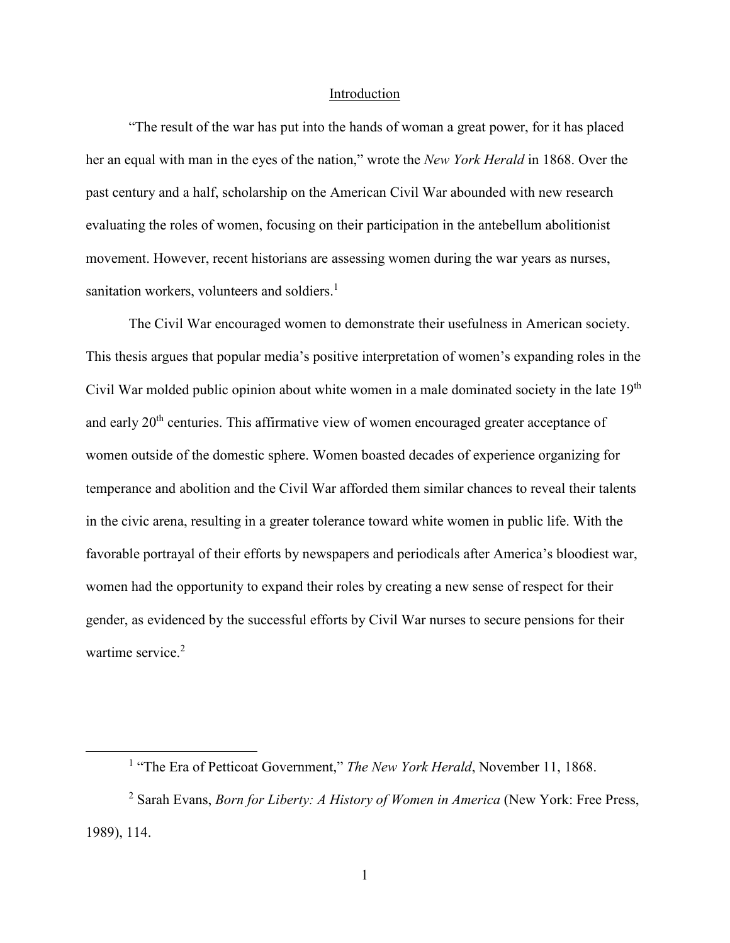#### Introduction

"The result of the war has put into the hands of woman a great power, for it has placed her an equal with man in the eyes of the nation," wrote the *New York Herald* in 1868. Over the past century and a half, scholarship on the American Civil War abounded with new research evaluating the roles of women, focusing on their participation in the antebellum abolitionist movement. However, recent historians are assessing women during the war years as nurses, sanitation workers, volunteers and soldiers.<sup>1</sup>

 The Civil War encouraged women to demonstrate their usefulness in American society. This thesis argues that popular media's positive interpretation of women's expanding roles in the Civil War molded public opinion about white women in a male dominated society in the late  $19<sup>th</sup>$ and early 20<sup>th</sup> centuries. This affirmative view of women encouraged greater acceptance of women outside of the domestic sphere. Women boasted decades of experience organizing for temperance and abolition and the Civil War afforded them similar chances to reveal their talents in the civic arena, resulting in a greater tolerance toward white women in public life. With the favorable portrayal of their efforts by newspapers and periodicals after America's bloodiest war, women had the opportunity to expand their roles by creating a new sense of respect for their gender, as evidenced by the successful efforts by Civil War nurses to secure pensions for their wartime service.<sup>2</sup>

<sup>&</sup>lt;sup>1</sup> "The Era of Petticoat Government," *The New York Herald*, November 11, 1868.

<sup>2</sup> Sarah Evans, *Born for Liberty: A History of Women in America* (New York: Free Press, 1989), 114.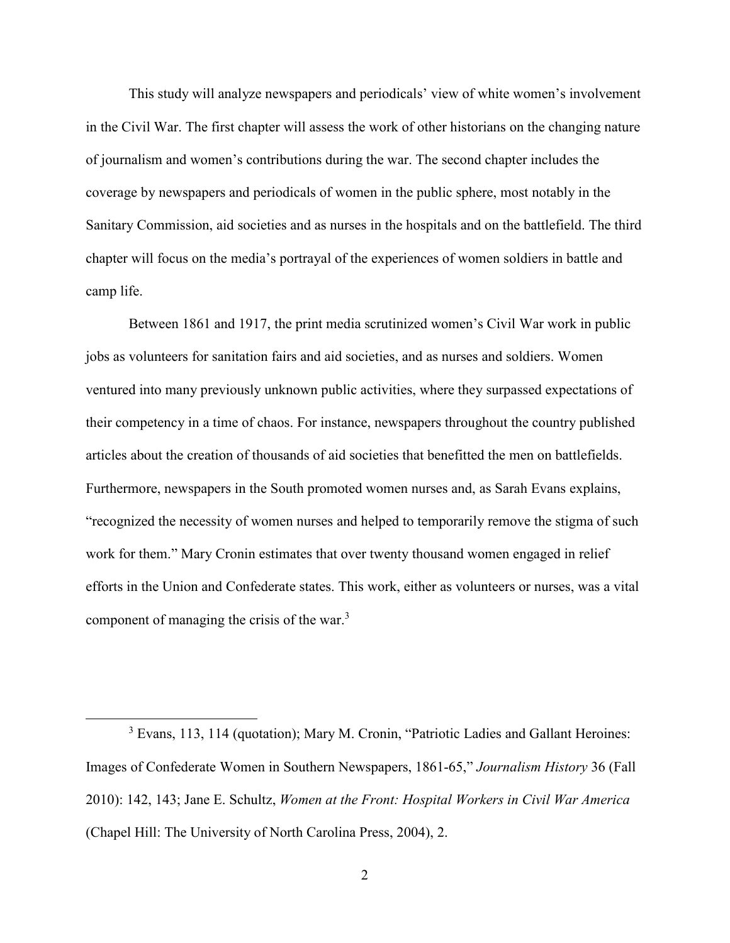This study will analyze newspapers and periodicals' view of white women's involvement in the Civil War. The first chapter will assess the work of other historians on the changing nature of journalism and women's contributions during the war. The second chapter includes the coverage by newspapers and periodicals of women in the public sphere, most notably in the Sanitary Commission, aid societies and as nurses in the hospitals and on the battlefield. The third chapter will focus on the media's portrayal of the experiences of women soldiers in battle and camp life.

Between 1861 and 1917, the print media scrutinized women's Civil War work in public jobs as volunteers for sanitation fairs and aid societies, and as nurses and soldiers. Women ventured into many previously unknown public activities, where they surpassed expectations of their competency in a time of chaos. For instance, newspapers throughout the country published articles about the creation of thousands of aid societies that benefitted the men on battlefields. Furthermore, newspapers in the South promoted women nurses and, as Sarah Evans explains, "recognized the necessity of women nurses and helped to temporarily remove the stigma of such work for them." Mary Cronin estimates that over twenty thousand women engaged in relief efforts in the Union and Confederate states. This work, either as volunteers or nurses, was a vital component of managing the crisis of the war. $3$ 

-

<sup>&</sup>lt;sup>3</sup> Evans, 113, 114 (quotation); Mary M. Cronin, "Patriotic Ladies and Gallant Heroines: Images of Confederate Women in Southern Newspapers, 1861-65," *Journalism History* 36 (Fall 2010): 142, 143; Jane E. Schultz, *Women at the Front: Hospital Workers in Civil War America* (Chapel Hill: The University of North Carolina Press, 2004), 2.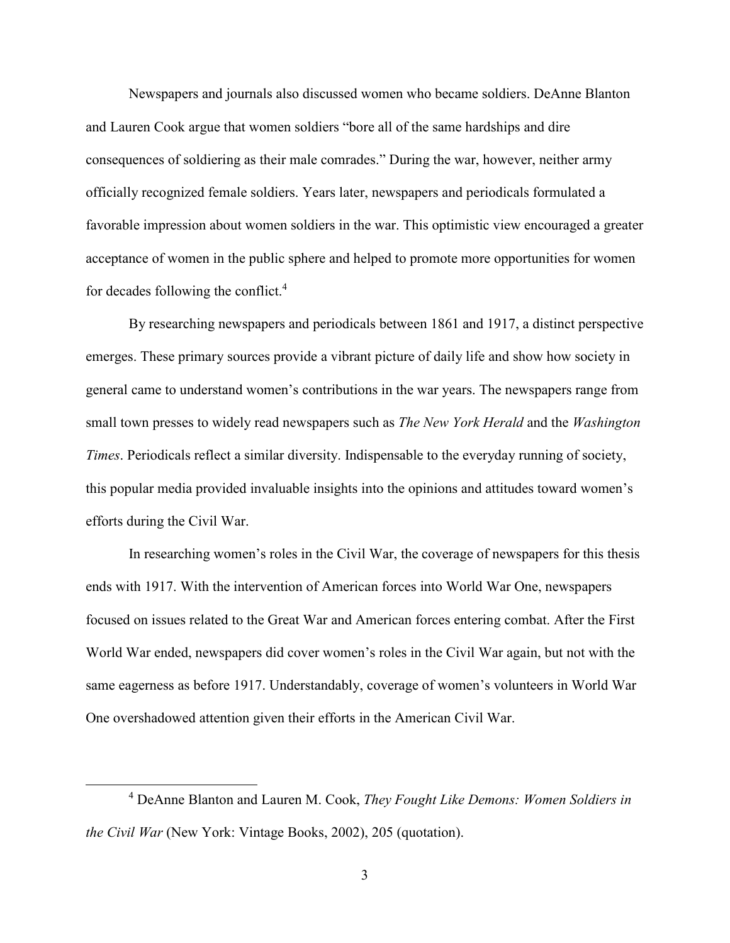Newspapers and journals also discussed women who became soldiers. DeAnne Blanton and Lauren Cook argue that women soldiers "bore all of the same hardships and dire consequences of soldiering as their male comrades." During the war, however, neither army officially recognized female soldiers. Years later, newspapers and periodicals formulated a favorable impression about women soldiers in the war. This optimistic view encouraged a greater acceptance of women in the public sphere and helped to promote more opportunities for women for decades following the conflict.<sup>4</sup>

 By researching newspapers and periodicals between 1861 and 1917, a distinct perspective emerges. These primary sources provide a vibrant picture of daily life and show how society in general came to understand women's contributions in the war years. The newspapers range from small town presses to widely read newspapers such as *The New York Herald* and the *Washington Times*. Periodicals reflect a similar diversity. Indispensable to the everyday running of society, this popular media provided invaluable insights into the opinions and attitudes toward women's efforts during the Civil War.

In researching women's roles in the Civil War, the coverage of newspapers for this thesis ends with 1917. With the intervention of American forces into World War One, newspapers focused on issues related to the Great War and American forces entering combat. After the First World War ended, newspapers did cover women's roles in the Civil War again, but not with the same eagerness as before 1917. Understandably, coverage of women's volunteers in World War One overshadowed attention given their efforts in the American Civil War.

<sup>4</sup> DeAnne Blanton and Lauren M. Cook, *They Fought Like Demons: Women Soldiers in the Civil War* (New York: Vintage Books, 2002), 205 (quotation).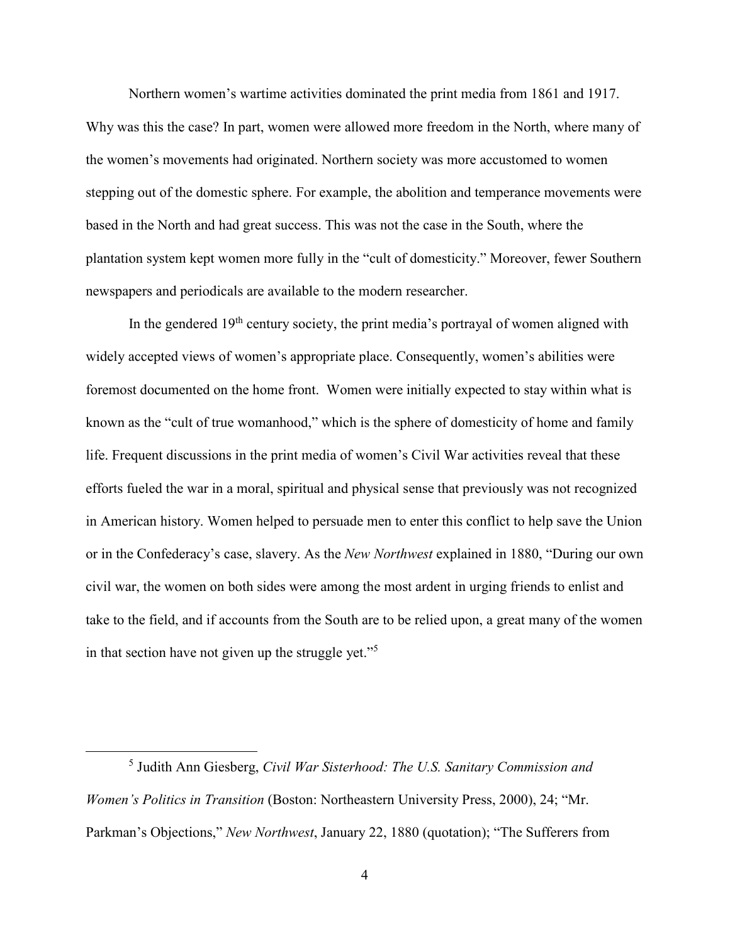Northern women's wartime activities dominated the print media from 1861 and 1917. Why was this the case? In part, women were allowed more freedom in the North, where many of the women's movements had originated. Northern society was more accustomed to women stepping out of the domestic sphere. For example, the abolition and temperance movements were based in the North and had great success. This was not the case in the South, where the plantation system kept women more fully in the "cult of domesticity." Moreover, fewer Southern newspapers and periodicals are available to the modern researcher.

In the gendered  $19<sup>th</sup>$  century society, the print media's portrayal of women aligned with widely accepted views of women's appropriate place. Consequently, women's abilities were foremost documented on the home front. Women were initially expected to stay within what is known as the "cult of true womanhood," which is the sphere of domesticity of home and family life. Frequent discussions in the print media of women's Civil War activities reveal that these efforts fueled the war in a moral, spiritual and physical sense that previously was not recognized in American history. Women helped to persuade men to enter this conflict to help save the Union or in the Confederacy's case, slavery. As the *New Northwest* explained in 1880, "During our own civil war, the women on both sides were among the most ardent in urging friends to enlist and take to the field, and if accounts from the South are to be relied upon, a great many of the women in that section have not given up the struggle yet."<sup>5</sup>

<u>.</u>

<sup>5</sup> Judith Ann Giesberg, *Civil War Sisterhood: The U.S. Sanitary Commission and Women's Politics in Transition* (Boston: Northeastern University Press, 2000), 24; "Mr. Parkman's Objections," *New Northwest*, January 22, 1880 (quotation); "The Sufferers from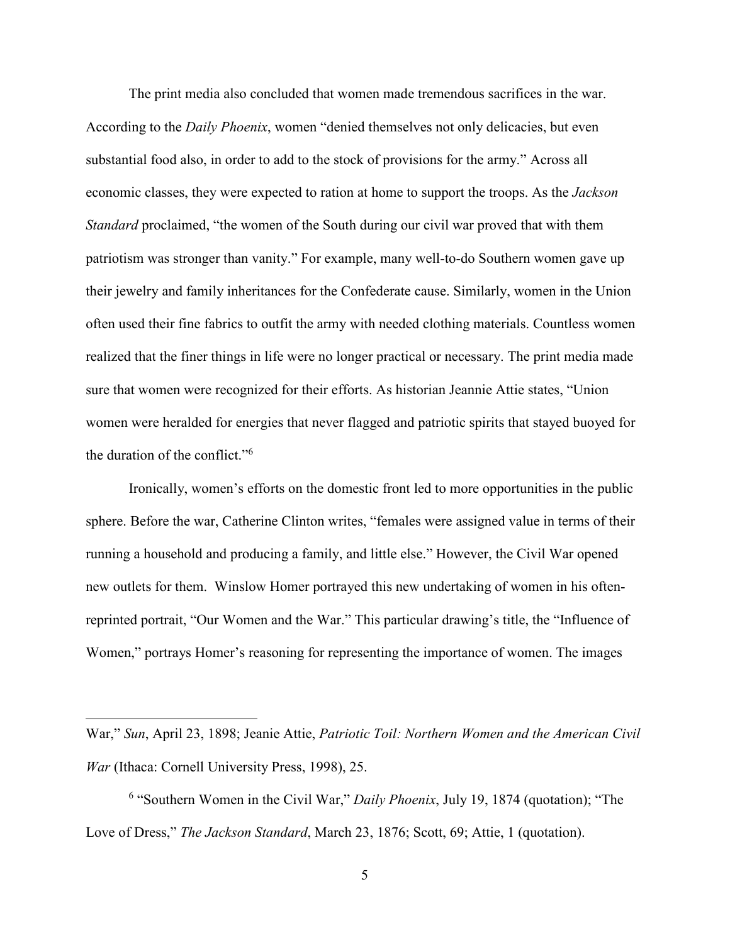The print media also concluded that women made tremendous sacrifices in the war. According to the *Daily Phoenix*, women "denied themselves not only delicacies, but even substantial food also, in order to add to the stock of provisions for the army." Across all economic classes, they were expected to ration at home to support the troops. As the *Jackson Standard* proclaimed, "the women of the South during our civil war proved that with them patriotism was stronger than vanity." For example, many well-to-do Southern women gave up their jewelry and family inheritances for the Confederate cause. Similarly, women in the Union often used their fine fabrics to outfit the army with needed clothing materials. Countless women realized that the finer things in life were no longer practical or necessary. The print media made sure that women were recognized for their efforts. As historian Jeannie Attie states, "Union women were heralded for energies that never flagged and patriotic spirits that stayed buoyed for the duration of the conflict."<sup>6</sup>

Ironically, women's efforts on the domestic front led to more opportunities in the public sphere. Before the war, Catherine Clinton writes, "females were assigned value in terms of their running a household and producing a family, and little else." However, the Civil War opened new outlets for them. Winslow Homer portrayed this new undertaking of women in his oftenreprinted portrait, "Our Women and the War." This particular drawing's title, the "Influence of Women," portrays Homer's reasoning for representing the importance of women. The images

-

War," *Sun*, April 23, 1898; Jeanie Attie, *Patriotic Toil: Northern Women and the American Civil War* (Ithaca: Cornell University Press, 1998), 25.

<sup>&</sup>lt;sup>6</sup> "Southern Women in the Civil War," *Daily Phoenix*, July 19, 1874 (quotation); "The Love of Dress," *The Jackson Standard*, March 23, 1876; Scott, 69; Attie, 1 (quotation).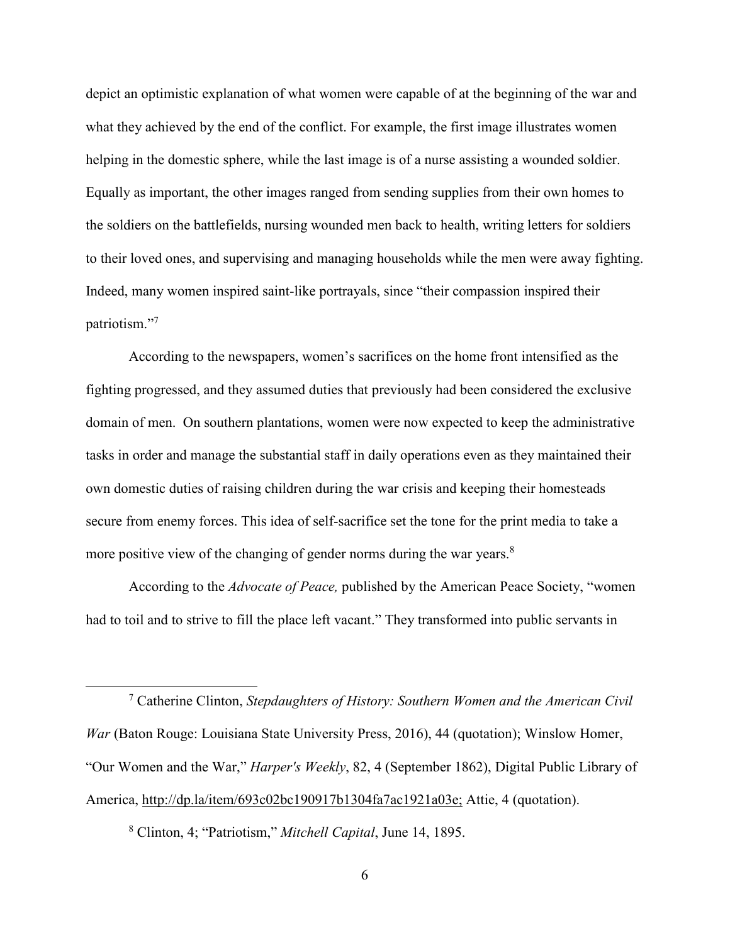depict an optimistic explanation of what women were capable of at the beginning of the war and what they achieved by the end of the conflict. For example, the first image illustrates women helping in the domestic sphere, while the last image is of a nurse assisting a wounded soldier. Equally as important, the other images ranged from sending supplies from their own homes to the soldiers on the battlefields, nursing wounded men back to health, writing letters for soldiers to their loved ones, and supervising and managing households while the men were away fighting. Indeed, many women inspired saint-like portrayals, since "their compassion inspired their patriotism."7

According to the newspapers, women's sacrifices on the home front intensified as the fighting progressed, and they assumed duties that previously had been considered the exclusive domain of men. On southern plantations, women were now expected to keep the administrative tasks in order and manage the substantial staff in daily operations even as they maintained their own domestic duties of raising children during the war crisis and keeping their homesteads secure from enemy forces. This idea of self-sacrifice set the tone for the print media to take a more positive view of the changing of gender norms during the war years. $8$ 

According to the *Advocate of Peace,* published by the American Peace Society, "women had to toil and to strive to fill the place left vacant." They transformed into public servants in

8 Clinton, 4; "Patriotism," *Mitchell Capital*, June 14, 1895.

<sup>7</sup> Catherine Clinton, *Stepdaughters of History: Southern Women and the American Civil War* (Baton Rouge: Louisiana State University Press, 2016), 44 (quotation); Winslow Homer, "Our Women and the War," *Harper's Weekly*, 82, 4 (September 1862), Digital Public Library of America, http://dp.la/item/693c02bc190917b1304fa7ac1921a03e; Attie, 4 (quotation).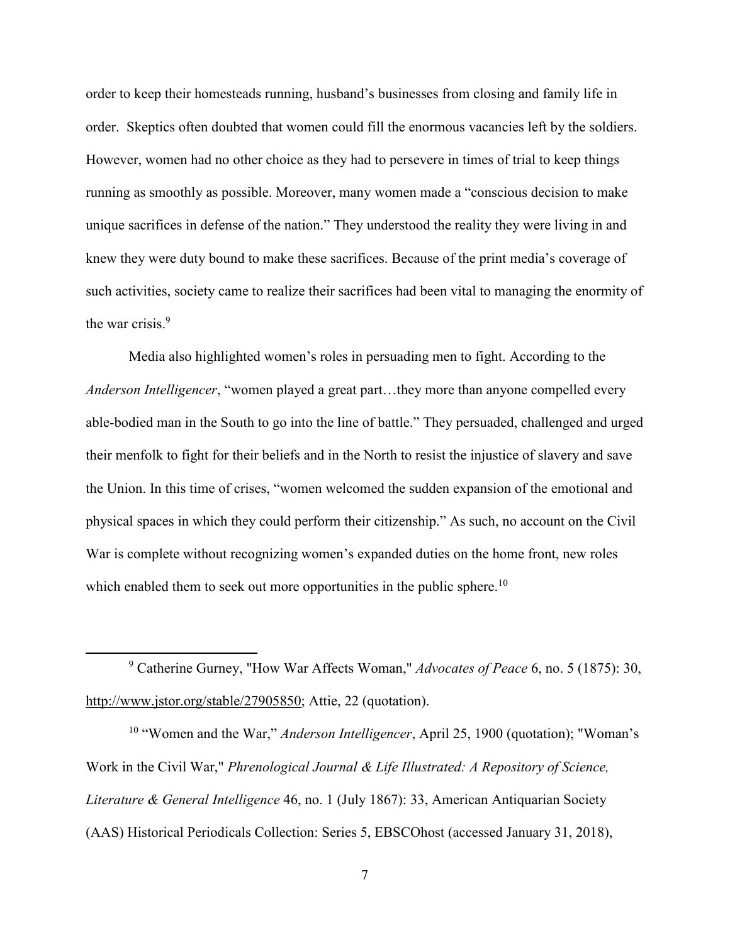order to keep their homesteads running, husband's businesses from closing and family life in order. Skeptics often doubted that women could fill the enormous vacancies left by the soldiers. However, women had no other choice as they had to persevere in times of trial to keep things running as smoothly as possible. Moreover, many women made a "conscious decision to make unique sacrifices in defense of the nation." They understood the reality they were living in and knew they were duty bound to make these sacrifices. Because of the print media's coverage of such activities, society came to realize their sacrifices had been vital to managing the enormity of the war crisis $<sup>9</sup>$ .</sup>

Media also highlighted women's roles in persuading men to fight. According to the *Anderson Intelligencer*, "women played a great part…they more than anyone compelled every able-bodied man in the South to go into the line of battle." They persuaded, challenged and urged their menfolk to fight for their beliefs and in the North to resist the injustice of slavery and save the Union. In this time of crises, "women welcomed the sudden expansion of the emotional and physical spaces in which they could perform their citizenship." As such, no account on the Civil War is complete without recognizing women's expanded duties on the home front, new roles which enabled them to seek out more opportunities in the public sphere.<sup>10</sup>

9 Catherine Gurney, "How War Affects Woman," *Advocates of Peace* 6, no. 5 (1875): 30, http://www.jstor.org/stable/27905850; Attie, 22 (quotation).

<u>.</u>

<sup>10</sup> "Women and the War," *Anderson Intelligencer*, April 25, 1900 (quotation); "Woman's Work in the Civil War," *Phrenological Journal & Life Illustrated: A Repository of Science, Literature & General Intelligence* 46, no. 1 (July 1867): 33, American Antiquarian Society (AAS) Historical Periodicals Collection: Series 5, EBSCOhost (accessed January 31, 2018),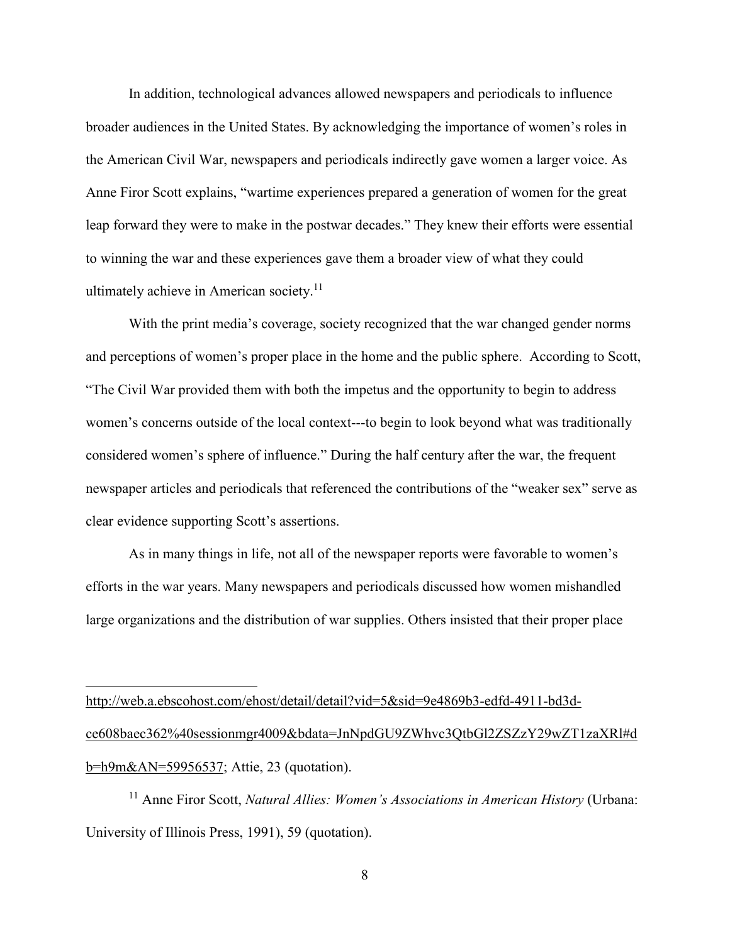In addition, technological advances allowed newspapers and periodicals to influence broader audiences in the United States. By acknowledging the importance of women's roles in the American Civil War, newspapers and periodicals indirectly gave women a larger voice. As Anne Firor Scott explains, "wartime experiences prepared a generation of women for the great leap forward they were to make in the postwar decades." They knew their efforts were essential to winning the war and these experiences gave them a broader view of what they could ultimately achieve in American society.<sup>11</sup>

With the print media's coverage, society recognized that the war changed gender norms and perceptions of women's proper place in the home and the public sphere. According to Scott, "The Civil War provided them with both the impetus and the opportunity to begin to address women's concerns outside of the local context---to begin to look beyond what was traditionally considered women's sphere of influence." During the half century after the war, the frequent newspaper articles and periodicals that referenced the contributions of the "weaker sex" serve as clear evidence supporting Scott's assertions.

As in many things in life, not all of the newspaper reports were favorable to women's efforts in the war years. Many newspapers and periodicals discussed how women mishandled large organizations and the distribution of war supplies. Others insisted that their proper place

http://web.a.ebscohost.com/ehost/detail/detail?vid=5&sid=9e4869b3-edfd-4911-bd3dce608baec362%40sessionmgr4009&bdata=JnNpdGU9ZWhvc3QtbGl2ZSZzY29wZT1zaXRl#d b=h9m&AN=59956537; Attie, 23 (quotation).

 $\overline{a}$ 

<sup>11</sup> Anne Firor Scott, *Natural Allies: Women's Associations in American History* (Urbana: University of Illinois Press, 1991), 59 (quotation).

8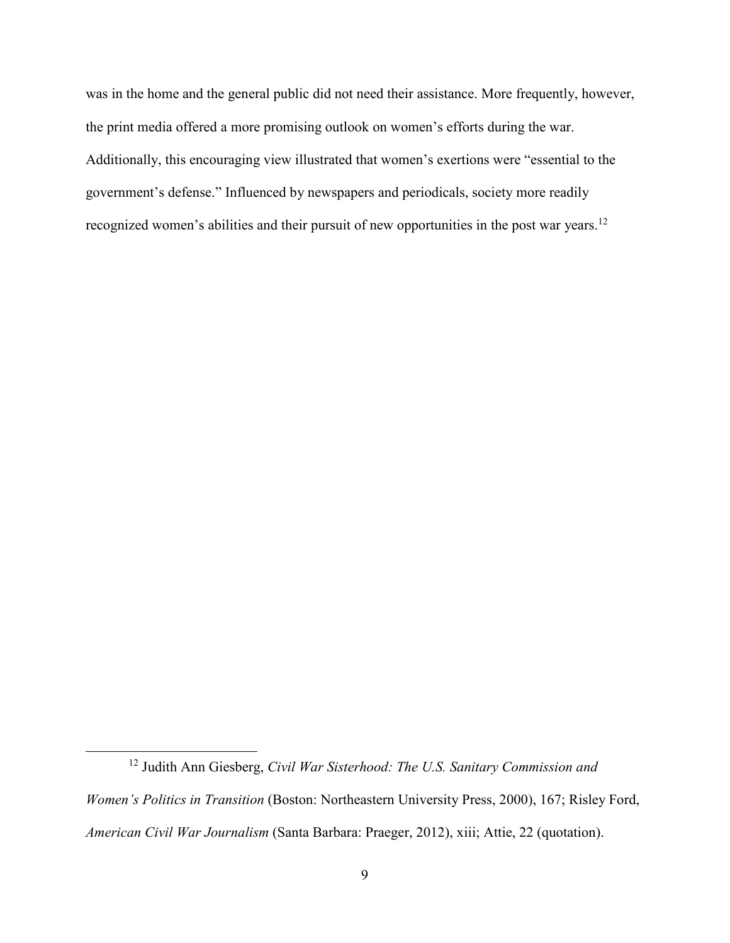was in the home and the general public did not need their assistance. More frequently, however, the print media offered a more promising outlook on women's efforts during the war. Additionally, this encouraging view illustrated that women's exertions were "essential to the government's defense." Influenced by newspapers and periodicals, society more readily recognized women's abilities and their pursuit of new opportunities in the post war years.<sup>12</sup>

<sup>12</sup> Judith Ann Giesberg, *Civil War Sisterhood: The U.S. Sanitary Commission and Women's Politics in Transition* (Boston: Northeastern University Press, 2000), 167; Risley Ford, *American Civil War Journalism* (Santa Barbara: Praeger, 2012), xiii; Attie, 22 (quotation).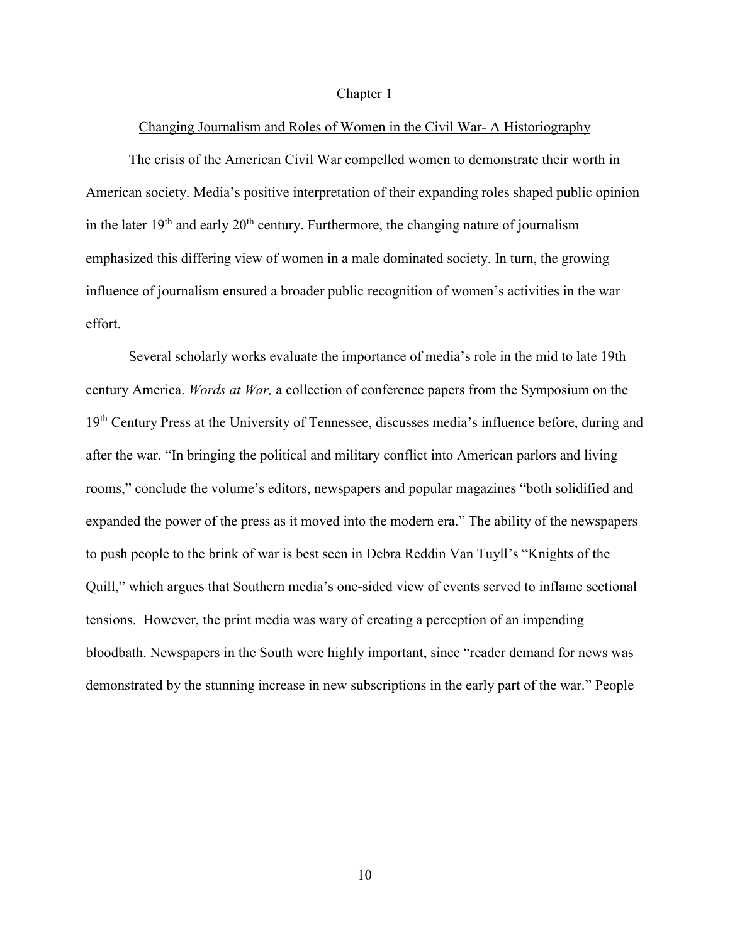### Chapter 1

## Changing Journalism and Roles of Women in the Civil War- A Historiography

The crisis of the American Civil War compelled women to demonstrate their worth in American society. Media's positive interpretation of their expanding roles shaped public opinion in the later  $19<sup>th</sup>$  and early  $20<sup>th</sup>$  century. Furthermore, the changing nature of journalism emphasized this differing view of women in a male dominated society. In turn, the growing influence of journalism ensured a broader public recognition of women's activities in the war effort.

Several scholarly works evaluate the importance of media's role in the mid to late 19th century America. *Words at War,* a collection of conference papers from the Symposium on the 19<sup>th</sup> Century Press at the University of Tennessee, discusses media's influence before, during and after the war. "In bringing the political and military conflict into American parlors and living rooms," conclude the volume's editors, newspapers and popular magazines "both solidified and expanded the power of the press as it moved into the modern era." The ability of the newspapers to push people to the brink of war is best seen in Debra Reddin Van Tuyll's "Knights of the Quill," which argues that Southern media's one-sided view of events served to inflame sectional tensions. However, the print media was wary of creating a perception of an impending bloodbath. Newspapers in the South were highly important, since "reader demand for news was demonstrated by the stunning increase in new subscriptions in the early part of the war." People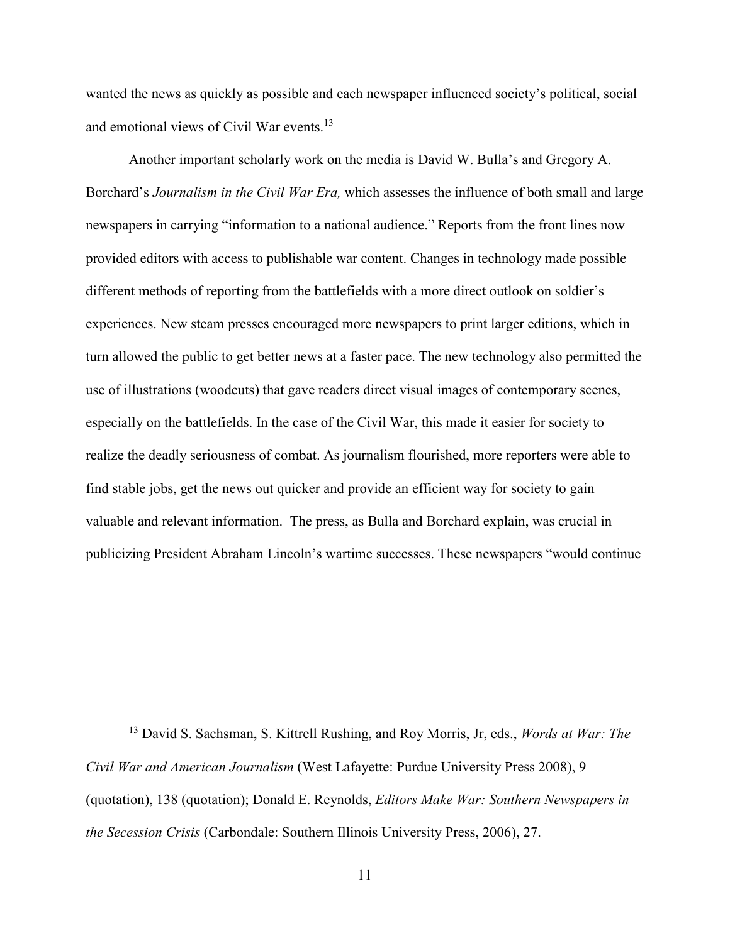wanted the news as quickly as possible and each newspaper influenced society's political, social and emotional views of Civil War events.<sup>13</sup>

Another important scholarly work on the media is David W. Bulla's and Gregory A. Borchard's *Journalism in the Civil War Era,* which assesses the influence of both small and large newspapers in carrying "information to a national audience." Reports from the front lines now provided editors with access to publishable war content. Changes in technology made possible different methods of reporting from the battlefields with a more direct outlook on soldier's experiences. New steam presses encouraged more newspapers to print larger editions, which in turn allowed the public to get better news at a faster pace. The new technology also permitted the use of illustrations (woodcuts) that gave readers direct visual images of contemporary scenes, especially on the battlefields. In the case of the Civil War, this made it easier for society to realize the deadly seriousness of combat. As journalism flourished, more reporters were able to find stable jobs, get the news out quicker and provide an efficient way for society to gain valuable and relevant information. The press, as Bulla and Borchard explain, was crucial in publicizing President Abraham Lincoln's wartime successes. These newspapers "would continue

-

<sup>13</sup> David S. Sachsman, S. Kittrell Rushing, and Roy Morris, Jr, eds., *Words at War: The Civil War and American Journalism* (West Lafayette: Purdue University Press 2008), 9 (quotation), 138 (quotation); Donald E. Reynolds, *Editors Make War: Southern Newspapers in the Secession Crisis* (Carbondale: Southern Illinois University Press, 2006), 27.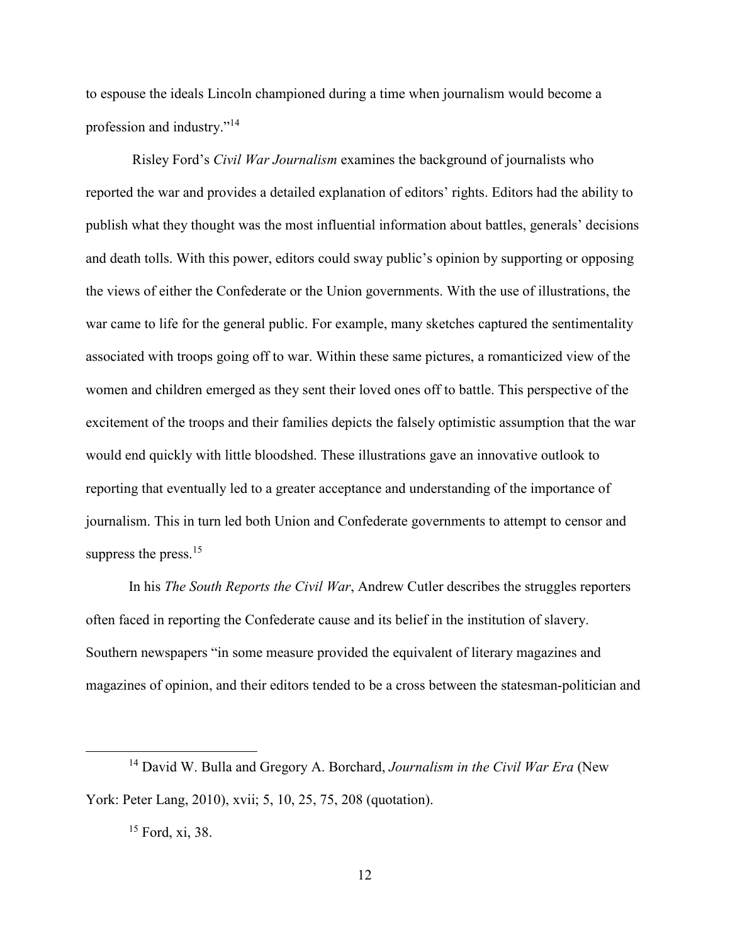to espouse the ideals Lincoln championed during a time when journalism would become a profession and industry."<sup>14</sup>

 Risley Ford's *Civil War Journalism* examines the background of journalists who reported the war and provides a detailed explanation of editors' rights. Editors had the ability to publish what they thought was the most influential information about battles, generals' decisions and death tolls. With this power, editors could sway public's opinion by supporting or opposing the views of either the Confederate or the Union governments. With the use of illustrations, the war came to life for the general public. For example, many sketches captured the sentimentality associated with troops going off to war. Within these same pictures, a romanticized view of the women and children emerged as they sent their loved ones off to battle. This perspective of the excitement of the troops and their families depicts the falsely optimistic assumption that the war would end quickly with little bloodshed. These illustrations gave an innovative outlook to reporting that eventually led to a greater acceptance and understanding of the importance of journalism. This in turn led both Union and Confederate governments to attempt to censor and suppress the press.<sup>15</sup>

In his *The South Reports the Civil War*, Andrew Cutler describes the struggles reporters often faced in reporting the Confederate cause and its belief in the institution of slavery. Southern newspapers "in some measure provided the equivalent of literary magazines and magazines of opinion, and their editors tended to be a cross between the statesman-politician and

<sup>14</sup> David W. Bulla and Gregory A. Borchard, *Journalism in the Civil War Era* (New York: Peter Lang, 2010), xvii; 5, 10, 25, 75, 208 (quotation).

<sup>15</sup> Ford, xi, 38.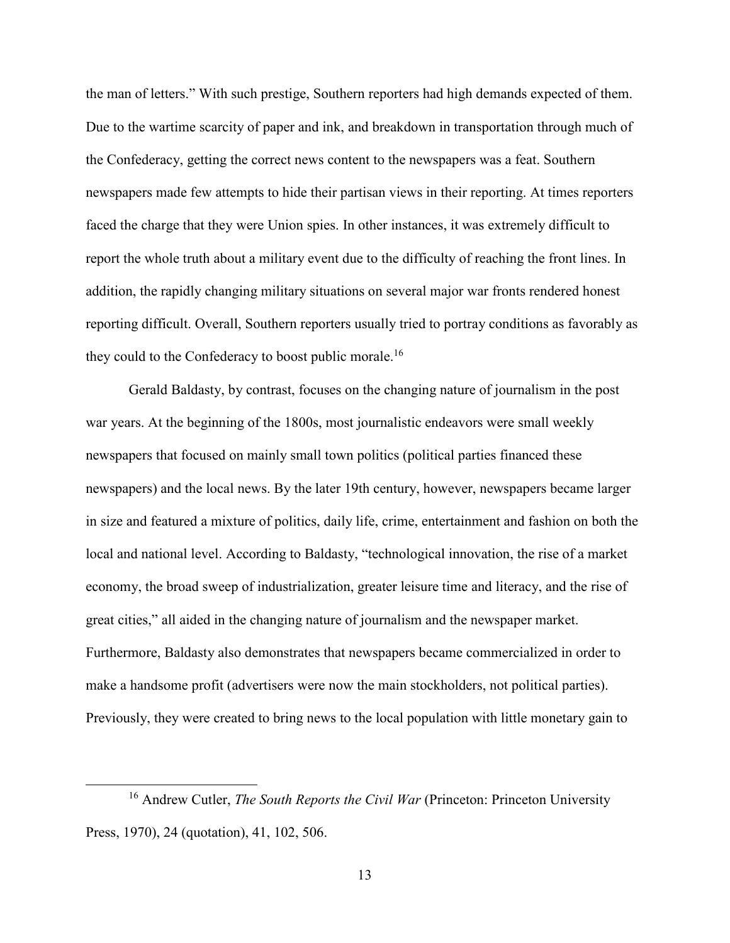the man of letters." With such prestige, Southern reporters had high demands expected of them. Due to the wartime scarcity of paper and ink, and breakdown in transportation through much of the Confederacy, getting the correct news content to the newspapers was a feat. Southern newspapers made few attempts to hide their partisan views in their reporting. At times reporters faced the charge that they were Union spies. In other instances, it was extremely difficult to report the whole truth about a military event due to the difficulty of reaching the front lines. In addition, the rapidly changing military situations on several major war fronts rendered honest reporting difficult. Overall, Southern reporters usually tried to portray conditions as favorably as they could to the Confederacy to boost public morale.<sup>16</sup>

Gerald Baldasty, by contrast, focuses on the changing nature of journalism in the post war years. At the beginning of the 1800s, most journalistic endeavors were small weekly newspapers that focused on mainly small town politics (political parties financed these newspapers) and the local news. By the later 19th century, however, newspapers became larger in size and featured a mixture of politics, daily life, crime, entertainment and fashion on both the local and national level. According to Baldasty, "technological innovation, the rise of a market economy, the broad sweep of industrialization, greater leisure time and literacy, and the rise of great cities," all aided in the changing nature of journalism and the newspaper market. Furthermore, Baldasty also demonstrates that newspapers became commercialized in order to make a handsome profit (advertisers were now the main stockholders, not political parties). Previously, they were created to bring news to the local population with little monetary gain to

<sup>&</sup>lt;sup>16</sup> Andrew Cutler, *The South Reports the Civil War* (Princeton: Princeton University Press, 1970), 24 (quotation), 41, 102, 506.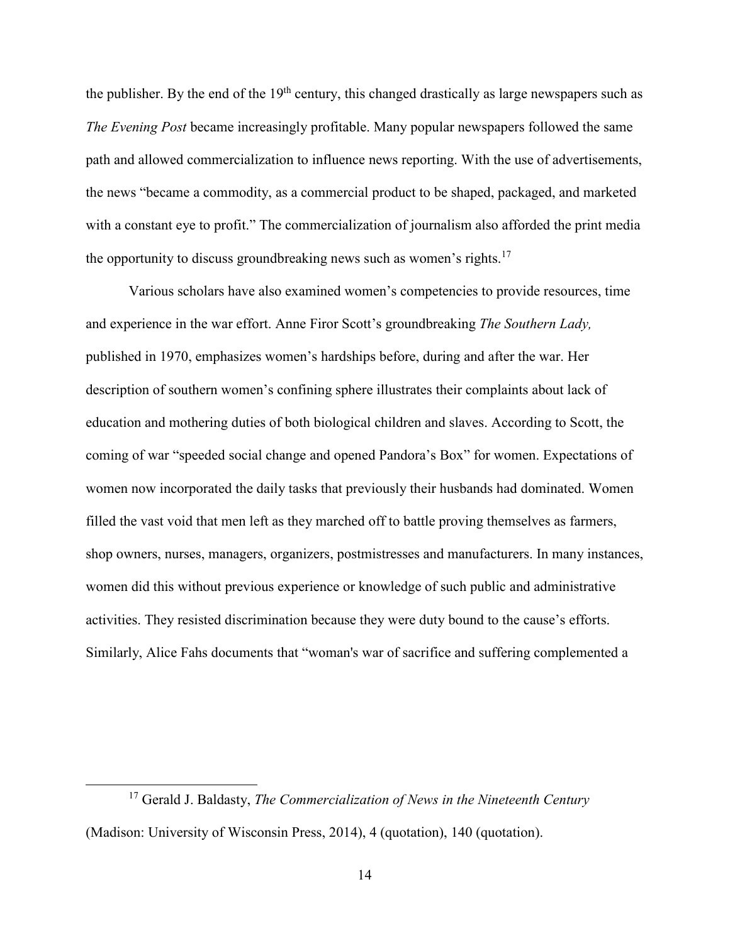the publisher. By the end of the 19<sup>th</sup> century, this changed drastically as large newspapers such as *The Evening Post* became increasingly profitable. Many popular newspapers followed the same path and allowed commercialization to influence news reporting. With the use of advertisements, the news "became a commodity, as a commercial product to be shaped, packaged, and marketed with a constant eye to profit." The commercialization of journalism also afforded the print media the opportunity to discuss groundbreaking news such as women's rights.<sup>17</sup>

Various scholars have also examined women's competencies to provide resources, time and experience in the war effort. Anne Firor Scott's groundbreaking *The Southern Lady,*  published in 1970, emphasizes women's hardships before, during and after the war. Her description of southern women's confining sphere illustrates their complaints about lack of education and mothering duties of both biological children and slaves. According to Scott, the coming of war "speeded social change and opened Pandora's Box" for women. Expectations of women now incorporated the daily tasks that previously their husbands had dominated. Women filled the vast void that men left as they marched off to battle proving themselves as farmers, shop owners, nurses, managers, organizers, postmistresses and manufacturers. In many instances, women did this without previous experience or knowledge of such public and administrative activities. They resisted discrimination because they were duty bound to the cause's efforts. Similarly, Alice Fahs documents that "woman's war of sacrifice and suffering complemented a

-

<sup>17</sup> Gerald J. Baldasty, *The Commercialization of News in the Nineteenth Century* (Madison: University of Wisconsin Press, 2014), 4 (quotation), 140 (quotation).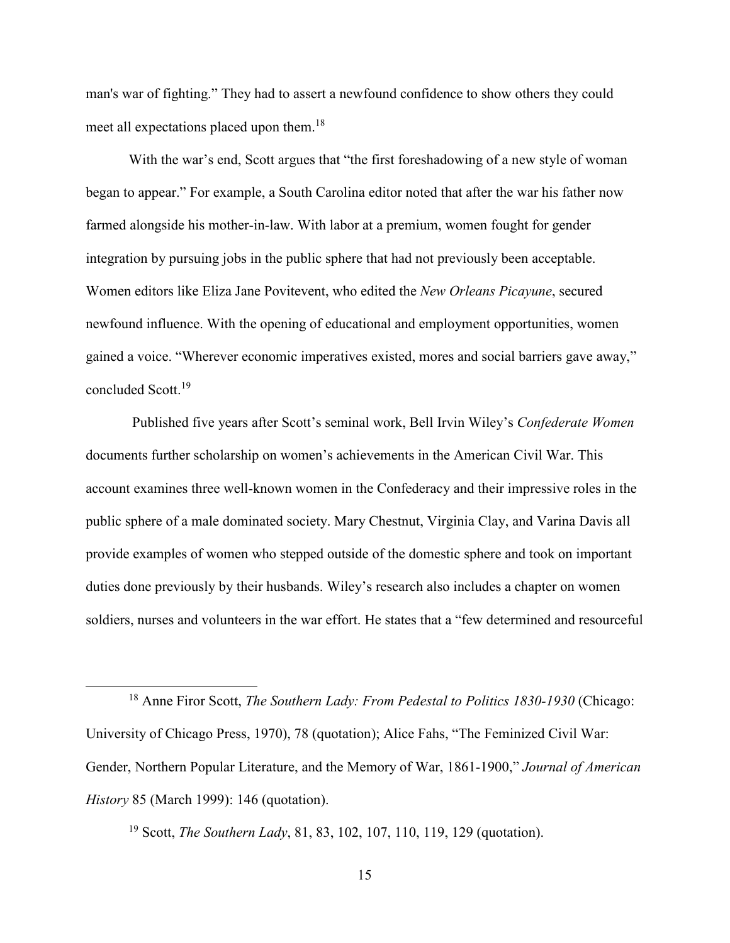man's war of fighting." They had to assert a newfound confidence to show others they could meet all expectations placed upon them.<sup>18</sup>

With the war's end, Scott argues that "the first foreshadowing of a new style of woman began to appear." For example, a South Carolina editor noted that after the war his father now farmed alongside his mother-in-law. With labor at a premium, women fought for gender integration by pursuing jobs in the public sphere that had not previously been acceptable. Women editors like Eliza Jane Povitevent, who edited the *New Orleans Picayune*, secured newfound influence. With the opening of educational and employment opportunities, women gained a voice. "Wherever economic imperatives existed, mores and social barriers gave away," concluded Scott.<sup>19</sup>

 Published five years after Scott's seminal work, Bell Irvin Wiley's *Confederate Women* documents further scholarship on women's achievements in the American Civil War. This account examines three well-known women in the Confederacy and their impressive roles in the public sphere of a male dominated society. Mary Chestnut, Virginia Clay, and Varina Davis all provide examples of women who stepped outside of the domestic sphere and took on important duties done previously by their husbands. Wiley's research also includes a chapter on women soldiers, nurses and volunteers in the war effort. He states that a "few determined and resourceful

<sup>18</sup> Anne Firor Scott, *The Southern Lady: From Pedestal to Politics 1830-1930* (Chicago: University of Chicago Press, 1970), 78 (quotation); Alice Fahs, "The Feminized Civil War: Gender, Northern Popular Literature, and the Memory of War, 1861-1900," *Journal of American History* 85 (March 1999): 146 (quotation).

<sup>19</sup> Scott, *The Southern Lady*, 81, 83, 102, 107, 110, 119, 129 (quotation).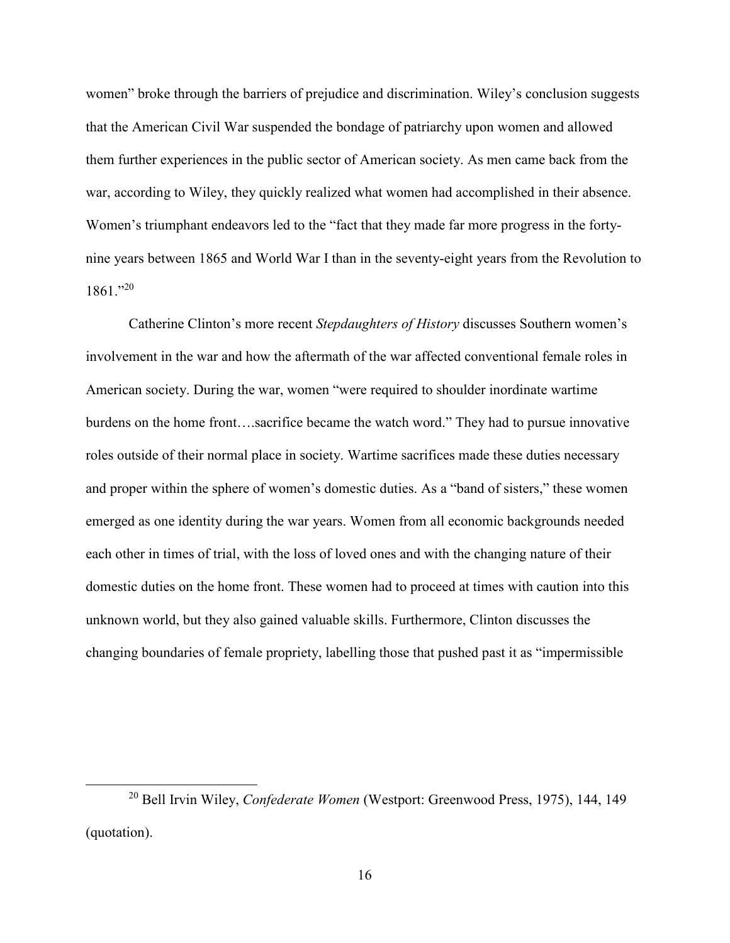women" broke through the barriers of prejudice and discrimination. Wiley's conclusion suggests that the American Civil War suspended the bondage of patriarchy upon women and allowed them further experiences in the public sector of American society. As men came back from the war, according to Wiley, they quickly realized what women had accomplished in their absence. Women's triumphant endeavors led to the "fact that they made far more progress in the fortynine years between 1865 and World War I than in the seventy-eight years from the Revolution to 1861."<sup>20</sup>

Catherine Clinton's more recent *Stepdaughters of History* discusses Southern women's involvement in the war and how the aftermath of the war affected conventional female roles in American society. During the war, women "were required to shoulder inordinate wartime burdens on the home front….sacrifice became the watch word." They had to pursue innovative roles outside of their normal place in society. Wartime sacrifices made these duties necessary and proper within the sphere of women's domestic duties. As a "band of sisters," these women emerged as one identity during the war years. Women from all economic backgrounds needed each other in times of trial, with the loss of loved ones and with the changing nature of their domestic duties on the home front. These women had to proceed at times with caution into this unknown world, but they also gained valuable skills. Furthermore, Clinton discusses the changing boundaries of female propriety, labelling those that pushed past it as "impermissible

-

<sup>20</sup> Bell Irvin Wiley, *Confederate Women* (Westport: Greenwood Press, 1975), 144, 149 (quotation).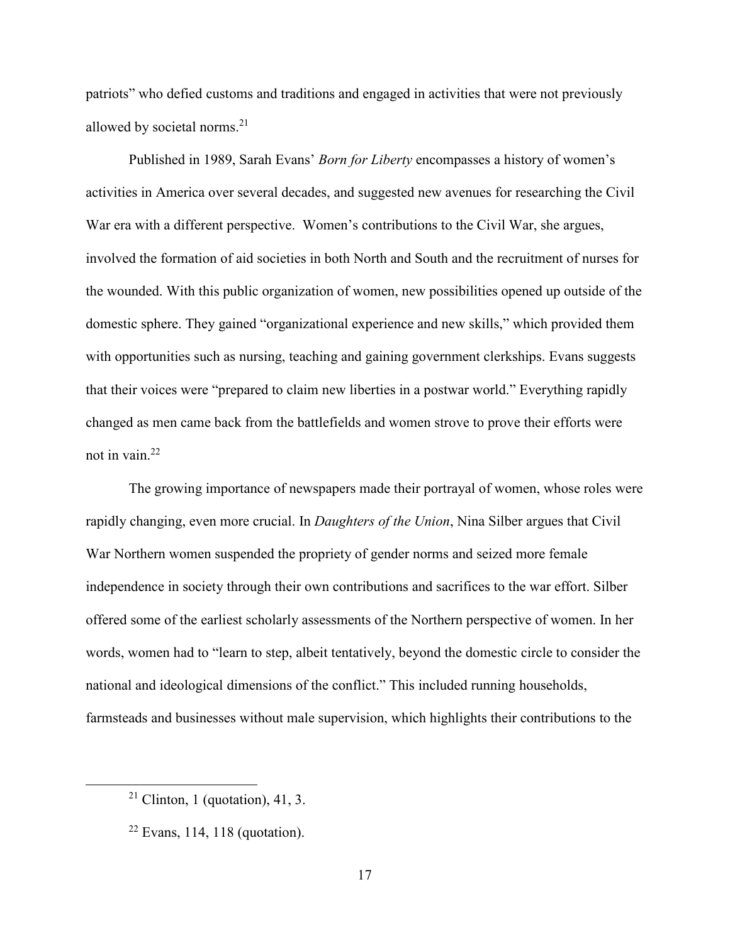patriots" who defied customs and traditions and engaged in activities that were not previously allowed by societal norms.<sup>21</sup>

Published in 1989, Sarah Evans' *Born for Liberty* encompasses a history of women's activities in America over several decades, and suggested new avenues for researching the Civil War era with a different perspective. Women's contributions to the Civil War, she argues, involved the formation of aid societies in both North and South and the recruitment of nurses for the wounded. With this public organization of women, new possibilities opened up outside of the domestic sphere. They gained "organizational experience and new skills," which provided them with opportunities such as nursing, teaching and gaining government clerkships. Evans suggests that their voices were "prepared to claim new liberties in a postwar world." Everything rapidly changed as men came back from the battlefields and women strove to prove their efforts were not in vain.<sup>22</sup>

The growing importance of newspapers made their portrayal of women, whose roles were rapidly changing, even more crucial. In *Daughters of the Union*, Nina Silber argues that Civil War Northern women suspended the propriety of gender norms and seized more female independence in society through their own contributions and sacrifices to the war effort. Silber offered some of the earliest scholarly assessments of the Northern perspective of women. In her words, women had to "learn to step, albeit tentatively, beyond the domestic circle to consider the national and ideological dimensions of the conflict." This included running households, farmsteads and businesses without male supervision, which highlights their contributions to the

-

<sup>&</sup>lt;sup>21</sup> Clinton, 1 (quotation), 41, 3.

 $22$  Evans, 114, 118 (quotation).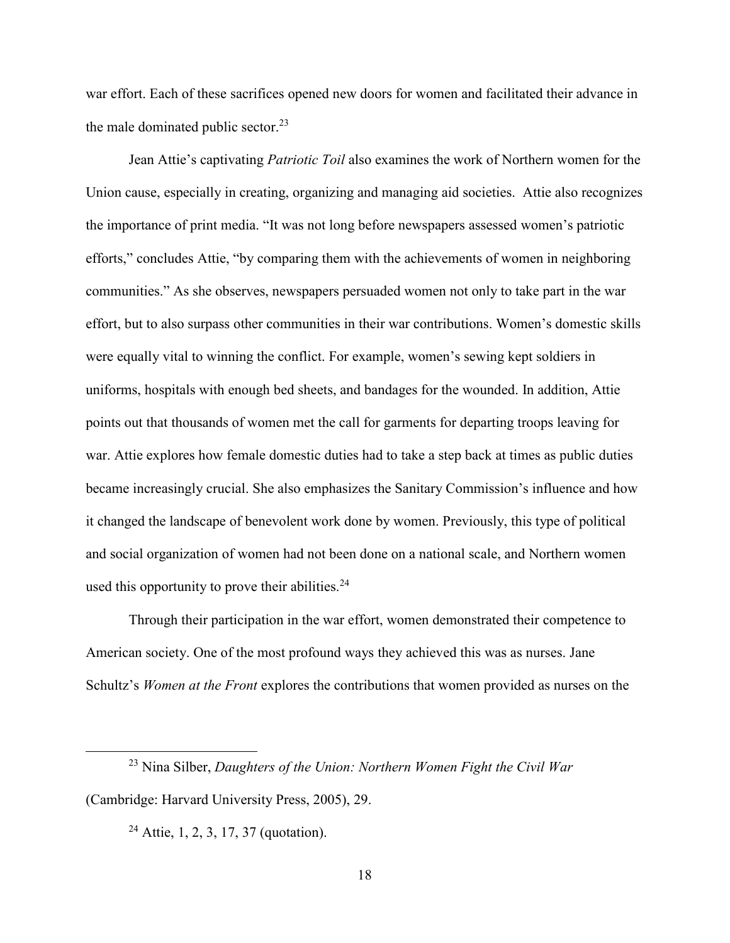war effort. Each of these sacrifices opened new doors for women and facilitated their advance in the male dominated public sector.<sup>23</sup>

Jean Attie's captivating *Patriotic Toil* also examines the work of Northern women for the Union cause, especially in creating, organizing and managing aid societies. Attie also recognizes the importance of print media. "It was not long before newspapers assessed women's patriotic efforts," concludes Attie, "by comparing them with the achievements of women in neighboring communities." As she observes, newspapers persuaded women not only to take part in the war effort, but to also surpass other communities in their war contributions. Women's domestic skills were equally vital to winning the conflict. For example, women's sewing kept soldiers in uniforms, hospitals with enough bed sheets, and bandages for the wounded. In addition, Attie points out that thousands of women met the call for garments for departing troops leaving for war. Attie explores how female domestic duties had to take a step back at times as public duties became increasingly crucial. She also emphasizes the Sanitary Commission's influence and how it changed the landscape of benevolent work done by women. Previously, this type of political and social organization of women had not been done on a national scale, and Northern women used this opportunity to prove their abilities. $24$ 

Through their participation in the war effort, women demonstrated their competence to American society. One of the most profound ways they achieved this was as nurses. Jane Schultz's *Women at the Front* explores the contributions that women provided as nurses on the

<sup>23</sup> Nina Silber, *Daughters of the Union: Northern Women Fight the Civil War* (Cambridge: Harvard University Press, 2005), 29.

 $24$  Attie, 1, 2, 3, 17, 37 (quotation).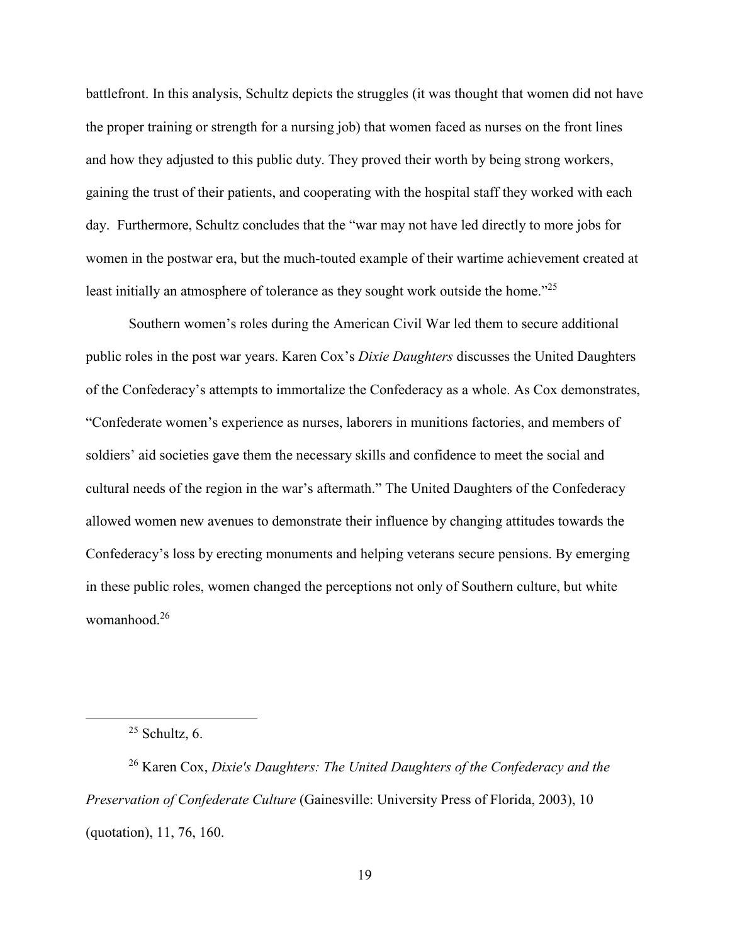battlefront. In this analysis, Schultz depicts the struggles (it was thought that women did not have the proper training or strength for a nursing job) that women faced as nurses on the front lines and how they adjusted to this public duty. They proved their worth by being strong workers, gaining the trust of their patients, and cooperating with the hospital staff they worked with each day. Furthermore, Schultz concludes that the "war may not have led directly to more jobs for women in the postwar era, but the much-touted example of their wartime achievement created at least initially an atmosphere of tolerance as they sought work outside the home."<sup>25</sup>

Southern women's roles during the American Civil War led them to secure additional public roles in the post war years. Karen Cox's *Dixie Daughters* discusses the United Daughters of the Confederacy's attempts to immortalize the Confederacy as a whole. As Cox demonstrates, "Confederate women's experience as nurses, laborers in munitions factories, and members of soldiers' aid societies gave them the necessary skills and confidence to meet the social and cultural needs of the region in the war's aftermath." The United Daughters of the Confederacy allowed women new avenues to demonstrate their influence by changing attitudes towards the Confederacy's loss by erecting monuments and helping veterans secure pensions. By emerging in these public roles, women changed the perceptions not only of Southern culture, but white womanhood.<sup>26</sup>

l

<sup>26</sup> Karen Cox, *Dixie's Daughters: The United Daughters of the Confederacy and the Preservation of Confederate Culture* (Gainesville: University Press of Florida, 2003), 10 (quotation), 11, 76, 160.

 $25$  Schultz, 6.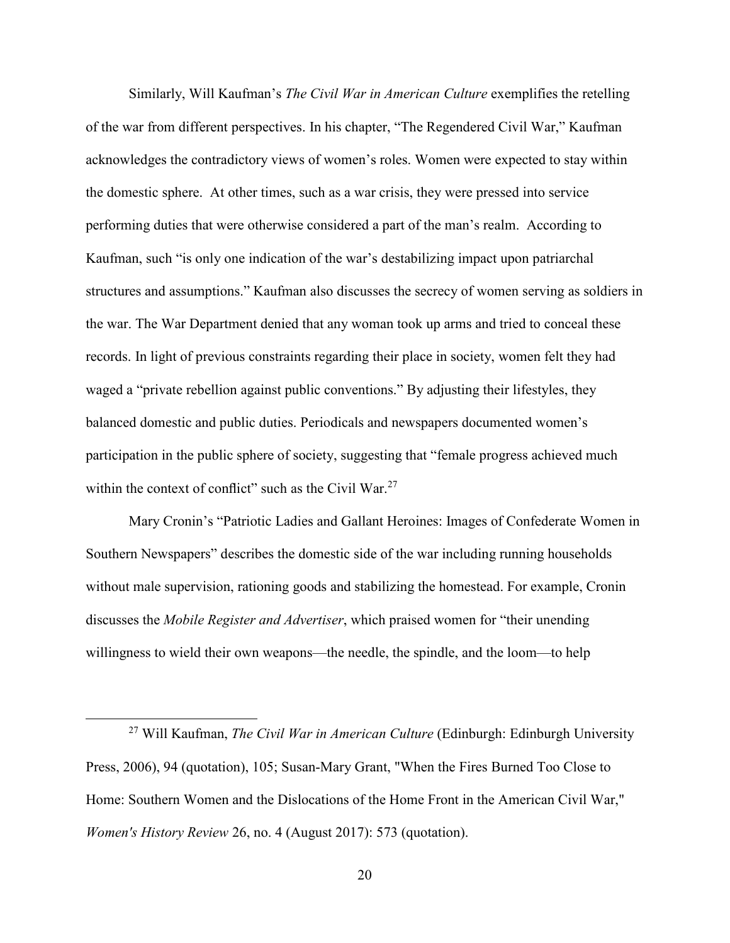Similarly, Will Kaufman's *The Civil War in American Culture* exemplifies the retelling of the war from different perspectives. In his chapter, "The Regendered Civil War," Kaufman acknowledges the contradictory views of women's roles. Women were expected to stay within the domestic sphere. At other times, such as a war crisis, they were pressed into service performing duties that were otherwise considered a part of the man's realm. According to Kaufman, such "is only one indication of the war's destabilizing impact upon patriarchal structures and assumptions." Kaufman also discusses the secrecy of women serving as soldiers in the war. The War Department denied that any woman took up arms and tried to conceal these records. In light of previous constraints regarding their place in society, women felt they had waged a "private rebellion against public conventions." By adjusting their lifestyles, they balanced domestic and public duties. Periodicals and newspapers documented women's participation in the public sphere of society, suggesting that "female progress achieved much within the context of conflict" such as the Civil War.<sup>27</sup>

Mary Cronin's "Patriotic Ladies and Gallant Heroines: Images of Confederate Women in Southern Newspapers" describes the domestic side of the war including running households without male supervision, rationing goods and stabilizing the homestead. For example, Cronin discusses the *Mobile Register and Advertiser*, which praised women for "their unending willingness to wield their own weapons—the needle, the spindle, and the loom—to help

-

<sup>27</sup> Will Kaufman, *The Civil War in American Culture* (Edinburgh: Edinburgh University Press, 2006), 94 (quotation), 105; Susan-Mary Grant, "When the Fires Burned Too Close to Home: Southern Women and the Dislocations of the Home Front in the American Civil War," *Women's History Review* 26, no. 4 (August 2017): 573 (quotation).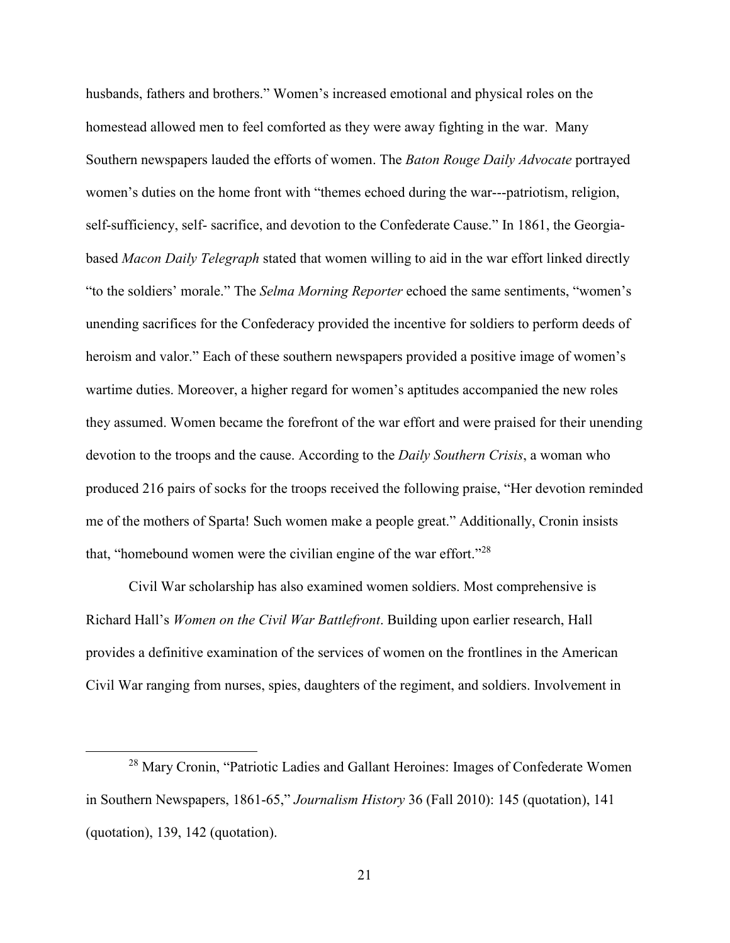husbands, fathers and brothers." Women's increased emotional and physical roles on the homestead allowed men to feel comforted as they were away fighting in the war. Many Southern newspapers lauded the efforts of women. The *Baton Rouge Daily Advocate* portrayed women's duties on the home front with "themes echoed during the war---patriotism, religion, self-sufficiency, self- sacrifice, and devotion to the Confederate Cause." In 1861, the Georgiabased *Macon Daily Telegraph* stated that women willing to aid in the war effort linked directly "to the soldiers' morale." The *Selma Morning Reporter* echoed the same sentiments, "women's unending sacrifices for the Confederacy provided the incentive for soldiers to perform deeds of heroism and valor." Each of these southern newspapers provided a positive image of women's wartime duties. Moreover, a higher regard for women's aptitudes accompanied the new roles they assumed. Women became the forefront of the war effort and were praised for their unending devotion to the troops and the cause. According to the *Daily Southern Crisis*, a woman who produced 216 pairs of socks for the troops received the following praise, "Her devotion reminded me of the mothers of Sparta! Such women make a people great." Additionally, Cronin insists that, "homebound women were the civilian engine of the war effort."<sup>28</sup>

Civil War scholarship has also examined women soldiers. Most comprehensive is Richard Hall's *Women on the Civil War Battlefront*. Building upon earlier research, Hall provides a definitive examination of the services of women on the frontlines in the American Civil War ranging from nurses, spies, daughters of the regiment, and soldiers. Involvement in

<sup>28</sup> Mary Cronin, "Patriotic Ladies and Gallant Heroines: Images of Confederate Women in Southern Newspapers, 1861-65," *Journalism History* 36 (Fall 2010): 145 (quotation), 141 (quotation), 139, 142 (quotation).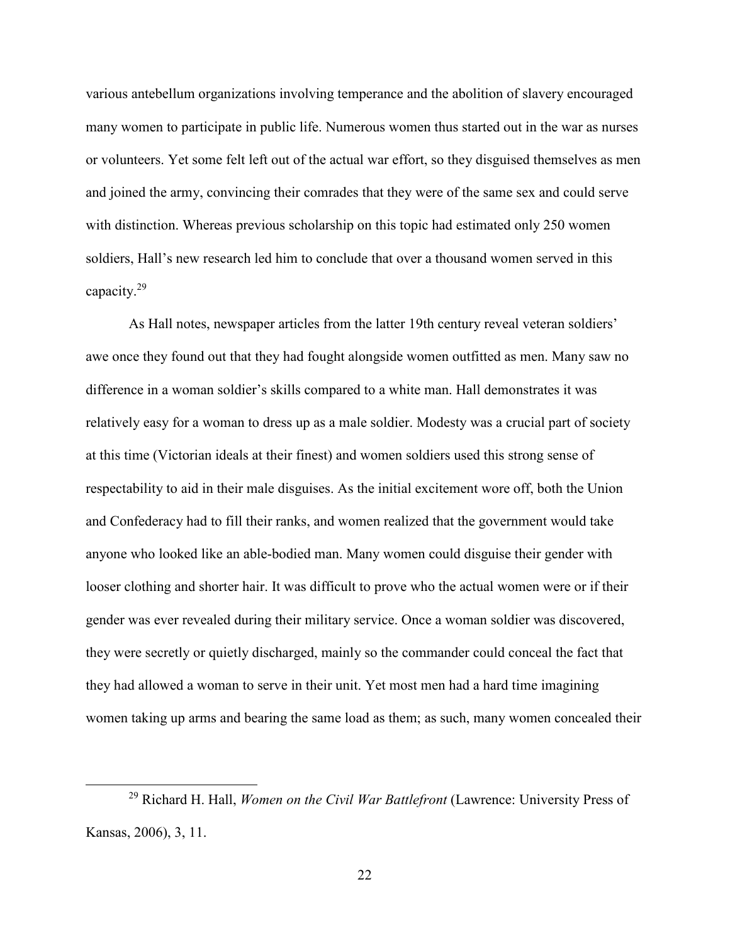various antebellum organizations involving temperance and the abolition of slavery encouraged many women to participate in public life. Numerous women thus started out in the war as nurses or volunteers. Yet some felt left out of the actual war effort, so they disguised themselves as men and joined the army, convincing their comrades that they were of the same sex and could serve with distinction. Whereas previous scholarship on this topic had estimated only 250 women soldiers, Hall's new research led him to conclude that over a thousand women served in this capacity.<sup>29</sup>

 As Hall notes, newspaper articles from the latter 19th century reveal veteran soldiers' awe once they found out that they had fought alongside women outfitted as men. Many saw no difference in a woman soldier's skills compared to a white man. Hall demonstrates it was relatively easy for a woman to dress up as a male soldier. Modesty was a crucial part of society at this time (Victorian ideals at their finest) and women soldiers used this strong sense of respectability to aid in their male disguises. As the initial excitement wore off, both the Union and Confederacy had to fill their ranks, and women realized that the government would take anyone who looked like an able-bodied man. Many women could disguise their gender with looser clothing and shorter hair. It was difficult to prove who the actual women were or if their gender was ever revealed during their military service. Once a woman soldier was discovered, they were secretly or quietly discharged, mainly so the commander could conceal the fact that they had allowed a woman to serve in their unit. Yet most men had a hard time imagining women taking up arms and bearing the same load as them; as such, many women concealed their

<sup>29</sup> Richard H. Hall, *Women on the Civil War Battlefront* (Lawrence: University Press of Kansas, 2006), 3, 11.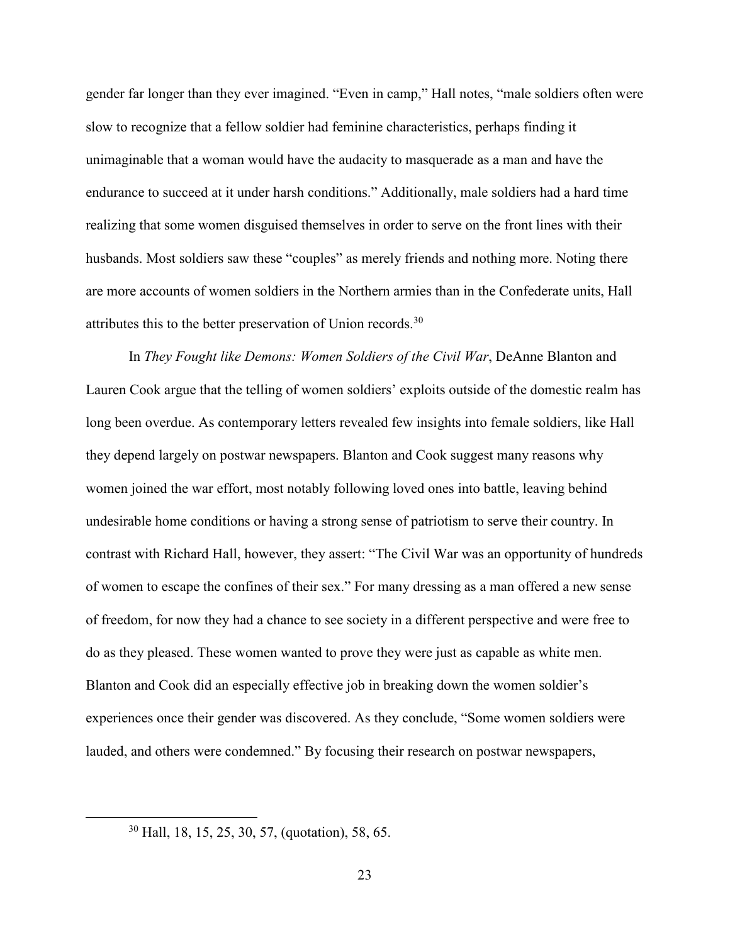gender far longer than they ever imagined. "Even in camp," Hall notes, "male soldiers often were slow to recognize that a fellow soldier had feminine characteristics, perhaps finding it unimaginable that a woman would have the audacity to masquerade as a man and have the endurance to succeed at it under harsh conditions." Additionally, male soldiers had a hard time realizing that some women disguised themselves in order to serve on the front lines with their husbands. Most soldiers saw these "couples" as merely friends and nothing more. Noting there are more accounts of women soldiers in the Northern armies than in the Confederate units, Hall attributes this to the better preservation of Union records.<sup>30</sup>

In *They Fought like Demons: Women Soldiers of the Civil War*, DeAnne Blanton and Lauren Cook argue that the telling of women soldiers' exploits outside of the domestic realm has long been overdue. As contemporary letters revealed few insights into female soldiers, like Hall they depend largely on postwar newspapers. Blanton and Cook suggest many reasons why women joined the war effort, most notably following loved ones into battle, leaving behind undesirable home conditions or having a strong sense of patriotism to serve their country. In contrast with Richard Hall, however, they assert: "The Civil War was an opportunity of hundreds of women to escape the confines of their sex." For many dressing as a man offered a new sense of freedom, for now they had a chance to see society in a different perspective and were free to do as they pleased. These women wanted to prove they were just as capable as white men. Blanton and Cook did an especially effective job in breaking down the women soldier's experiences once their gender was discovered. As they conclude, "Some women soldiers were lauded, and others were condemned." By focusing their research on postwar newspapers,

<u>.</u>

<sup>30</sup> Hall, 18, 15, 25, 30, 57, (quotation), 58, 65.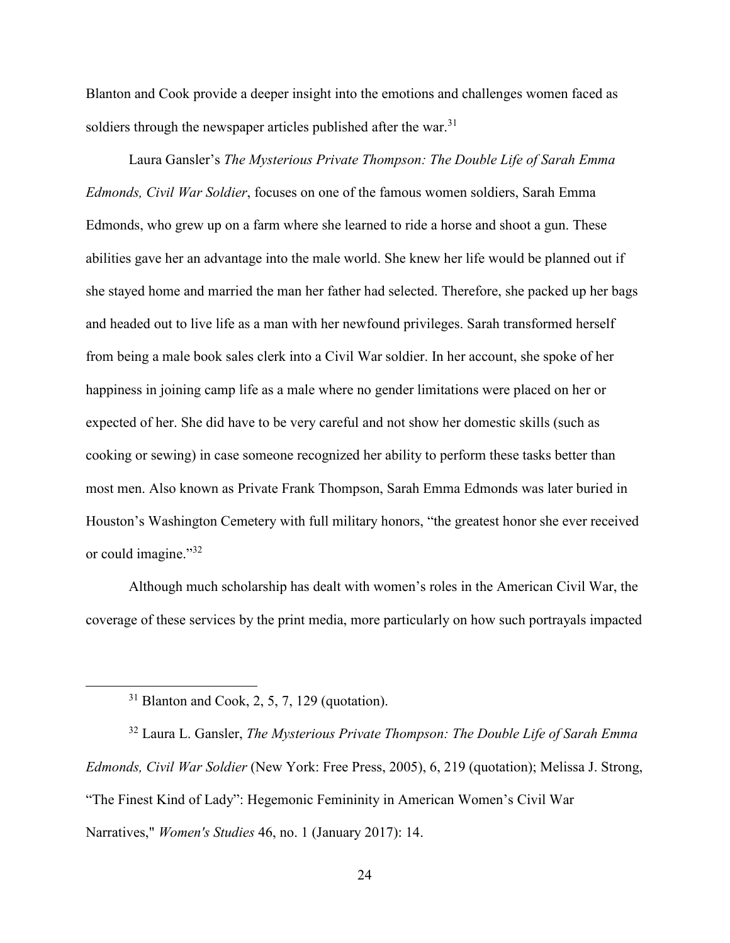Blanton and Cook provide a deeper insight into the emotions and challenges women faced as soldiers through the newspaper articles published after the war.<sup>31</sup>

 Laura Gansler's *The Mysterious Private Thompson: The Double Life of Sarah Emma Edmonds, Civil War Soldier*, focuses on one of the famous women soldiers, Sarah Emma Edmonds, who grew up on a farm where she learned to ride a horse and shoot a gun. These abilities gave her an advantage into the male world. She knew her life would be planned out if she stayed home and married the man her father had selected. Therefore, she packed up her bags and headed out to live life as a man with her newfound privileges. Sarah transformed herself from being a male book sales clerk into a Civil War soldier. In her account, she spoke of her happiness in joining camp life as a male where no gender limitations were placed on her or expected of her. She did have to be very careful and not show her domestic skills (such as cooking or sewing) in case someone recognized her ability to perform these tasks better than most men. Also known as Private Frank Thompson, Sarah Emma Edmonds was later buried in Houston's Washington Cemetery with full military honors, "the greatest honor she ever received or could imagine."<sup>32</sup>

Although much scholarship has dealt with women's roles in the American Civil War, the coverage of these services by the print media, more particularly on how such portrayals impacted

 $31$  Blanton and Cook, 2, 5, 7, 129 (quotation).

-

<sup>32</sup> Laura L. Gansler, *The Mysterious Private Thompson: The Double Life of Sarah Emma Edmonds, Civil War Soldier* (New York: Free Press, 2005), 6, 219 (quotation); Melissa J. Strong, "The Finest Kind of Lady": Hegemonic Femininity in American Women's Civil War Narratives," *Women's Studies* 46, no. 1 (January 2017): 14.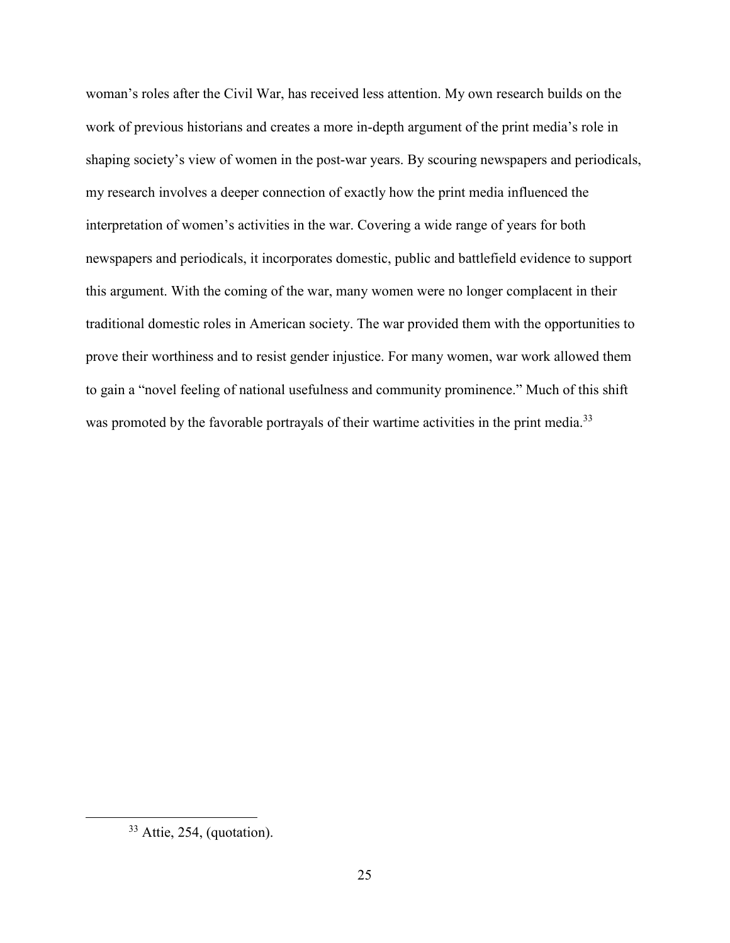woman's roles after the Civil War, has received less attention. My own research builds on the work of previous historians and creates a more in-depth argument of the print media's role in shaping society's view of women in the post-war years. By scouring newspapers and periodicals, my research involves a deeper connection of exactly how the print media influenced the interpretation of women's activities in the war. Covering a wide range of years for both newspapers and periodicals, it incorporates domestic, public and battlefield evidence to support this argument. With the coming of the war, many women were no longer complacent in their traditional domestic roles in American society. The war provided them with the opportunities to prove their worthiness and to resist gender injustice. For many women, war work allowed them to gain a "novel feeling of national usefulness and community prominence." Much of this shift was promoted by the favorable portrayals of their wartime activities in the print media.<sup>33</sup>

<sup>33</sup> Attie, 254, (quotation).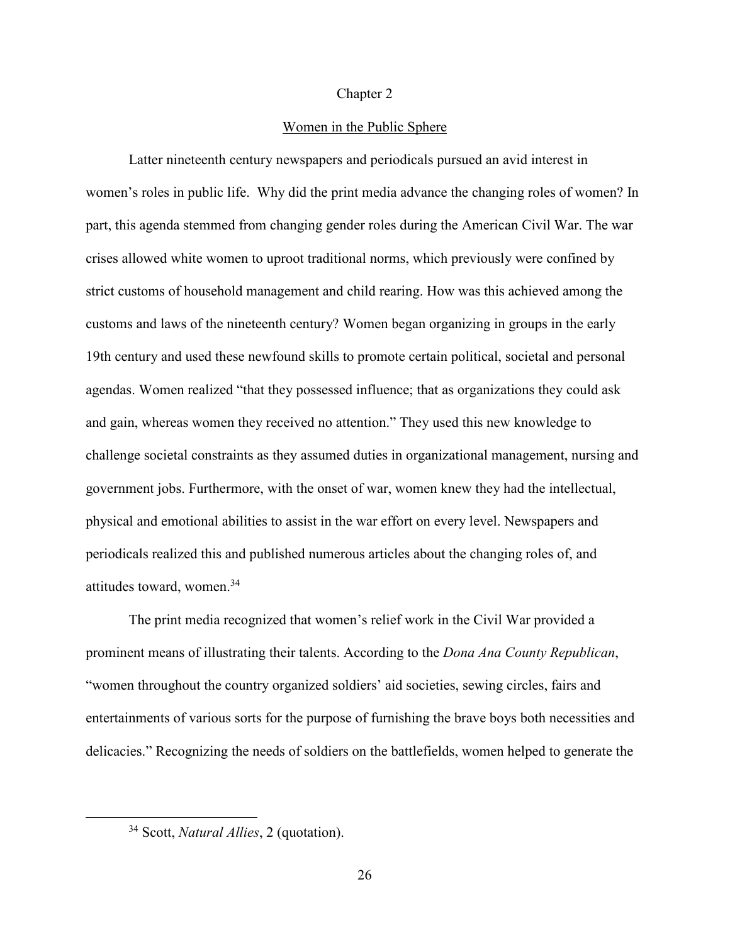### Chapter 2

## Women in the Public Sphere

Latter nineteenth century newspapers and periodicals pursued an avid interest in women's roles in public life. Why did the print media advance the changing roles of women? In part, this agenda stemmed from changing gender roles during the American Civil War. The war crises allowed white women to uproot traditional norms, which previously were confined by strict customs of household management and child rearing. How was this achieved among the customs and laws of the nineteenth century? Women began organizing in groups in the early 19th century and used these newfound skills to promote certain political, societal and personal agendas. Women realized "that they possessed influence; that as organizations they could ask and gain, whereas women they received no attention." They used this new knowledge to challenge societal constraints as they assumed duties in organizational management, nursing and government jobs. Furthermore, with the onset of war, women knew they had the intellectual, physical and emotional abilities to assist in the war effort on every level. Newspapers and periodicals realized this and published numerous articles about the changing roles of, and attitudes toward, women.<sup>34</sup>

The print media recognized that women's relief work in the Civil War provided a prominent means of illustrating their talents. According to the *Dona Ana County Republican*, "women throughout the country organized soldiers' aid societies, sewing circles, fairs and entertainments of various sorts for the purpose of furnishing the brave boys both necessities and delicacies." Recognizing the needs of soldiers on the battlefields, women helped to generate the

<u>.</u>

<sup>34</sup> Scott, *Natural Allies*, 2 (quotation).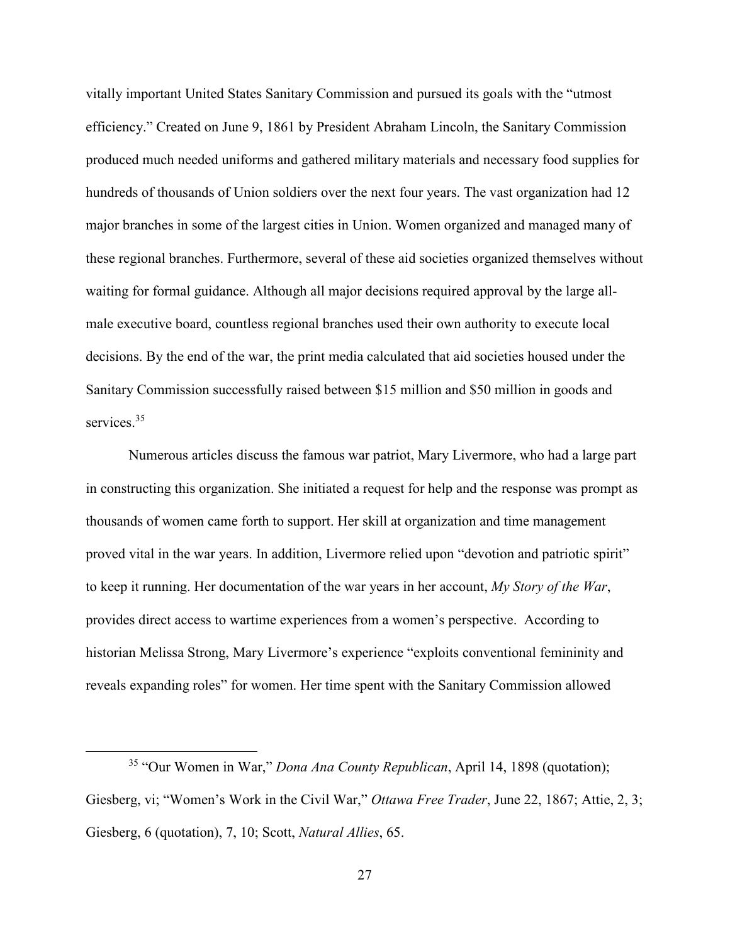vitally important United States Sanitary Commission and pursued its goals with the "utmost efficiency." Created on June 9, 1861 by President Abraham Lincoln, the Sanitary Commission produced much needed uniforms and gathered military materials and necessary food supplies for hundreds of thousands of Union soldiers over the next four years. The vast organization had 12 major branches in some of the largest cities in Union. Women organized and managed many of these regional branches. Furthermore, several of these aid societies organized themselves without waiting for formal guidance. Although all major decisions required approval by the large allmale executive board, countless regional branches used their own authority to execute local decisions. By the end of the war, the print media calculated that aid societies housed under the Sanitary Commission successfully raised between \$15 million and \$50 million in goods and services.<sup>35</sup>

Numerous articles discuss the famous war patriot, Mary Livermore, who had a large part in constructing this organization. She initiated a request for help and the response was prompt as thousands of women came forth to support. Her skill at organization and time management proved vital in the war years. In addition, Livermore relied upon "devotion and patriotic spirit" to keep it running. Her documentation of the war years in her account, *My Story of the War*, provides direct access to wartime experiences from a women's perspective. According to historian Melissa Strong, Mary Livermore's experience "exploits conventional femininity and reveals expanding roles" for women. Her time spent with the Sanitary Commission allowed

<sup>35</sup> "Our Women in War," *Dona Ana County Republican*, April 14, 1898 (quotation); Giesberg, vi; "Women's Work in the Civil War," *Ottawa Free Trader*, June 22, 1867; Attie, 2, 3; Giesberg, 6 (quotation), 7, 10; Scott, *Natural Allies*, 65.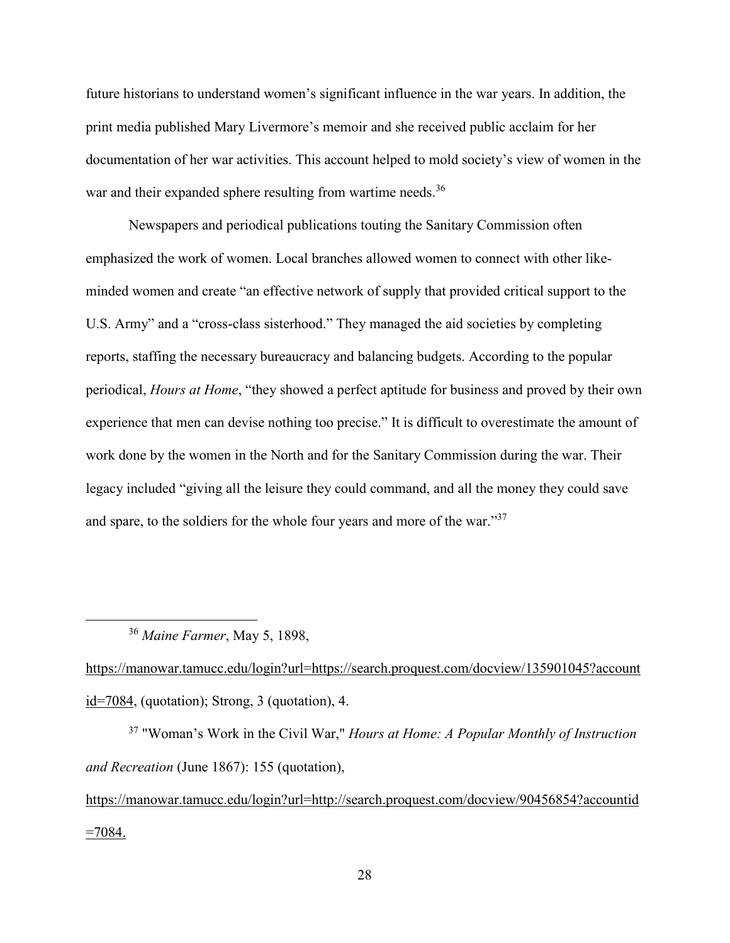future historians to understand women's significant influence in the war years. In addition, the print media published Mary Livermore's memoir and she received public acclaim for her documentation of her war activities. This account helped to mold society's view of women in the war and their expanded sphere resulting from wartime needs.<sup>36</sup>

Newspapers and periodical publications touting the Sanitary Commission often emphasized the work of women. Local branches allowed women to connect with other likeminded women and create "an effective network of supply that provided critical support to the U.S. Army" and a "cross-class sisterhood." They managed the aid societies by completing reports, staffing the necessary bureaucracy and balancing budgets. According to the popular periodical, *Hours at Home*, "they showed a perfect aptitude for business and proved by their own experience that men can devise nothing too precise." It is difficult to overestimate the amount of work done by the women in the North and for the Sanitary Commission during the war. Their legacy included "giving all the leisure they could command, and all the money they could save and spare, to the soldiers for the whole four years and more of the war."<sup>37</sup>

<sup>36</sup> *Maine Farmer*, May 5, 1898,

 $\overline{a}$ 

https://manowar.tamucc.edu/login?url=https://search.proquest.com/docview/135901045?account id=7084, (quotation); Strong, 3 (quotation), 4.

<sup>37</sup> "Woman's Work in the Civil War," *Hours at Home: A Popular Monthly of Instruction and Recreation* (June 1867): 155 (quotation),

https://manowar.tamucc.edu/login?url=http://search.proquest.com/docview/90456854?accountid  $=7084$ .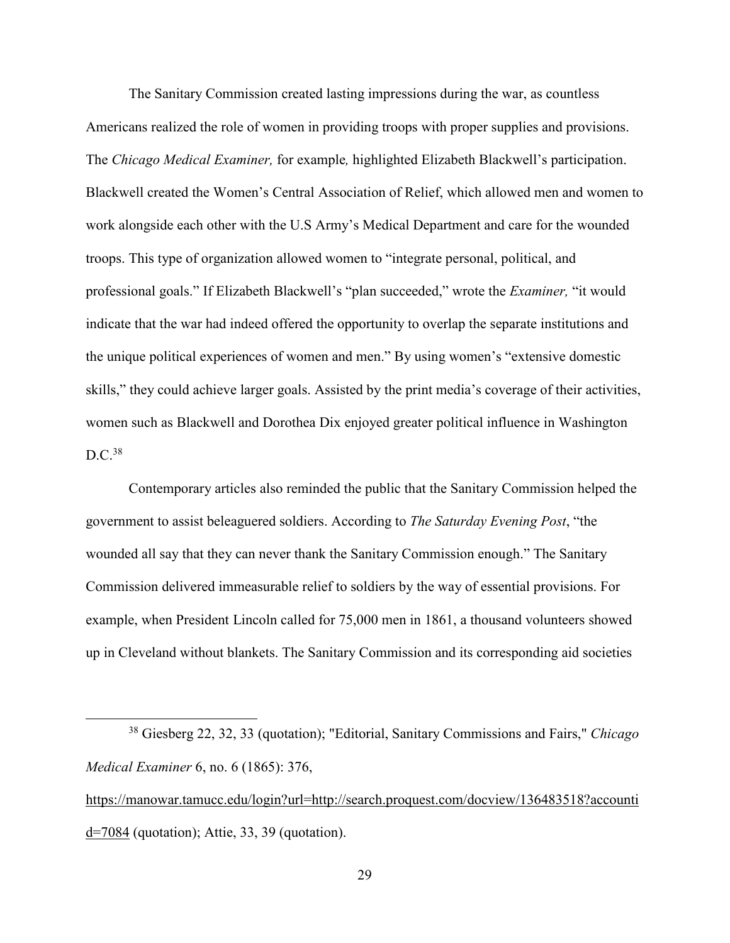The Sanitary Commission created lasting impressions during the war, as countless Americans realized the role of women in providing troops with proper supplies and provisions. The *Chicago Medical Examiner,* for example*,* highlighted Elizabeth Blackwell's participation. Blackwell created the Women's Central Association of Relief, which allowed men and women to work alongside each other with the U.S Army's Medical Department and care for the wounded troops. This type of organization allowed women to "integrate personal, political, and professional goals." If Elizabeth Blackwell's "plan succeeded," wrote the *Examiner,* "it would indicate that the war had indeed offered the opportunity to overlap the separate institutions and the unique political experiences of women and men." By using women's "extensive domestic skills," they could achieve larger goals. Assisted by the print media's coverage of their activities, women such as Blackwell and Dorothea Dix enjoyed greater political influence in Washington  $D.C.<sup>38</sup>$ 

Contemporary articles also reminded the public that the Sanitary Commission helped the government to assist beleaguered soldiers. According to *The Saturday Evening Post*, "the wounded all say that they can never thank the Sanitary Commission enough." The Sanitary Commission delivered immeasurable relief to soldiers by the way of essential provisions. For example, when President Lincoln called for 75,000 men in 1861, a thousand volunteers showed up in Cleveland without blankets. The Sanitary Commission and its corresponding aid societies

l

<sup>38</sup> Giesberg 22, 32, 33 (quotation); "Editorial, Sanitary Commissions and Fairs," *Chicago Medical Examiner* 6, no. 6 (1865): 376,

https://manowar.tamucc.edu/login?url=http://search.proquest.com/docview/136483518?accounti d=7084 (quotation); Attie, 33, 39 (quotation).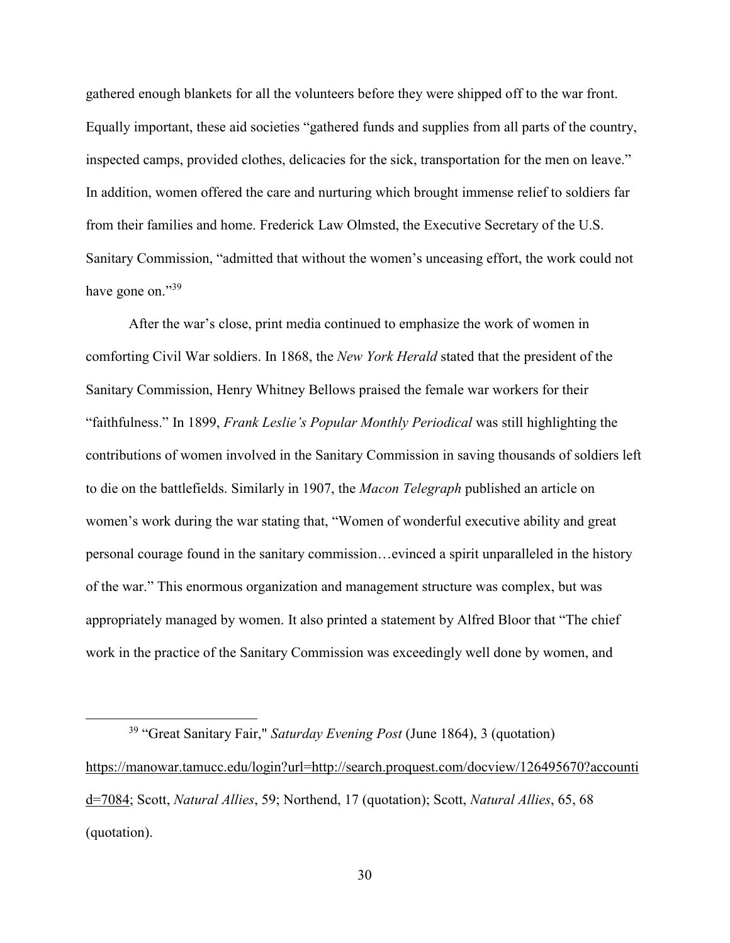gathered enough blankets for all the volunteers before they were shipped off to the war front. Equally important, these aid societies "gathered funds and supplies from all parts of the country, inspected camps, provided clothes, delicacies for the sick, transportation for the men on leave." In addition, women offered the care and nurturing which brought immense relief to soldiers far from their families and home. Frederick Law Olmsted, the Executive Secretary of the U.S. Sanitary Commission, "admitted that without the women's unceasing effort, the work could not have gone on."39

After the war's close, print media continued to emphasize the work of women in comforting Civil War soldiers. In 1868, the *New York Herald* stated that the president of the Sanitary Commission, Henry Whitney Bellows praised the female war workers for their "faithfulness." In 1899, *Frank Leslie's Popular Monthly Periodical* was still highlighting the contributions of women involved in the Sanitary Commission in saving thousands of soldiers left to die on the battlefields. Similarly in 1907, the *Macon Telegraph* published an article on women's work during the war stating that, "Women of wonderful executive ability and great personal courage found in the sanitary commission…evinced a spirit unparalleled in the history of the war." This enormous organization and management structure was complex, but was appropriately managed by women. It also printed a statement by Alfred Bloor that "The chief work in the practice of the Sanitary Commission was exceedingly well done by women, and

l

<sup>39</sup> "Great Sanitary Fair," *Saturday Evening Post* (June 1864), 3 (quotation) https://manowar.tamucc.edu/login?url=http://search.proquest.com/docview/126495670?accounti d=7084; Scott, *Natural Allies*, 59; Northend, 17 (quotation); Scott, *Natural Allies*, 65, 68 (quotation).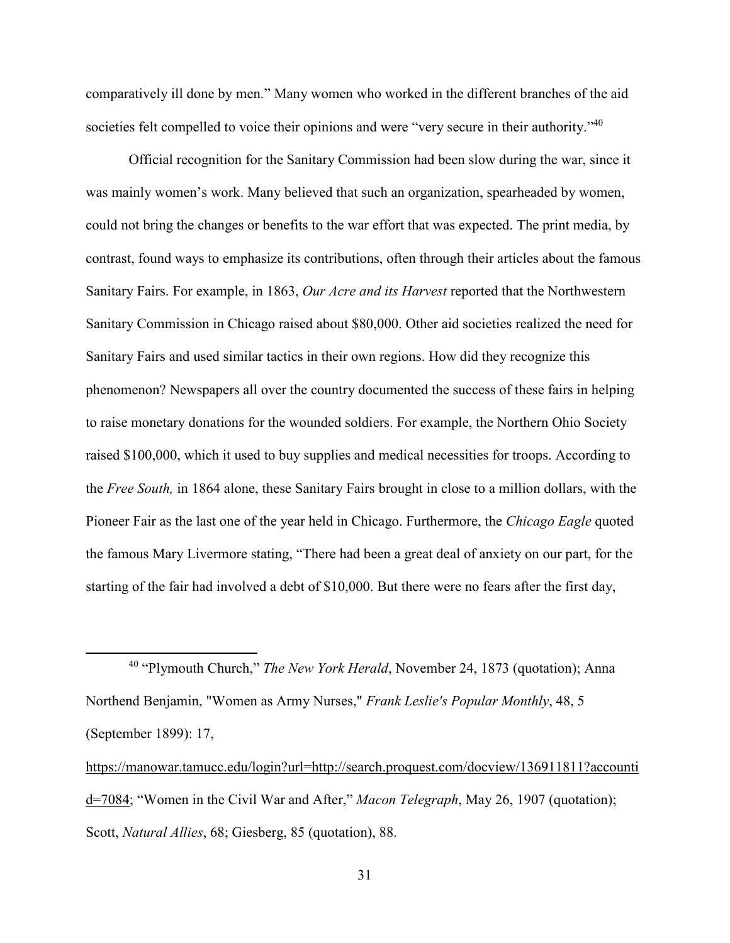comparatively ill done by men." Many women who worked in the different branches of the aid societies felt compelled to voice their opinions and were "very secure in their authority."<sup>40</sup>

Official recognition for the Sanitary Commission had been slow during the war, since it was mainly women's work. Many believed that such an organization, spearheaded by women, could not bring the changes or benefits to the war effort that was expected. The print media, by contrast, found ways to emphasize its contributions, often through their articles about the famous Sanitary Fairs. For example, in 1863, *Our Acre and its Harvest* reported that the Northwestern Sanitary Commission in Chicago raised about \$80,000. Other aid societies realized the need for Sanitary Fairs and used similar tactics in their own regions. How did they recognize this phenomenon? Newspapers all over the country documented the success of these fairs in helping to raise monetary donations for the wounded soldiers. For example, the Northern Ohio Society raised \$100,000, which it used to buy supplies and medical necessities for troops. According to the *Free South,* in 1864 alone, these Sanitary Fairs brought in close to a million dollars, with the Pioneer Fair as the last one of the year held in Chicago. Furthermore, the *Chicago Eagle* quoted the famous Mary Livermore stating, "There had been a great deal of anxiety on our part, for the starting of the fair had involved a debt of \$10,000. But there were no fears after the first day,

<sup>40</sup> "Plymouth Church," *The New York Herald*, November 24, 1873 (quotation); Anna Northend Benjamin, "Women as Army Nurses," *Frank Leslie's Popular Monthly*, 48, 5 (September 1899): 17,

<u>.</u>

https://manowar.tamucc.edu/login?url=http://search.proquest.com/docview/136911811?accounti d=7084; "Women in the Civil War and After," *Macon Telegraph*, May 26, 1907 (quotation); Scott, *Natural Allies*, 68; Giesberg, 85 (quotation), 88.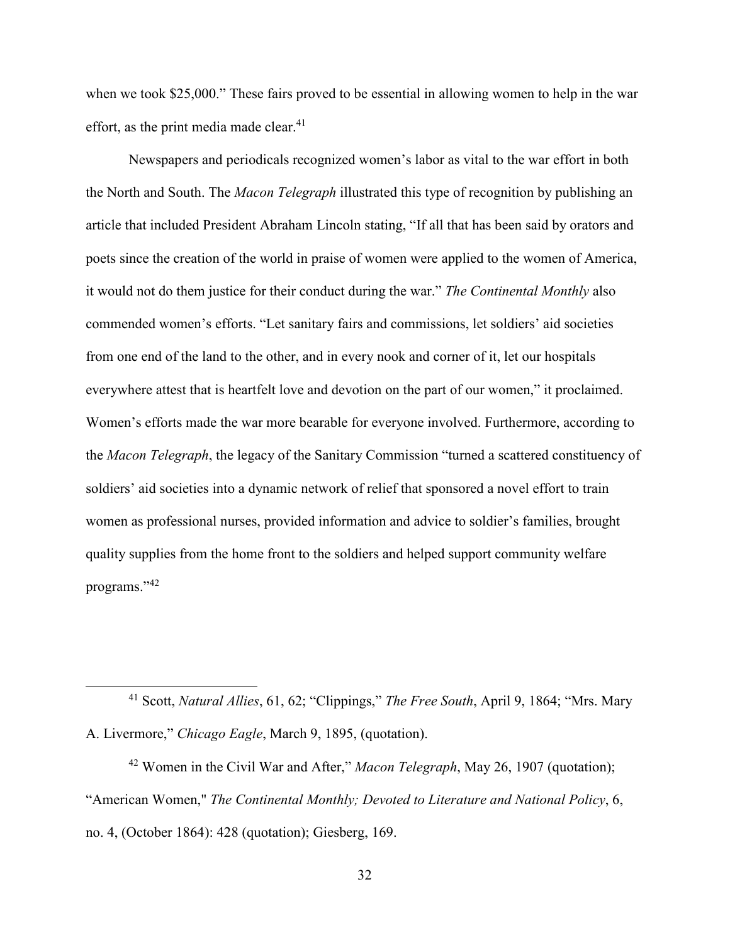when we took \$25,000." These fairs proved to be essential in allowing women to help in the war effort, as the print media made clear.<sup>41</sup>

Newspapers and periodicals recognized women's labor as vital to the war effort in both the North and South. The *Macon Telegraph* illustrated this type of recognition by publishing an article that included President Abraham Lincoln stating, "If all that has been said by orators and poets since the creation of the world in praise of women were applied to the women of America, it would not do them justice for their conduct during the war." *The Continental Monthly* also commended women's efforts. "Let sanitary fairs and commissions, let soldiers' aid societies from one end of the land to the other, and in every nook and corner of it, let our hospitals everywhere attest that is heartfelt love and devotion on the part of our women," it proclaimed. Women's efforts made the war more bearable for everyone involved. Furthermore, according to the *Macon Telegraph*, the legacy of the Sanitary Commission "turned a scattered constituency of soldiers' aid societies into a dynamic network of relief that sponsored a novel effort to train women as professional nurses, provided information and advice to soldier's families, brought quality supplies from the home front to the soldiers and helped support community welfare programs."<sup>42</sup>

<sup>41</sup> Scott, *Natural Allies*, 61, 62; "Clippings," *The Free South*, April 9, 1864; "Mrs. Mary A. Livermore," *Chicago Eagle*, March 9, 1895, (quotation).

 $\overline{a}$ 

<sup>42</sup> Women in the Civil War and After," *Macon Telegraph*, May 26, 1907 (quotation); "American Women," *The Continental Monthly; Devoted to Literature and National Policy*, 6, no. 4, (October 1864): 428 (quotation); Giesberg, 169.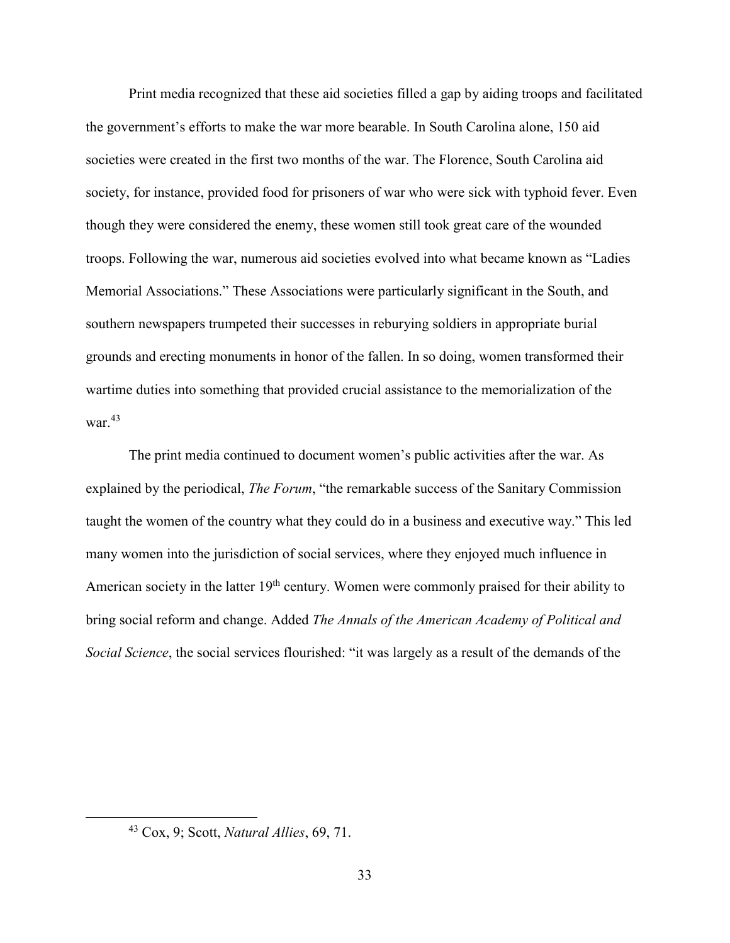Print media recognized that these aid societies filled a gap by aiding troops and facilitated the government's efforts to make the war more bearable. In South Carolina alone, 150 aid societies were created in the first two months of the war. The Florence, South Carolina aid society, for instance, provided food for prisoners of war who were sick with typhoid fever. Even though they were considered the enemy, these women still took great care of the wounded troops. Following the war, numerous aid societies evolved into what became known as "Ladies Memorial Associations." These Associations were particularly significant in the South, and southern newspapers trumpeted their successes in reburying soldiers in appropriate burial grounds and erecting monuments in honor of the fallen. In so doing, women transformed their wartime duties into something that provided crucial assistance to the memorialization of the war.<sup>43</sup>

The print media continued to document women's public activities after the war. As explained by the periodical, *The Forum*, "the remarkable success of the Sanitary Commission taught the women of the country what they could do in a business and executive way." This led many women into the jurisdiction of social services, where they enjoyed much influence in American society in the latter 19<sup>th</sup> century. Women were commonly praised for their ability to bring social reform and change. Added *The Annals of the American Academy of Political and Social Science*, the social services flourished: "it was largely as a result of the demands of the

<sup>43</sup> Cox, 9; Scott, *Natural Allies*, 69, 71.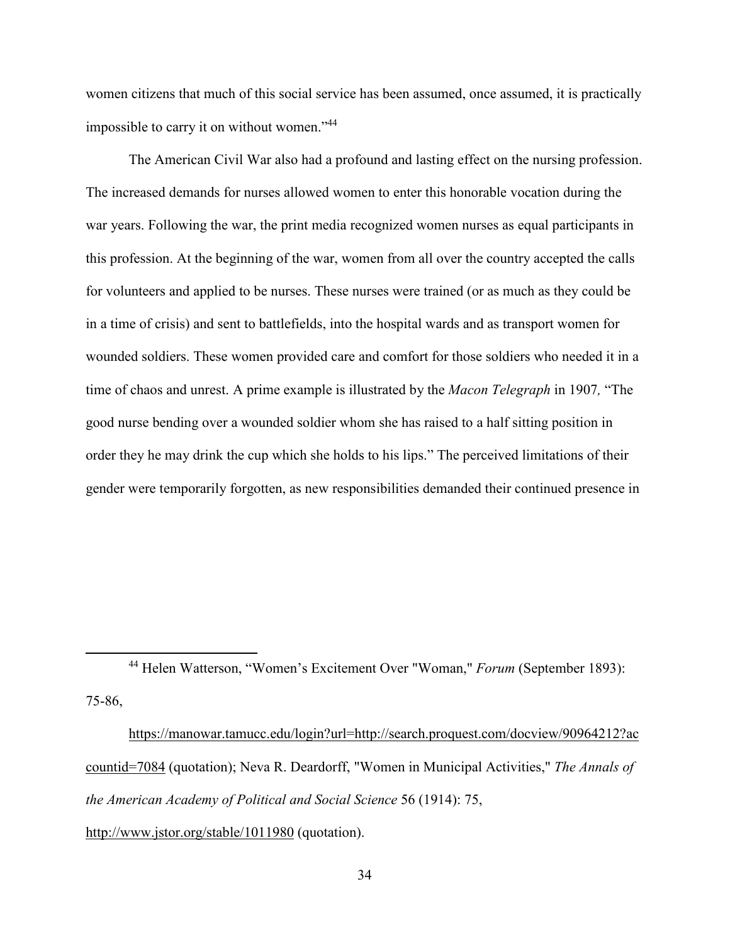women citizens that much of this social service has been assumed, once assumed, it is practically impossible to carry it on without women."<sup>44</sup>

The American Civil War also had a profound and lasting effect on the nursing profession. The increased demands for nurses allowed women to enter this honorable vocation during the war years. Following the war, the print media recognized women nurses as equal participants in this profession. At the beginning of the war, women from all over the country accepted the calls for volunteers and applied to be nurses. These nurses were trained (or as much as they could be in a time of crisis) and sent to battlefields, into the hospital wards and as transport women for wounded soldiers. These women provided care and comfort for those soldiers who needed it in a time of chaos and unrest. A prime example is illustrated by the *Macon Telegraph* in 1907*,* "The good nurse bending over a wounded soldier whom she has raised to a half sitting position in order they he may drink the cup which she holds to his lips." The perceived limitations of their gender were temporarily forgotten, as new responsibilities demanded their continued presence in

<sup>44</sup> Helen Watterson, "Women's Excitement Over "Woman," *Forum* (September 1893): 75-86,

 $\overline{a}$ 

 https://manowar.tamucc.edu/login?url=http://search.proquest.com/docview/90964212?ac countid=7084 (quotation); Neva R. Deardorff, "Women in Municipal Activities," *The Annals of the American Academy of Political and Social Science* 56 (1914): 75, http://www.jstor.org/stable/1011980 (quotation).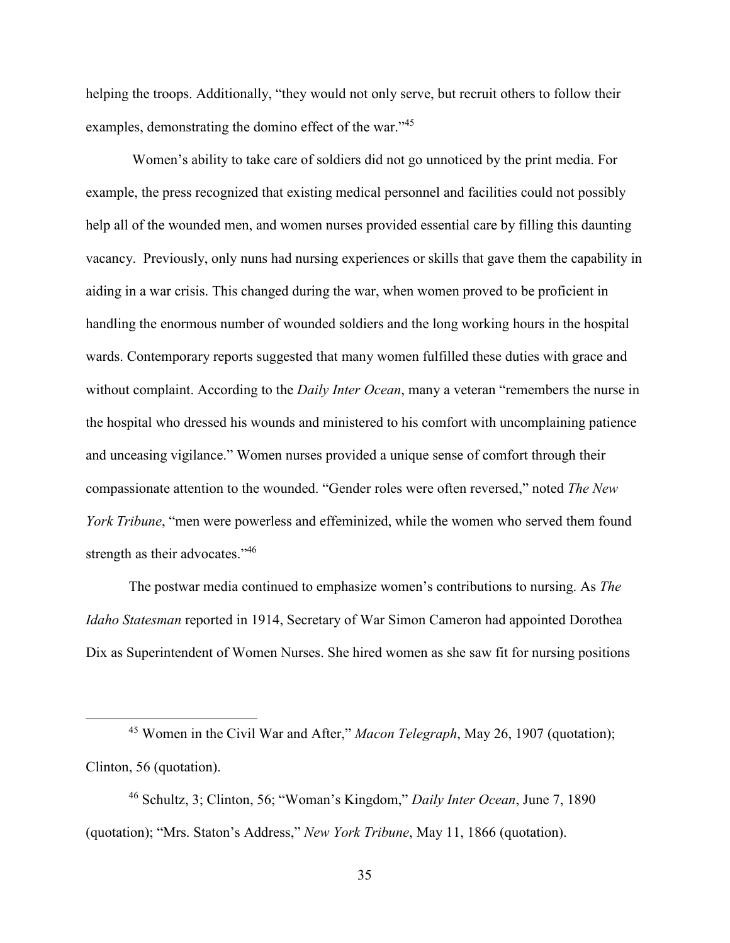helping the troops. Additionally, "they would not only serve, but recruit others to follow their examples, demonstrating the domino effect of the war."<sup>45</sup>

 Women's ability to take care of soldiers did not go unnoticed by the print media. For example, the press recognized that existing medical personnel and facilities could not possibly help all of the wounded men, and women nurses provided essential care by filling this daunting vacancy. Previously, only nuns had nursing experiences or skills that gave them the capability in aiding in a war crisis. This changed during the war, when women proved to be proficient in handling the enormous number of wounded soldiers and the long working hours in the hospital wards. Contemporary reports suggested that many women fulfilled these duties with grace and without complaint. According to the *Daily Inter Ocean*, many a veteran "remembers the nurse in the hospital who dressed his wounds and ministered to his comfort with uncomplaining patience and unceasing vigilance." Women nurses provided a unique sense of comfort through their compassionate attention to the wounded. "Gender roles were often reversed," noted *The New York Tribune*, "men were powerless and effeminized, while the women who served them found strength as their advocates."<sup>46</sup>

The postwar media continued to emphasize women's contributions to nursing. As *The Idaho Statesman* reported in 1914, Secretary of War Simon Cameron had appointed Dorothea Dix as Superintendent of Women Nurses. She hired women as she saw fit for nursing positions

<sup>45</sup> Women in the Civil War and After," *Macon Telegraph*, May 26, 1907 (quotation); Clinton, 56 (quotation).

<sup>46</sup> Schultz, 3; Clinton, 56; "Woman's Kingdom," *Daily Inter Ocean*, June 7, 1890 (quotation); "Mrs. Staton's Address," *New York Tribune*, May 11, 1866 (quotation).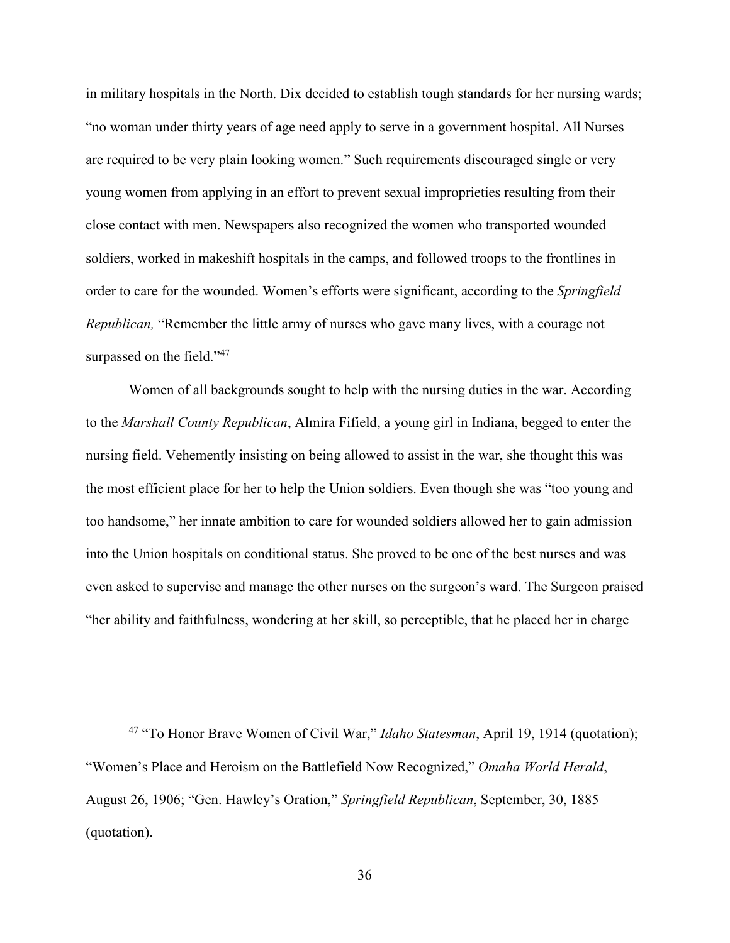in military hospitals in the North. Dix decided to establish tough standards for her nursing wards; "no woman under thirty years of age need apply to serve in a government hospital. All Nurses are required to be very plain looking women." Such requirements discouraged single or very young women from applying in an effort to prevent sexual improprieties resulting from their close contact with men. Newspapers also recognized the women who transported wounded soldiers, worked in makeshift hospitals in the camps, and followed troops to the frontlines in order to care for the wounded. Women's efforts were significant, according to the *Springfield Republican,* "Remember the little army of nurses who gave many lives, with a courage not surpassed on the field."<sup>47</sup>

Women of all backgrounds sought to help with the nursing duties in the war. According to the *Marshall County Republican*, Almira Fifield, a young girl in Indiana, begged to enter the nursing field. Vehemently insisting on being allowed to assist in the war, she thought this was the most efficient place for her to help the Union soldiers. Even though she was "too young and too handsome," her innate ambition to care for wounded soldiers allowed her to gain admission into the Union hospitals on conditional status. She proved to be one of the best nurses and was even asked to supervise and manage the other nurses on the surgeon's ward. The Surgeon praised "her ability and faithfulness, wondering at her skill, so perceptible, that he placed her in charge

<sup>47</sup> "To Honor Brave Women of Civil War," *Idaho Statesman*, April 19, 1914 (quotation); "Women's Place and Heroism on the Battlefield Now Recognized," *Omaha World Herald*, August 26, 1906; "Gen. Hawley's Oration," *Springfield Republican*, September, 30, 1885 (quotation).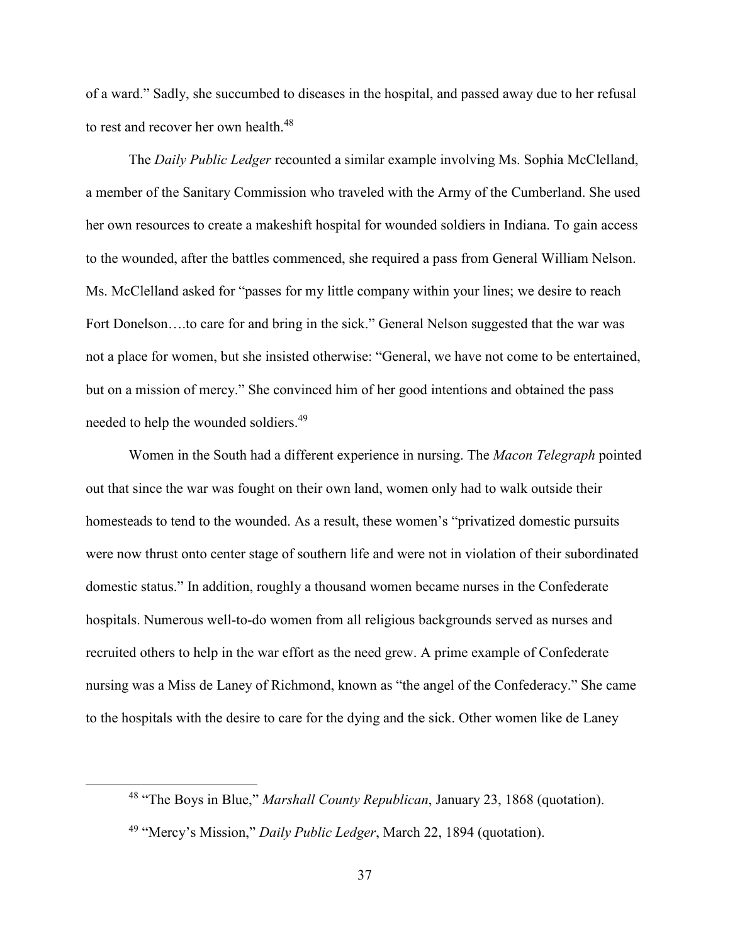of a ward." Sadly, she succumbed to diseases in the hospital, and passed away due to her refusal to rest and recover her own health.<sup>48</sup>

The *Daily Public Ledger* recounted a similar example involving Ms. Sophia McClelland, a member of the Sanitary Commission who traveled with the Army of the Cumberland. She used her own resources to create a makeshift hospital for wounded soldiers in Indiana. To gain access to the wounded, after the battles commenced, she required a pass from General William Nelson. Ms. McClelland asked for "passes for my little company within your lines; we desire to reach Fort Donelson....to care for and bring in the sick." General Nelson suggested that the war was not a place for women, but she insisted otherwise: "General, we have not come to be entertained, but on a mission of mercy." She convinced him of her good intentions and obtained the pass needed to help the wounded soldiers.<sup>49</sup>

Women in the South had a different experience in nursing. The *Macon Telegraph* pointed out that since the war was fought on their own land, women only had to walk outside their homesteads to tend to the wounded. As a result, these women's "privatized domestic pursuits were now thrust onto center stage of southern life and were not in violation of their subordinated domestic status." In addition, roughly a thousand women became nurses in the Confederate hospitals. Numerous well-to-do women from all religious backgrounds served as nurses and recruited others to help in the war effort as the need grew. A prime example of Confederate nursing was a Miss de Laney of Richmond, known as "the angel of the Confederacy." She came to the hospitals with the desire to care for the dying and the sick. Other women like de Laney

<sup>48</sup> "The Boys in Blue," *Marshall County Republican*, January 23, 1868 (quotation).

<sup>49</sup> "Mercy's Mission," *Daily Public Ledger*, March 22, 1894 (quotation).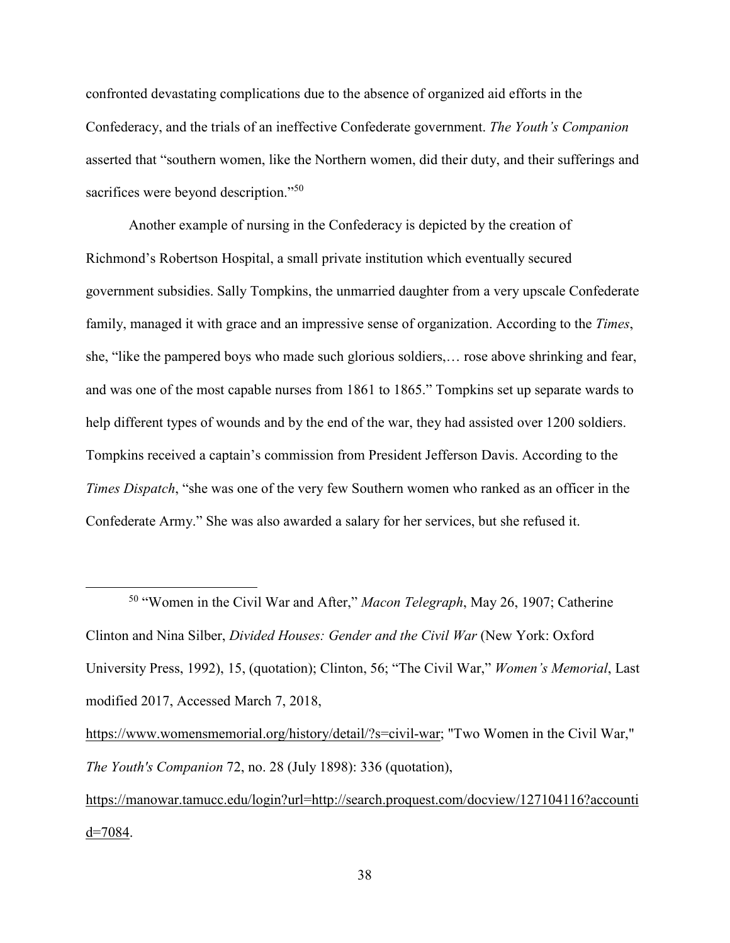confronted devastating complications due to the absence of organized aid efforts in the Confederacy, and the trials of an ineffective Confederate government. *The Youth's Companion* asserted that "southern women, like the Northern women, did their duty, and their sufferings and sacrifices were beyond description."<sup>50</sup>

Another example of nursing in the Confederacy is depicted by the creation of Richmond's Robertson Hospital, a small private institution which eventually secured government subsidies. Sally Tompkins, the unmarried daughter from a very upscale Confederate family, managed it with grace and an impressive sense of organization. According to the *Times*, she, "like the pampered boys who made such glorious soldiers,… rose above shrinking and fear, and was one of the most capable nurses from 1861 to 1865." Tompkins set up separate wards to help different types of wounds and by the end of the war, they had assisted over 1200 soldiers. Tompkins received a captain's commission from President Jefferson Davis. According to the *Times Dispatch*, "she was one of the very few Southern women who ranked as an officer in the Confederate Army." She was also awarded a salary for her services, but she refused it.

<sup>50</sup> "Women in the Civil War and After," *Macon Telegraph*, May 26, 1907; Catherine Clinton and Nina Silber, *Divided Houses: Gender and the Civil War* (New York: Oxford University Press, 1992), 15, (quotation); Clinton, 56; "The Civil War," *Women's Memorial*, Last modified 2017, Accessed March 7, 2018,

 $\overline{a}$ 

https://www.womensmemorial.org/history/detail/?s=civil-war; "Two Women in the Civil War," *The Youth's Companion* 72, no. 28 (July 1898): 336 (quotation),

https://manowar.tamucc.edu/login?url=http://search.proquest.com/docview/127104116?accounti  $d=7084$ .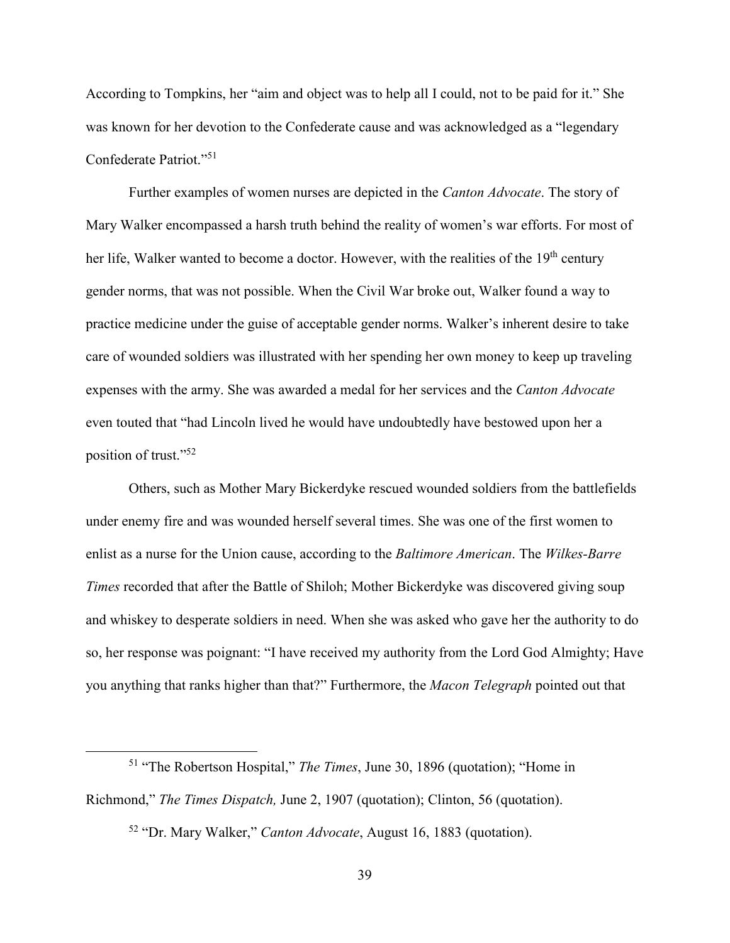According to Tompkins, her "aim and object was to help all I could, not to be paid for it." She was known for her devotion to the Confederate cause and was acknowledged as a "legendary Confederate Patriot."<sup>51</sup>

Further examples of women nurses are depicted in the *Canton Advocate*. The story of Mary Walker encompassed a harsh truth behind the reality of women's war efforts. For most of her life, Walker wanted to become a doctor. However, with the realities of the 19<sup>th</sup> century gender norms, that was not possible. When the Civil War broke out, Walker found a way to practice medicine under the guise of acceptable gender norms. Walker's inherent desire to take care of wounded soldiers was illustrated with her spending her own money to keep up traveling expenses with the army. She was awarded a medal for her services and the *Canton Advocate* even touted that "had Lincoln lived he would have undoubtedly have bestowed upon her a position of trust."<sup>52</sup>

Others, such as Mother Mary Bickerdyke rescued wounded soldiers from the battlefields under enemy fire and was wounded herself several times. She was one of the first women to enlist as a nurse for the Union cause, according to the *Baltimore American*. The *Wilkes-Barre Times* recorded that after the Battle of Shiloh; Mother Bickerdyke was discovered giving soup and whiskey to desperate soldiers in need. When she was asked who gave her the authority to do so, her response was poignant: "I have received my authority from the Lord God Almighty; Have you anything that ranks higher than that?" Furthermore, the *Macon Telegraph* pointed out that

<sup>51</sup> "The Robertson Hospital," *The Times*, June 30, 1896 (quotation); "Home in Richmond," *The Times Dispatch,* June 2, 1907 (quotation); Clinton, 56 (quotation). <sup>52</sup> "Dr. Mary Walker," *Canton Advocate*, August 16, 1883 (quotation).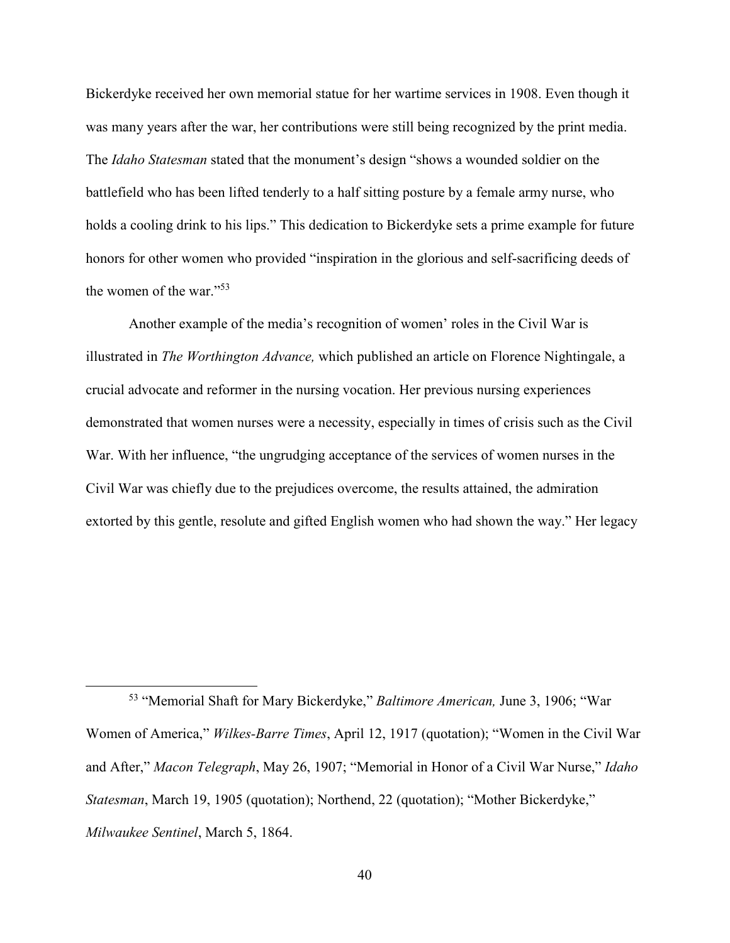Bickerdyke received her own memorial statue for her wartime services in 1908. Even though it was many years after the war, her contributions were still being recognized by the print media. The *Idaho Statesman* stated that the monument's design "shows a wounded soldier on the battlefield who has been lifted tenderly to a half sitting posture by a female army nurse, who holds a cooling drink to his lips." This dedication to Bickerdyke sets a prime example for future honors for other women who provided "inspiration in the glorious and self-sacrificing deeds of the women of the war."<sup>53</sup>

Another example of the media's recognition of women' roles in the Civil War is illustrated in *The Worthington Advance,* which published an article on Florence Nightingale, a crucial advocate and reformer in the nursing vocation. Her previous nursing experiences demonstrated that women nurses were a necessity, especially in times of crisis such as the Civil War. With her influence, "the ungrudging acceptance of the services of women nurses in the Civil War was chiefly due to the prejudices overcome, the results attained, the admiration extorted by this gentle, resolute and gifted English women who had shown the way." Her legacy

<sup>53</sup> "Memorial Shaft for Mary Bickerdyke," *Baltimore American,* June 3, 1906; "War Women of America," *Wilkes-Barre Times*, April 12, 1917 (quotation); "Women in the Civil War and After," *Macon Telegraph*, May 26, 1907; "Memorial in Honor of a Civil War Nurse," *Idaho Statesman*, March 19, 1905 (quotation); Northend, 22 (quotation); "Mother Bickerdyke," *Milwaukee Sentinel*, March 5, 1864.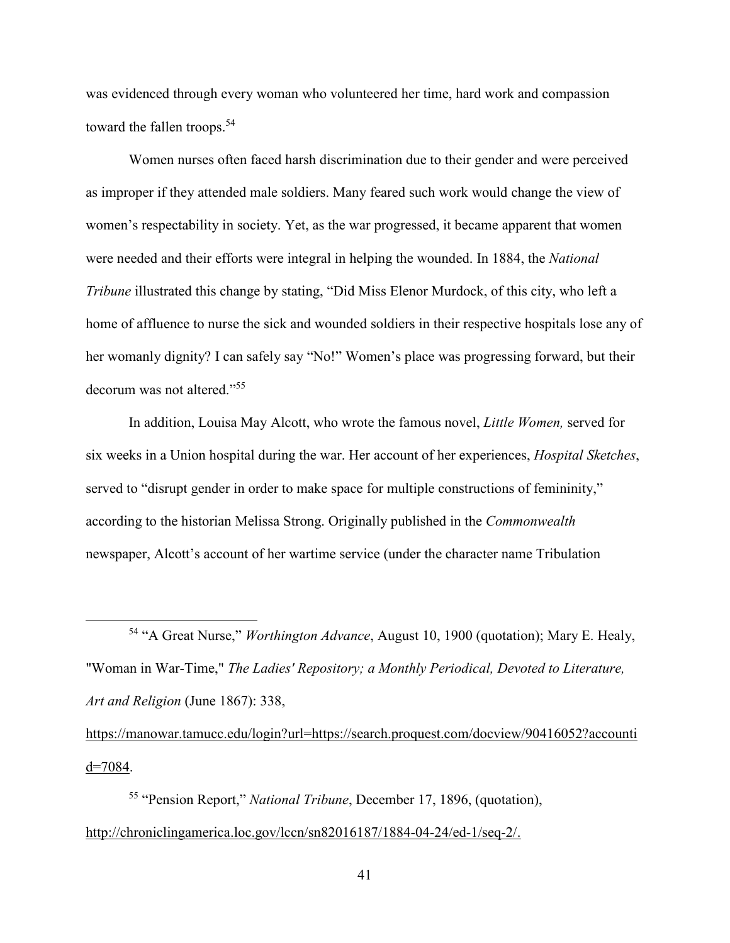was evidenced through every woman who volunteered her time, hard work and compassion toward the fallen troops.<sup>54</sup>

Women nurses often faced harsh discrimination due to their gender and were perceived as improper if they attended male soldiers. Many feared such work would change the view of women's respectability in society. Yet, as the war progressed, it became apparent that women were needed and their efforts were integral in helping the wounded. In 1884, the *National Tribune* illustrated this change by stating, "Did Miss Elenor Murdock, of this city, who left a home of affluence to nurse the sick and wounded soldiers in their respective hospitals lose any of her womanly dignity? I can safely say "No!" Women's place was progressing forward, but their decorum was not altered."<sup>55</sup>

In addition, Louisa May Alcott, who wrote the famous novel, *Little Women,* served for six weeks in a Union hospital during the war. Her account of her experiences, *Hospital Sketches*, served to "disrupt gender in order to make space for multiple constructions of femininity," according to the historian Melissa Strong. Originally published in the *Commonwealth*  newspaper, Alcott's account of her wartime service (under the character name Tribulation

<sup>54</sup> "A Great Nurse," *Worthington Advance*, August 10, 1900 (quotation); Mary E. Healy, "Woman in War-Time," *The Ladies' Repository; a Monthly Periodical, Devoted to Literature, Art and Religion* (June 1867): 338,

https://manowar.tamucc.edu/login?url=https://search.proquest.com/docview/90416052?accounti d=7084.

<sup>55</sup> "Pension Report," *National Tribune*, December 17, 1896, (quotation), http://chroniclingamerica.loc.gov/lccn/sn82016187/1884-04-24/ed-1/seq-2/.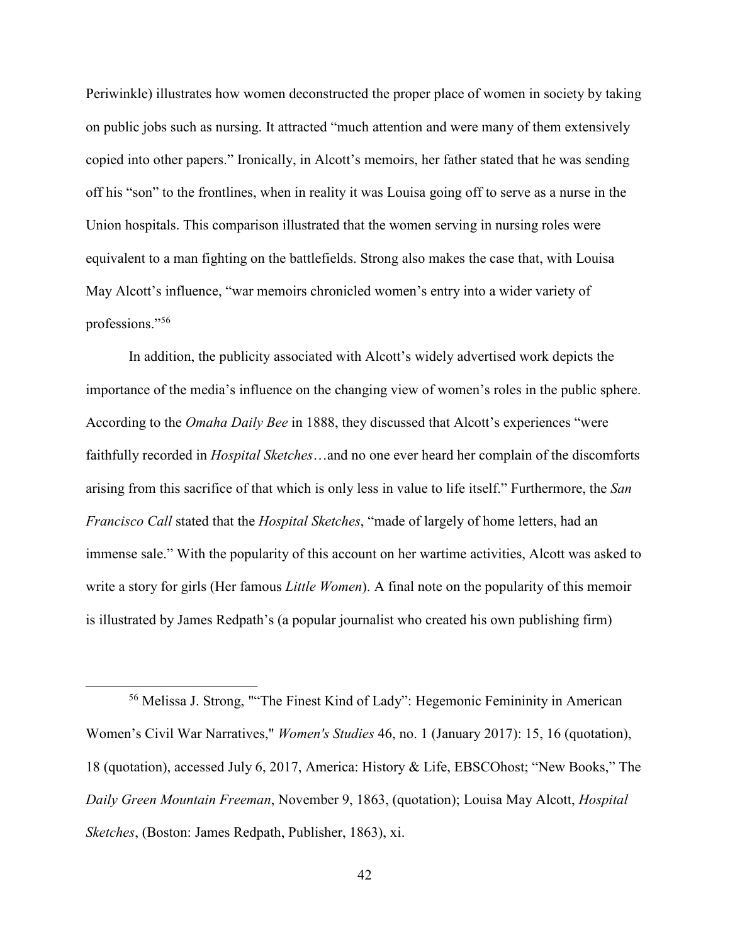Periwinkle) illustrates how women deconstructed the proper place of women in society by taking on public jobs such as nursing. It attracted "much attention and were many of them extensively copied into other papers." Ironically, in Alcott's memoirs, her father stated that he was sending off his "son" to the frontlines, when in reality it was Louisa going off to serve as a nurse in the Union hospitals. This comparison illustrated that the women serving in nursing roles were equivalent to a man fighting on the battlefields. Strong also makes the case that, with Louisa May Alcott's influence, "war memoirs chronicled women's entry into a wider variety of professions."<sup>56</sup>

In addition, the publicity associated with Alcott's widely advertised work depicts the importance of the media's influence on the changing view of women's roles in the public sphere. According to the *Omaha Daily Bee* in 1888, they discussed that Alcott's experiences "were faithfully recorded in *Hospital Sketches*…and no one ever heard her complain of the discomforts arising from this sacrifice of that which is only less in value to life itself." Furthermore, the *San Francisco Call* stated that the *Hospital Sketches*, "made of largely of home letters, had an immense sale." With the popularity of this account on her wartime activities, Alcott was asked to write a story for girls (Her famous *Little Women*). A final note on the popularity of this memoir is illustrated by James Redpath's (a popular journalist who created his own publishing firm)

<sup>56</sup> Melissa J. Strong, ""The Finest Kind of Lady": Hegemonic Femininity in American Women's Civil War Narratives," *Women's Studies* 46, no. 1 (January 2017): 15, 16 (quotation), 18 (quotation), accessed July 6, 2017, America: History & Life, EBSCOhost; "New Books," The *Daily Green Mountain Freeman*, November 9, 1863, (quotation); Louisa May Alcott, *Hospital Sketches*, (Boston: James Redpath, Publisher, 1863), xi.

 $\overline{a}$ 

42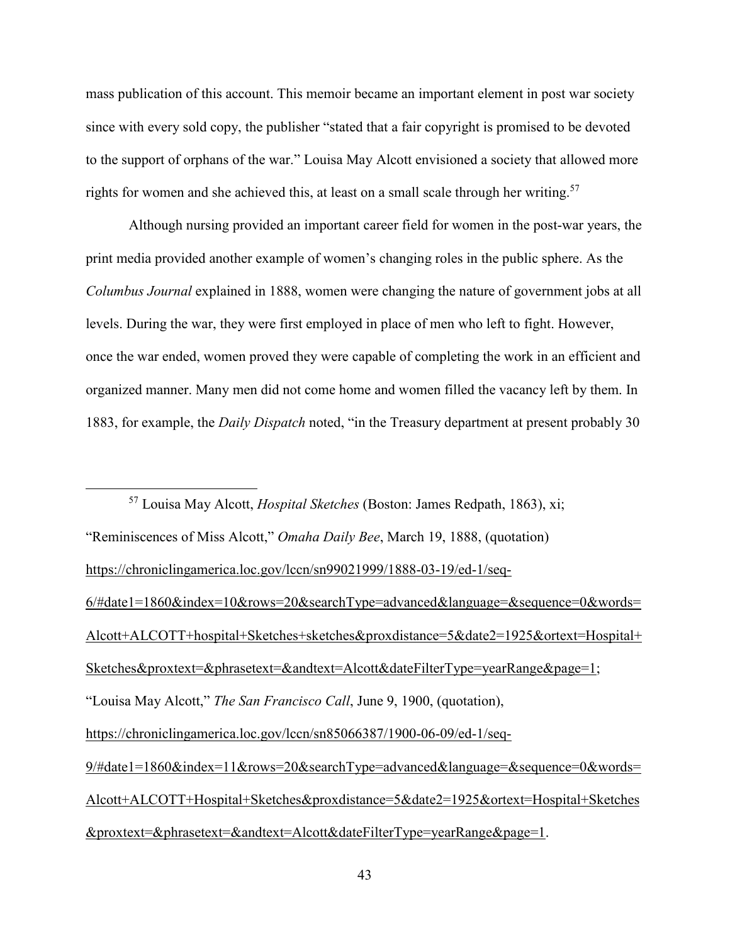mass publication of this account. This memoir became an important element in post war society since with every sold copy, the publisher "stated that a fair copyright is promised to be devoted to the support of orphans of the war." Louisa May Alcott envisioned a society that allowed more rights for women and she achieved this, at least on a small scale through her writing.<sup>57</sup>

Although nursing provided an important career field for women in the post-war years, the print media provided another example of women's changing roles in the public sphere. As the *Columbus Journal* explained in 1888, women were changing the nature of government jobs at all levels. During the war, they were first employed in place of men who left to fight. However, once the war ended, women proved they were capable of completing the work in an efficient and organized manner. Many men did not come home and women filled the vacancy left by them. In 1883, for example, the *Daily Dispatch* noted, "in the Treasury department at present probably 30

 $\overline{a}$ <sup>57</sup> Louisa May Alcott, *Hospital Sketches* (Boston: James Redpath, 1863), xi; "Reminiscences of Miss Alcott," *Omaha Daily Bee*, March 19, 1888, (quotation) https://chroniclingamerica.loc.gov/lccn/sn99021999/1888-03-19/ed-1/seq-6/#date1=1860&index=10&rows=20&searchType=advanced&language=&sequence=0&words= Alcott+ALCOTT+hospital+Sketches+sketches&proxdistance=5&date2=1925&ortext=Hospital+ Sketches&proxtext=&phrasetext=&andtext=Alcott&dateFilterType=yearRange&page=1; "Louisa May Alcott," *The San Francisco Call*, June 9, 1900, (quotation), https://chroniclingamerica.loc.gov/lccn/sn85066387/1900-06-09/ed-1/seq-9/#date1=1860&index=11&rows=20&searchType=advanced&language=&sequence=0&words= Alcott+ALCOTT+Hospital+Sketches&proxdistance=5&date2=1925&ortext=Hospital+Sketches &proxtext=&phrasetext=&andtext=Alcott&dateFilterType=yearRange&page=1.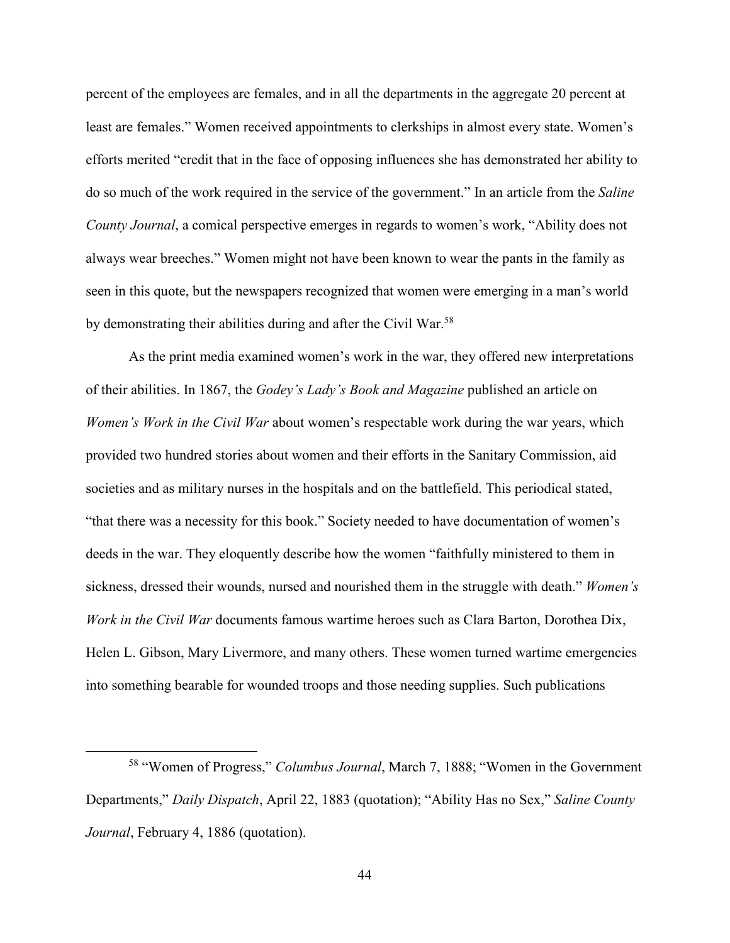percent of the employees are females, and in all the departments in the aggregate 20 percent at least are females." Women received appointments to clerkships in almost every state. Women's efforts merited "credit that in the face of opposing influences she has demonstrated her ability to do so much of the work required in the service of the government." In an article from the *Saline County Journal*, a comical perspective emerges in regards to women's work, "Ability does not always wear breeches." Women might not have been known to wear the pants in the family as seen in this quote, but the newspapers recognized that women were emerging in a man's world by demonstrating their abilities during and after the Civil War.<sup>58</sup>

As the print media examined women's work in the war, they offered new interpretations of their abilities. In 1867, the *Godey's Lady's Book and Magazine* published an article on *Women's Work in the Civil War* about women's respectable work during the war years, which provided two hundred stories about women and their efforts in the Sanitary Commission, aid societies and as military nurses in the hospitals and on the battlefield. This periodical stated, "that there was a necessity for this book." Society needed to have documentation of women's deeds in the war. They eloquently describe how the women "faithfully ministered to them in sickness, dressed their wounds, nursed and nourished them in the struggle with death." *Women's Work in the Civil War* documents famous wartime heroes such as Clara Barton, Dorothea Dix, Helen L. Gibson, Mary Livermore, and many others. These women turned wartime emergencies into something bearable for wounded troops and those needing supplies. Such publications

<sup>58</sup> "Women of Progress," *Columbus Journal*, March 7, 1888; "Women in the Government Departments," *Daily Dispatch*, April 22, 1883 (quotation); "Ability Has no Sex," *Saline County Journal*, February 4, 1886 (quotation).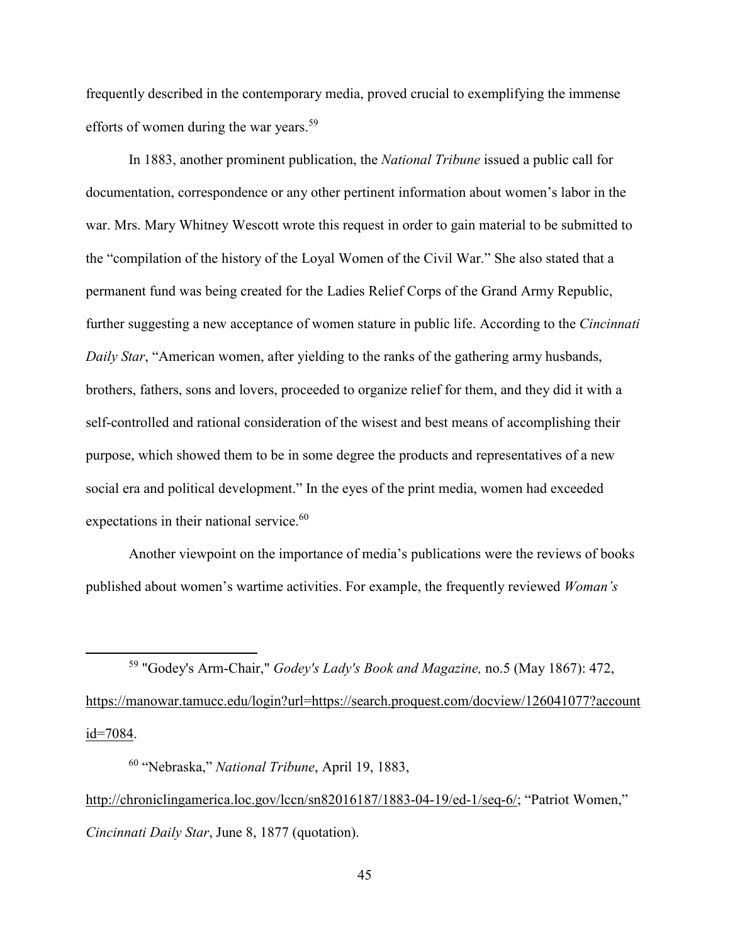frequently described in the contemporary media, proved crucial to exemplifying the immense efforts of women during the war years.<sup>59</sup>

 In 1883, another prominent publication, the *National Tribune* issued a public call for documentation, correspondence or any other pertinent information about women's labor in the war. Mrs. Mary Whitney Wescott wrote this request in order to gain material to be submitted to the "compilation of the history of the Loyal Women of the Civil War." She also stated that a permanent fund was being created for the Ladies Relief Corps of the Grand Army Republic, further suggesting a new acceptance of women stature in public life. According to the *Cincinnati Daily Star*, "American women, after yielding to the ranks of the gathering army husbands, brothers, fathers, sons and lovers, proceeded to organize relief for them, and they did it with a self-controlled and rational consideration of the wisest and best means of accomplishing their purpose, which showed them to be in some degree the products and representatives of a new social era and political development." In the eyes of the print media, women had exceeded expectations in their national service. $60$ 

Another viewpoint on the importance of media's publications were the reviews of books published about women's wartime activities. For example, the frequently reviewed *Woman's* 

<sup>59</sup> "Godey's Arm-Chair," *Godey's Lady's Book and Magazine,* no.5 (May 1867): 472, https://manowar.tamucc.edu/login?url=https://search.proquest.com/docview/126041077?account id=7084.

 $\overline{a}$ 

<sup>60</sup> "Nebraska," *National Tribune*, April 19, 1883, http://chroniclingamerica.loc.gov/lccn/sn82016187/1883-04-19/ed-1/seq-6/; "Patriot Women," *Cincinnati Daily Star*, June 8, 1877 (quotation).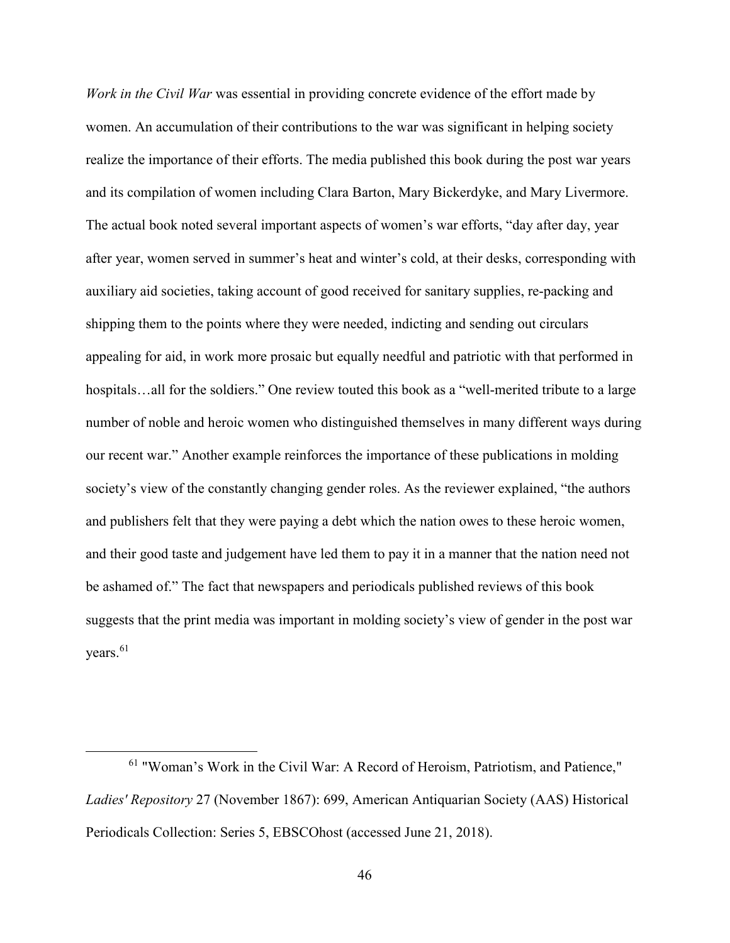*Work in the Civil War* was essential in providing concrete evidence of the effort made by women. An accumulation of their contributions to the war was significant in helping society realize the importance of their efforts. The media published this book during the post war years and its compilation of women including Clara Barton, Mary Bickerdyke, and Mary Livermore. The actual book noted several important aspects of women's war efforts, "day after day, year after year, women served in summer's heat and winter's cold, at their desks, corresponding with auxiliary aid societies, taking account of good received for sanitary supplies, re-packing and shipping them to the points where they were needed, indicting and sending out circulars appealing for aid, in work more prosaic but equally needful and patriotic with that performed in hospitals...all for the soldiers." One review touted this book as a "well-merited tribute to a large number of noble and heroic women who distinguished themselves in many different ways during our recent war." Another example reinforces the importance of these publications in molding society's view of the constantly changing gender roles. As the reviewer explained, "the authors and publishers felt that they were paying a debt which the nation owes to these heroic women, and their good taste and judgement have led them to pay it in a manner that the nation need not be ashamed of." The fact that newspapers and periodicals published reviews of this book suggests that the print media was important in molding society's view of gender in the post war vears. $61$ 

<sup>61</sup> "Woman's Work in the Civil War: A Record of Heroism, Patriotism, and Patience," *Ladies' Repository* 27 (November 1867): 699, American Antiquarian Society (AAS) Historical Periodicals Collection: Series 5, EBSCOhost (accessed June 21, 2018).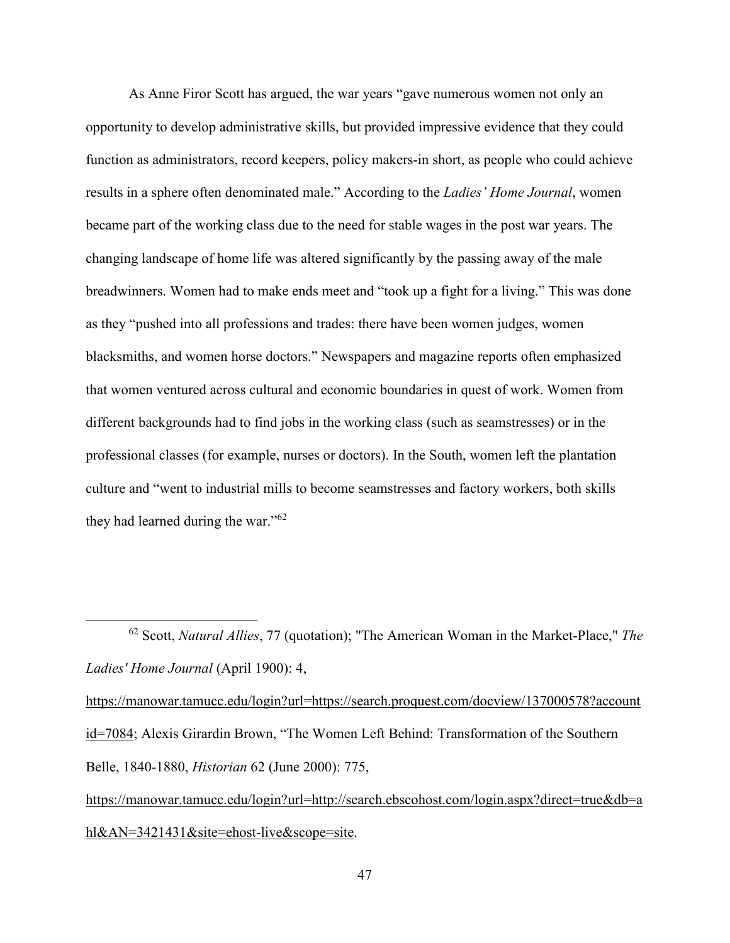As Anne Firor Scott has argued, the war years "gave numerous women not only an opportunity to develop administrative skills, but provided impressive evidence that they could function as administrators, record keepers, policy makers-in short, as people who could achieve results in a sphere often denominated male." According to the *Ladies' Home Journal*, women became part of the working class due to the need for stable wages in the post war years. The changing landscape of home life was altered significantly by the passing away of the male breadwinners. Women had to make ends meet and "took up a fight for a living." This was done as they "pushed into all professions and trades: there have been women judges, women blacksmiths, and women horse doctors." Newspapers and magazine reports often emphasized that women ventured across cultural and economic boundaries in quest of work. Women from different backgrounds had to find jobs in the working class (such as seamstresses) or in the professional classes (for example, nurses or doctors). In the South, women left the plantation culture and "went to industrial mills to become seamstresses and factory workers, both skills they had learned during the war." $62$ 

 $\overline{a}$ 

https://manowar.tamucc.edu/login?url=https://search.proquest.com/docview/137000578?account id=7084; Alexis Girardin Brown, "The Women Left Behind: Transformation of the Southern Belle, 1840-1880, *Historian* 62 (June 2000): 775,

https://manowar.tamucc.edu/login?url=http://search.ebscohost.com/login.aspx?direct=true&db=a hl&AN=3421431&site=ehost-live&scope=site.

<sup>62</sup> Scott, *Natural Allies*, 77 (quotation); "The American Woman in the Market-Place," *The Ladies' Home Journal* (April 1900): 4,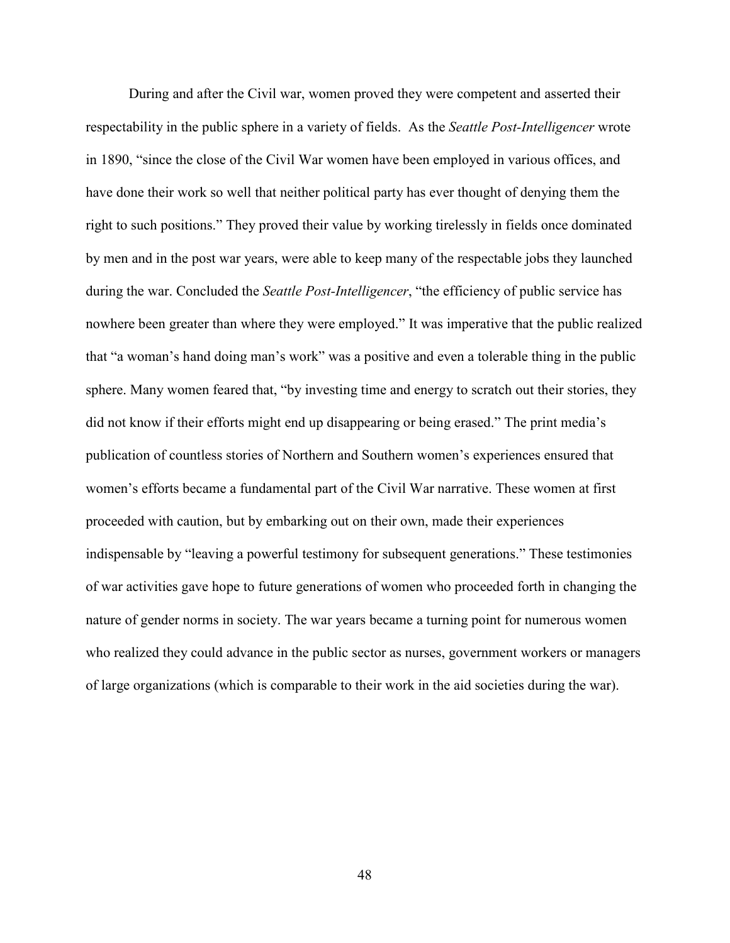During and after the Civil war, women proved they were competent and asserted their respectability in the public sphere in a variety of fields. As the *Seattle Post-Intelligencer* wrote in 1890, "since the close of the Civil War women have been employed in various offices, and have done their work so well that neither political party has ever thought of denying them the right to such positions." They proved their value by working tirelessly in fields once dominated by men and in the post war years, were able to keep many of the respectable jobs they launched during the war. Concluded the *Seattle Post-Intelligencer*, "the efficiency of public service has nowhere been greater than where they were employed." It was imperative that the public realized that "a woman's hand doing man's work" was a positive and even a tolerable thing in the public sphere. Many women feared that, "by investing time and energy to scratch out their stories, they did not know if their efforts might end up disappearing or being erased." The print media's publication of countless stories of Northern and Southern women's experiences ensured that women's efforts became a fundamental part of the Civil War narrative. These women at first proceeded with caution, but by embarking out on their own, made their experiences indispensable by "leaving a powerful testimony for subsequent generations." These testimonies of war activities gave hope to future generations of women who proceeded forth in changing the nature of gender norms in society. The war years became a turning point for numerous women who realized they could advance in the public sector as nurses, government workers or managers of large organizations (which is comparable to their work in the aid societies during the war).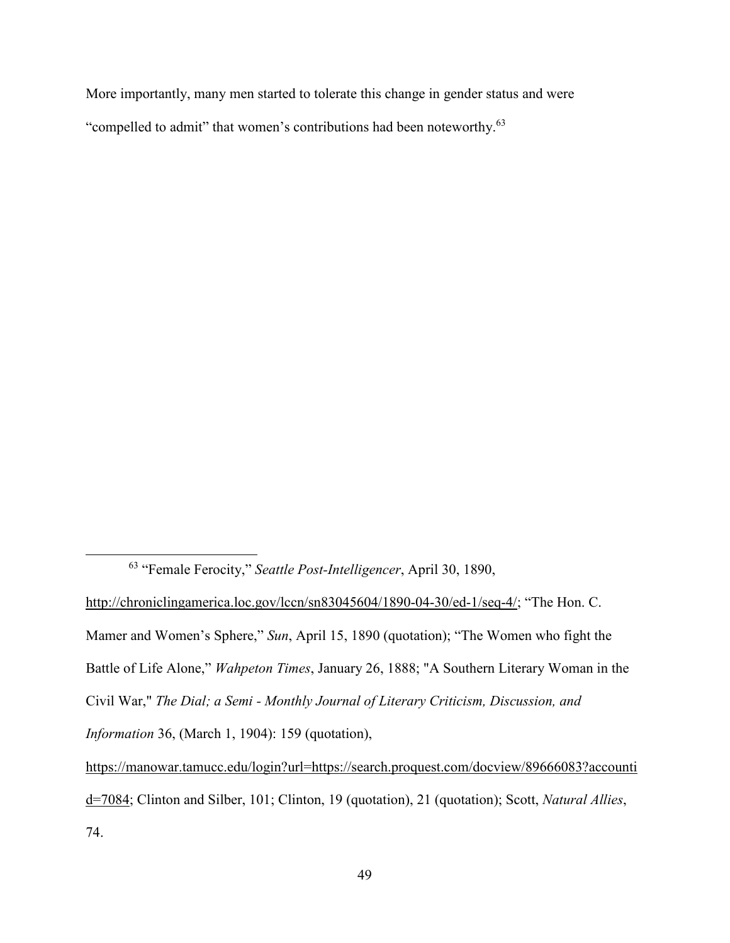More importantly, many men started to tolerate this change in gender status and were "compelled to admit" that women's contributions had been noteworthy.<sup>63</sup>

l

<sup>63</sup> "Female Ferocity," *Seattle Post-Intelligencer*, April 30, 1890,

http://chroniclingamerica.loc.gov/lccn/sn83045604/1890-04-30/ed-1/seq-4/; "The Hon. C. Mamer and Women's Sphere," *Sun*, April 15, 1890 (quotation); "The Women who fight the Battle of Life Alone," *Wahpeton Times*, January 26, 1888; "A Southern Literary Woman in the Civil War," *The Dial; a Semi - Monthly Journal of Literary Criticism, Discussion, and Information* 36, (March 1, 1904): 159 (quotation), https://manowar.tamucc.edu/login?url=https://search.proquest.com/docview/89666083?accounti

d=7084; Clinton and Silber, 101; Clinton, 19 (quotation), 21 (quotation); Scott, *Natural Allies*,

<sup>74.</sup>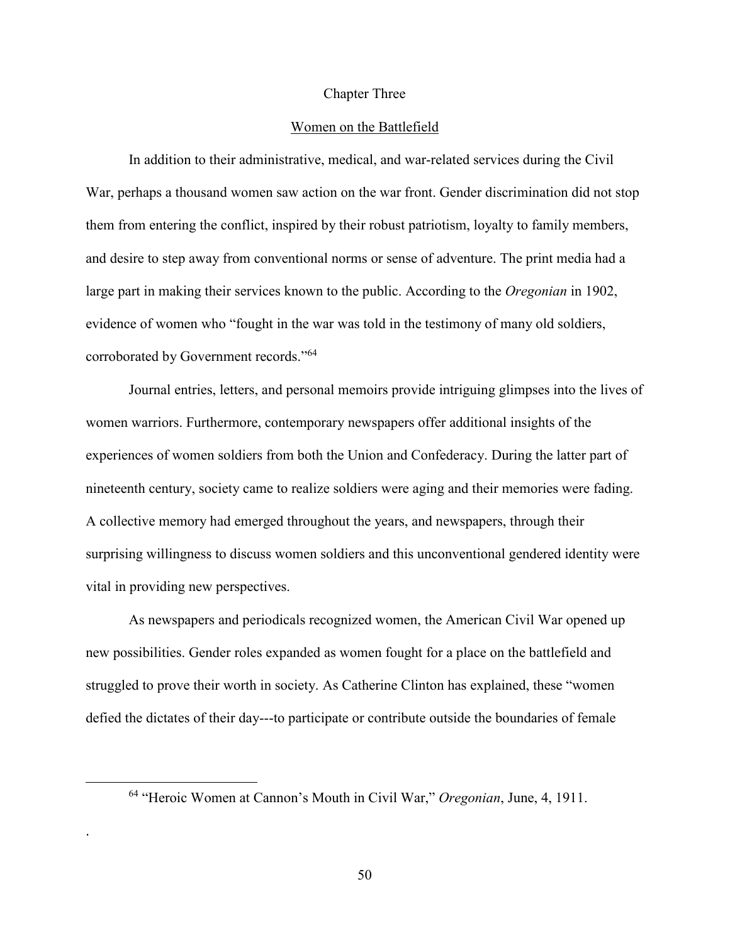## Chapter Three

## Women on the Battlefield

In addition to their administrative, medical, and war-related services during the Civil War, perhaps a thousand women saw action on the war front. Gender discrimination did not stop them from entering the conflict, inspired by their robust patriotism, loyalty to family members, and desire to step away from conventional norms or sense of adventure. The print media had a large part in making their services known to the public. According to the *Oregonian* in 1902, evidence of women who "fought in the war was told in the testimony of many old soldiers, corroborated by Government records."<sup>64</sup>

Journal entries, letters, and personal memoirs provide intriguing glimpses into the lives of women warriors. Furthermore, contemporary newspapers offer additional insights of the experiences of women soldiers from both the Union and Confederacy. During the latter part of nineteenth century, society came to realize soldiers were aging and their memories were fading. A collective memory had emerged throughout the years, and newspapers, through their surprising willingness to discuss women soldiers and this unconventional gendered identity were vital in providing new perspectives.

As newspapers and periodicals recognized women, the American Civil War opened up new possibilities. Gender roles expanded as women fought for a place on the battlefield and struggled to prove their worth in society. As Catherine Clinton has explained, these "women defied the dictates of their day---to participate or contribute outside the boundaries of female

<u>.</u>

.

<sup>64</sup> "Heroic Women at Cannon's Mouth in Civil War," *Oregonian*, June, 4, 1911.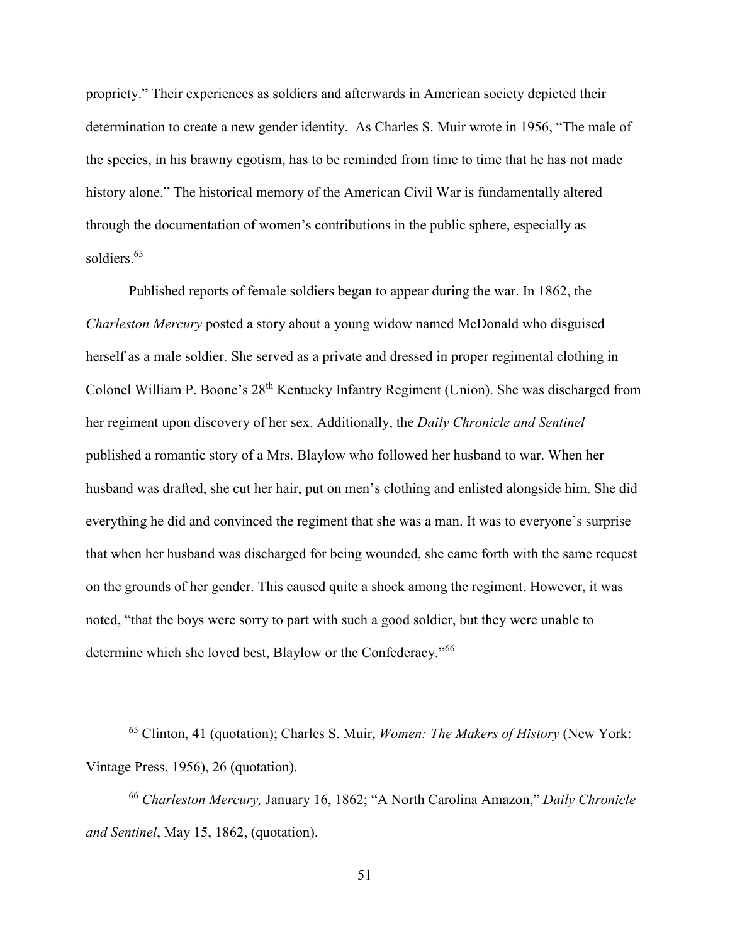propriety." Their experiences as soldiers and afterwards in American society depicted their determination to create a new gender identity. As Charles S. Muir wrote in 1956, "The male of the species, in his brawny egotism, has to be reminded from time to time that he has not made history alone." The historical memory of the American Civil War is fundamentally altered through the documentation of women's contributions in the public sphere, especially as soldiers.<sup>65</sup>

Published reports of female soldiers began to appear during the war. In 1862, the *Charleston Mercury* posted a story about a young widow named McDonald who disguised herself as a male soldier. She served as a private and dressed in proper regimental clothing in Colonel William P. Boone's 28th Kentucky Infantry Regiment (Union). She was discharged from her regiment upon discovery of her sex. Additionally, the *Daily Chronicle and Sentinel* published a romantic story of a Mrs. Blaylow who followed her husband to war. When her husband was drafted, she cut her hair, put on men's clothing and enlisted alongside him. She did everything he did and convinced the regiment that she was a man. It was to everyone's surprise that when her husband was discharged for being wounded, she came forth with the same request on the grounds of her gender. This caused quite a shock among the regiment. However, it was noted, "that the boys were sorry to part with such a good soldier, but they were unable to determine which she loved best, Blaylow or the Confederacy."<sup>66</sup>

l

<sup>65</sup> Clinton, 41 (quotation); Charles S. Muir, *Women: The Makers of History* (New York: Vintage Press, 1956), 26 (quotation).

<sup>66</sup> *Charleston Mercury,* January 16, 1862; "A North Carolina Amazon," *Daily Chronicle and Sentinel*, May 15, 1862, (quotation).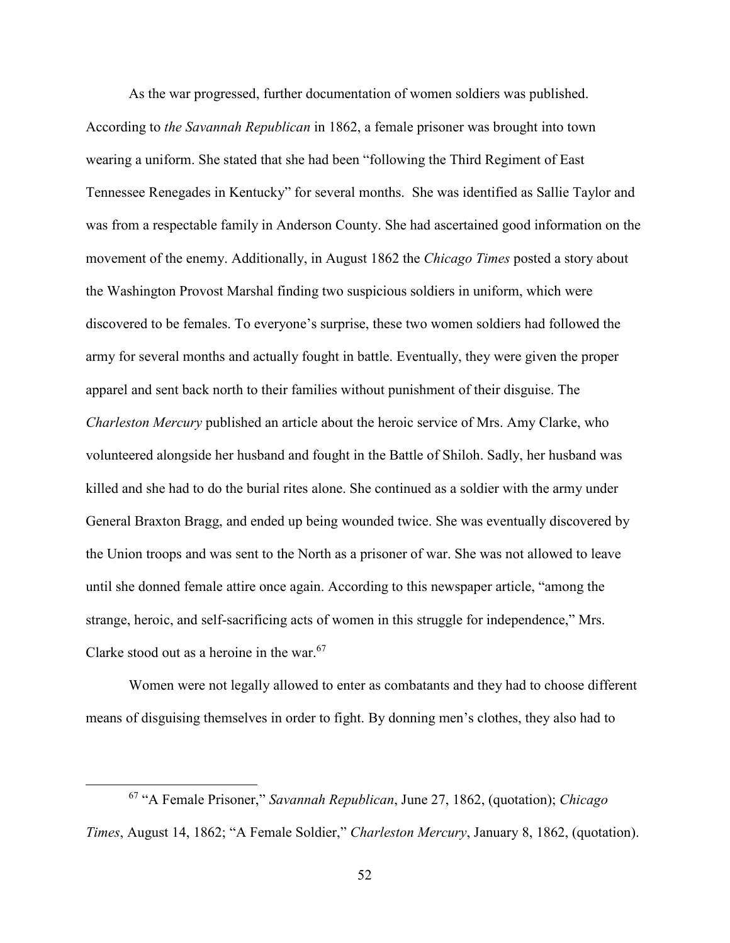As the war progressed, further documentation of women soldiers was published. According to *the Savannah Republican* in 1862, a female prisoner was brought into town wearing a uniform. She stated that she had been "following the Third Regiment of East Tennessee Renegades in Kentucky" for several months. She was identified as Sallie Taylor and was from a respectable family in Anderson County. She had ascertained good information on the movement of the enemy. Additionally, in August 1862 the *Chicago Times* posted a story about the Washington Provost Marshal finding two suspicious soldiers in uniform, which were discovered to be females. To everyone's surprise, these two women soldiers had followed the army for several months and actually fought in battle. Eventually, they were given the proper apparel and sent back north to their families without punishment of their disguise. The *Charleston Mercury* published an article about the heroic service of Mrs. Amy Clarke, who volunteered alongside her husband and fought in the Battle of Shiloh. Sadly, her husband was killed and she had to do the burial rites alone. She continued as a soldier with the army under General Braxton Bragg, and ended up being wounded twice. She was eventually discovered by the Union troops and was sent to the North as a prisoner of war. She was not allowed to leave until she donned female attire once again. According to this newspaper article, "among the strange, heroic, and self-sacrificing acts of women in this struggle for independence," Mrs. Clarke stood out as a heroine in the war. $67$ 

Women were not legally allowed to enter as combatants and they had to choose different means of disguising themselves in order to fight. By donning men's clothes, they also had to

<sup>67</sup> "A Female Prisoner," *Savannah Republican*, June 27, 1862, (quotation); *Chicago Times*, August 14, 1862; "A Female Soldier," *Charleston Mercury*, January 8, 1862, (quotation).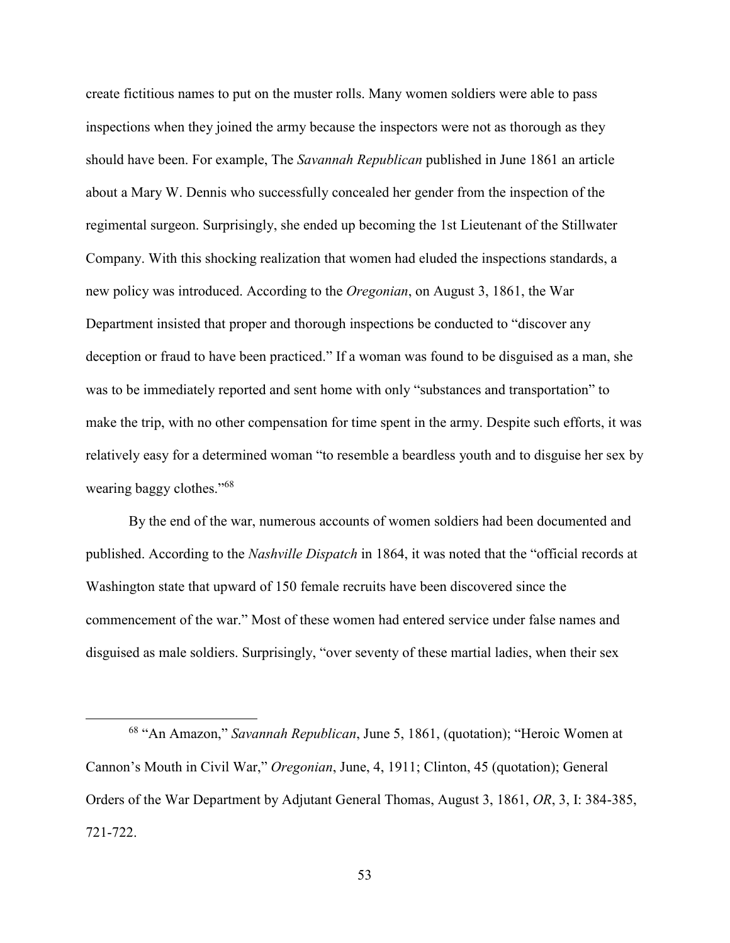create fictitious names to put on the muster rolls. Many women soldiers were able to pass inspections when they joined the army because the inspectors were not as thorough as they should have been. For example, The *Savannah Republican* published in June 1861 an article about a Mary W. Dennis who successfully concealed her gender from the inspection of the regimental surgeon. Surprisingly, she ended up becoming the 1st Lieutenant of the Stillwater Company. With this shocking realization that women had eluded the inspections standards, a new policy was introduced. According to the *Oregonian*, on August 3, 1861, the War Department insisted that proper and thorough inspections be conducted to "discover any deception or fraud to have been practiced." If a woman was found to be disguised as a man, she was to be immediately reported and sent home with only "substances and transportation" to make the trip, with no other compensation for time spent in the army. Despite such efforts, it was relatively easy for a determined woman "to resemble a beardless youth and to disguise her sex by wearing baggy clothes."<sup>68</sup>

By the end of the war, numerous accounts of women soldiers had been documented and published. According to the *Nashville Dispatch* in 1864, it was noted that the "official records at Washington state that upward of 150 female recruits have been discovered since the commencement of the war." Most of these women had entered service under false names and disguised as male soldiers. Surprisingly, "over seventy of these martial ladies, when their sex

l

<sup>68</sup> "An Amazon," *Savannah Republican*, June 5, 1861, (quotation); "Heroic Women at Cannon's Mouth in Civil War," *Oregonian*, June, 4, 1911; Clinton, 45 (quotation); General Orders of the War Department by Adjutant General Thomas, August 3, 1861, *OR*, 3, I: 384-385, 721-722.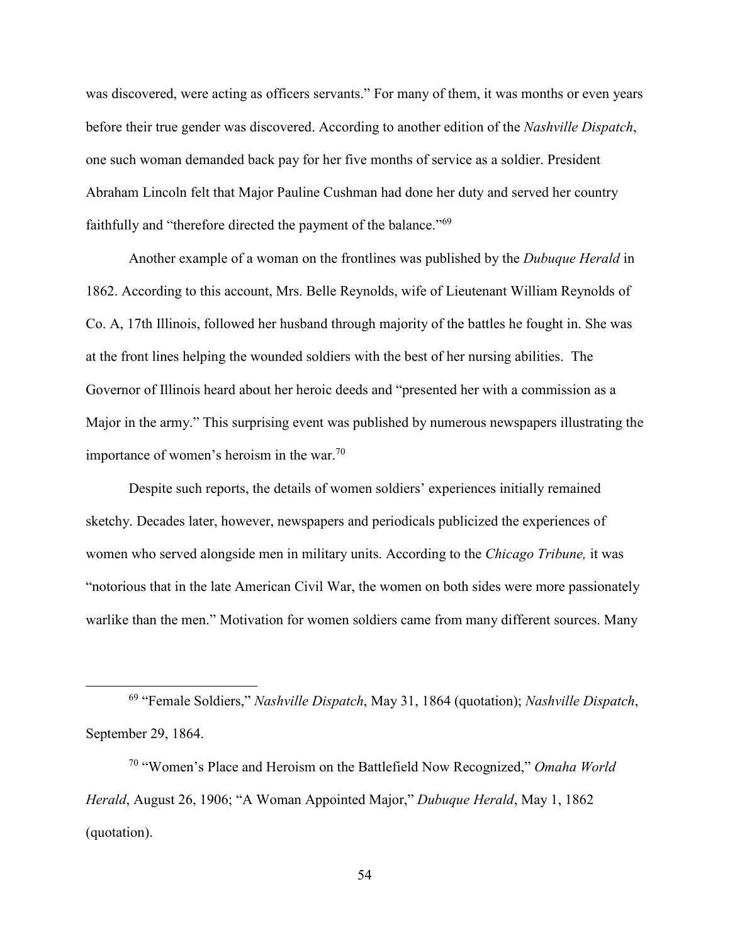was discovered, were acting as officers servants." For many of them, it was months or even years before their true gender was discovered. According to another edition of the *Nashville Dispatch*, one such woman demanded back pay for her five months of service as a soldier. President Abraham Lincoln felt that Major Pauline Cushman had done her duty and served her country faithfully and "therefore directed the payment of the balance."<sup>69</sup>

Another example of a woman on the frontlines was published by the *Dubuque Herald* in 1862. According to this account, Mrs. Belle Reynolds, wife of Lieutenant William Reynolds of Co. A, 17th Illinois, followed her husband through majority of the battles he fought in. She was at the front lines helping the wounded soldiers with the best of her nursing abilities. The Governor of Illinois heard about her heroic deeds and "presented her with a commission as a Major in the army." This surprising event was published by numerous newspapers illustrating the importance of women's heroism in the war.<sup>70</sup>

Despite such reports, the details of women soldiers' experiences initially remained sketchy. Decades later, however, newspapers and periodicals publicized the experiences of women who served alongside men in military units. According to the *Chicago Tribune,* it was "notorious that in the late American Civil War, the women on both sides were more passionately warlike than the men." Motivation for women soldiers came from many different sources. Many

<sup>69</sup> "Female Soldiers," *Nashville Dispatch*, May 31, 1864 (quotation); *Nashville Dispatch*, September 29, 1864.

<sup>70</sup> "Women's Place and Heroism on the Battlefield Now Recognized," *Omaha World Herald*, August 26, 1906; "A Woman Appointed Major," *Dubuque Herald*, May 1, 1862 (quotation).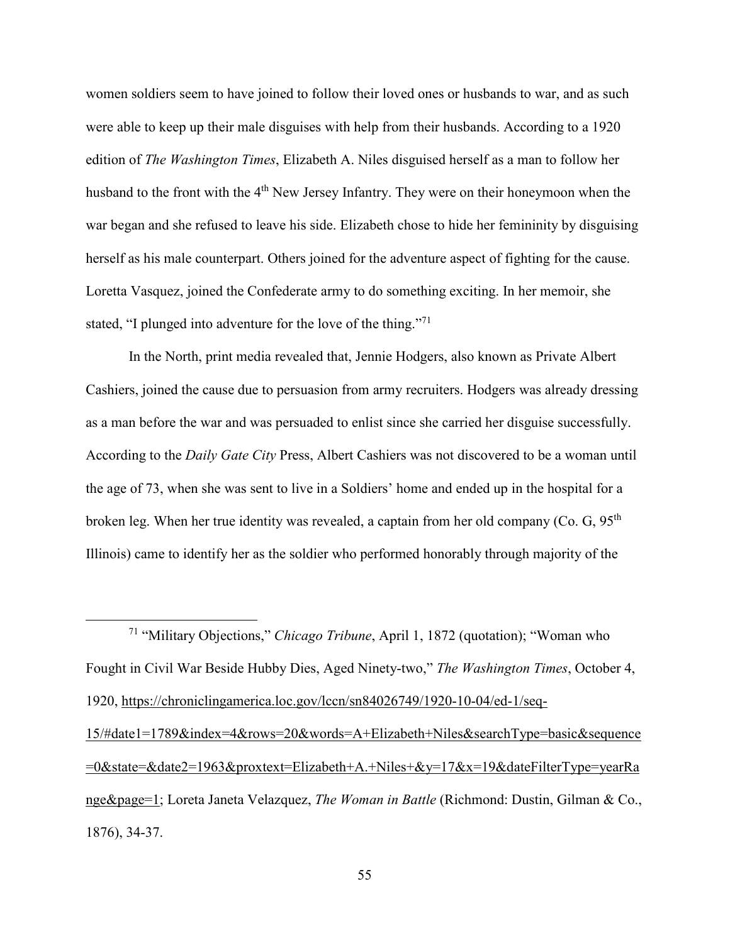women soldiers seem to have joined to follow their loved ones or husbands to war, and as such were able to keep up their male disguises with help from their husbands. According to a 1920 edition of *The Washington Times*, Elizabeth A. Niles disguised herself as a man to follow her husband to the front with the 4<sup>th</sup> New Jersey Infantry. They were on their honeymoon when the war began and she refused to leave his side. Elizabeth chose to hide her femininity by disguising herself as his male counterpart. Others joined for the adventure aspect of fighting for the cause. Loretta Vasquez, joined the Confederate army to do something exciting. In her memoir, she stated, "I plunged into adventure for the love of the thing."<sup>71</sup>

In the North, print media revealed that, Jennie Hodgers, also known as Private Albert Cashiers, joined the cause due to persuasion from army recruiters. Hodgers was already dressing as a man before the war and was persuaded to enlist since she carried her disguise successfully. According to the *Daily Gate City* Press, Albert Cashiers was not discovered to be a woman until the age of 73, when she was sent to live in a Soldiers' home and ended up in the hospital for a broken leg. When her true identity was revealed, a captain from her old company (Co. G,  $95<sup>th</sup>$ Illinois) came to identify her as the soldier who performed honorably through majority of the

<sup>71</sup> "Military Objections," *Chicago Tribune*, April 1, 1872 (quotation); "Woman who Fought in Civil War Beside Hubby Dies, Aged Ninety-two," *The Washington Times*, October 4, 1920, https://chroniclingamerica.loc.gov/lccn/sn84026749/1920-10-04/ed-1/seq-15/#date1=1789&index=4&rows=20&words=A+Elizabeth+Niles&searchType=basic&sequence =0&state=&date2=1963&proxtext=Elizabeth+A.+Niles+&y=17&x=19&dateFilterType=yearRa nge&page=1; Loreta Janeta Velazquez, *The Woman in Battle* (Richmond: Dustin, Gilman & Co., 1876), 34-37.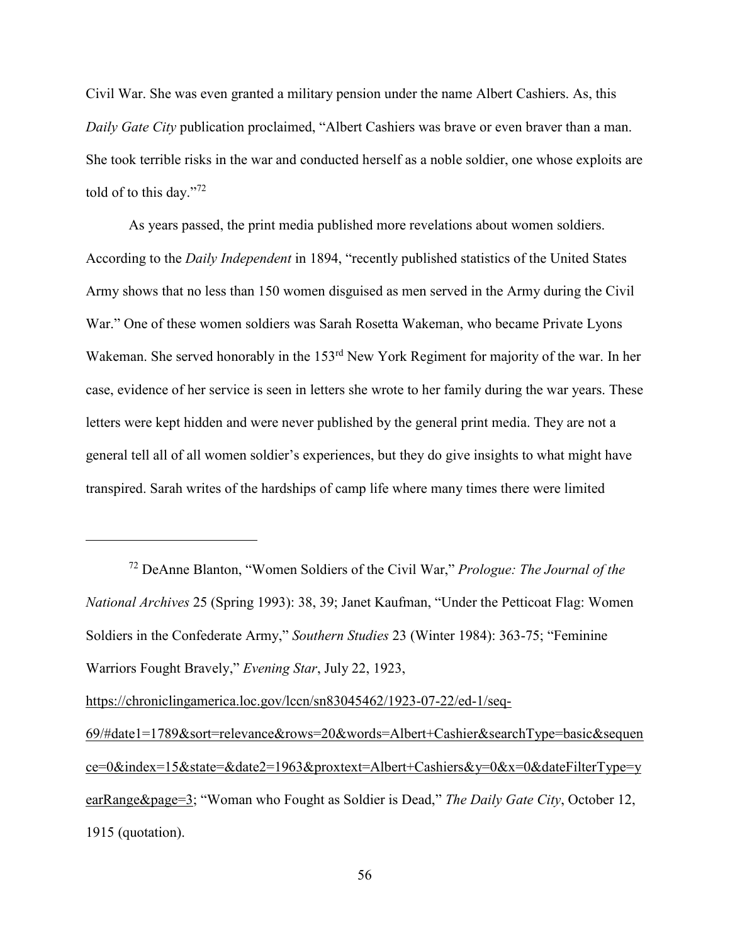Civil War. She was even granted a military pension under the name Albert Cashiers. As, this *Daily Gate City* publication proclaimed, "Albert Cashiers was brave or even braver than a man. She took terrible risks in the war and conducted herself as a noble soldier, one whose exploits are told of to this day."<sup>72</sup>

As years passed, the print media published more revelations about women soldiers. According to the *Daily Independent* in 1894, "recently published statistics of the United States Army shows that no less than 150 women disguised as men served in the Army during the Civil War." One of these women soldiers was Sarah Rosetta Wakeman, who became Private Lyons Wakeman. She served honorably in the 153<sup>rd</sup> New York Regiment for majority of the war. In her case, evidence of her service is seen in letters she wrote to her family during the war years. These letters were kept hidden and were never published by the general print media. They are not a general tell all of all women soldier's experiences, but they do give insights to what might have transpired. Sarah writes of the hardships of camp life where many times there were limited

<sup>72</sup> DeAnne Blanton, "Women Soldiers of the Civil War," *Prologue: The Journal of the National Archives* 25 (Spring 1993): 38, 39; Janet Kaufman, "Under the Petticoat Flag: Women Soldiers in the Confederate Army," *Southern Studies* 23 (Winter 1984): 363-75; "Feminine Warriors Fought Bravely," *Evening Star*, July 22, 1923,

https://chroniclingamerica.loc.gov/lccn/sn83045462/1923-07-22/ed-1/seq-

<sup>69/#</sup>date1=1789&sort=relevance&rows=20&words=Albert+Cashier&searchType=basic&sequen ce=0&index=15&state=&date2=1963&proxtext=Albert+Cashiers&y=0&x=0&dateFilterType=y earRange&page=3; "Woman who Fought as Soldier is Dead," *The Daily Gate City*, October 12, 1915 (quotation).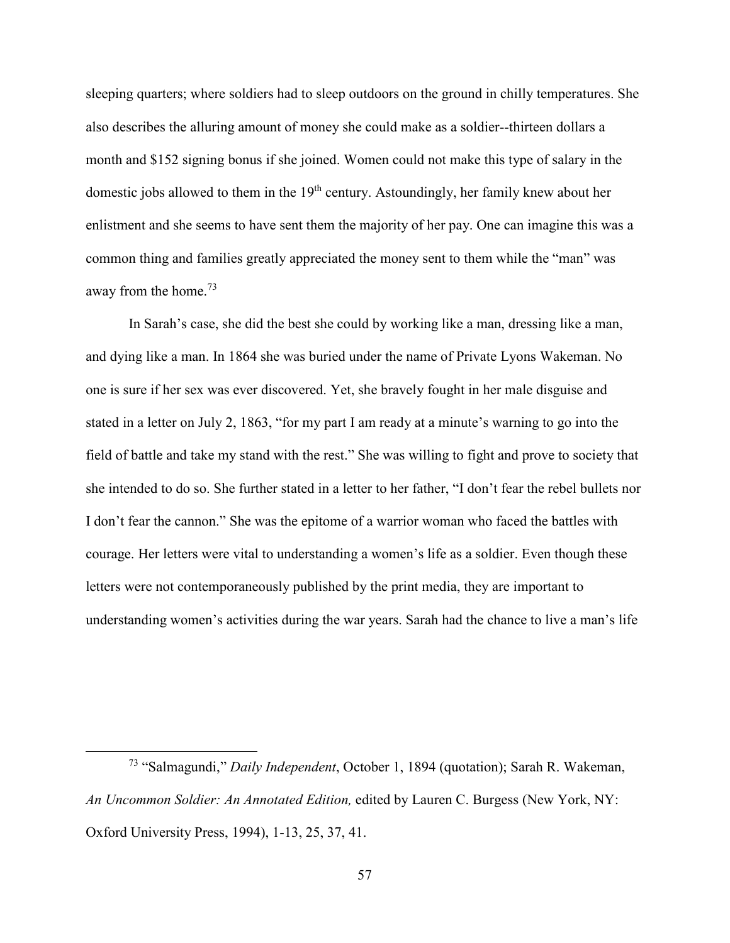sleeping quarters; where soldiers had to sleep outdoors on the ground in chilly temperatures. She also describes the alluring amount of money she could make as a soldier--thirteen dollars a month and \$152 signing bonus if she joined. Women could not make this type of salary in the domestic jobs allowed to them in the  $19<sup>th</sup>$  century. Astoundingly, her family knew about her enlistment and she seems to have sent them the majority of her pay. One can imagine this was a common thing and families greatly appreciated the money sent to them while the "man" was away from the home.<sup>73</sup>

In Sarah's case, she did the best she could by working like a man, dressing like a man, and dying like a man. In 1864 she was buried under the name of Private Lyons Wakeman. No one is sure if her sex was ever discovered. Yet, she bravely fought in her male disguise and stated in a letter on July 2, 1863, "for my part I am ready at a minute's warning to go into the field of battle and take my stand with the rest." She was willing to fight and prove to society that she intended to do so. She further stated in a letter to her father, "I don't fear the rebel bullets nor I don't fear the cannon." She was the epitome of a warrior woman who faced the battles with courage. Her letters were vital to understanding a women's life as a soldier. Even though these letters were not contemporaneously published by the print media, they are important to understanding women's activities during the war years. Sarah had the chance to live a man's life

<sup>73</sup> "Salmagundi," *Daily Independent*, October 1, 1894 (quotation); Sarah R. Wakeman, *An Uncommon Soldier: An Annotated Edition,* edited by Lauren C. Burgess (New York, NY: Oxford University Press, 1994), 1-13, 25, 37, 41.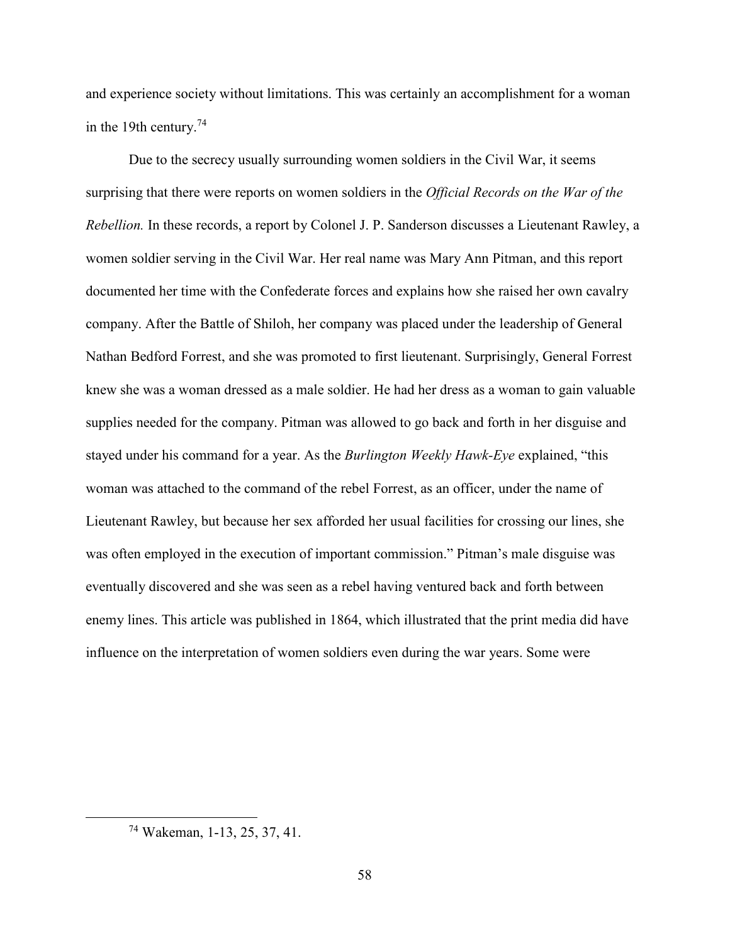and experience society without limitations. This was certainly an accomplishment for a woman in the 19th century.<sup>74</sup>

Due to the secrecy usually surrounding women soldiers in the Civil War, it seems surprising that there were reports on women soldiers in the *Official Records on the War of the Rebellion.* In these records, a report by Colonel J. P. Sanderson discusses a Lieutenant Rawley, a women soldier serving in the Civil War. Her real name was Mary Ann Pitman, and this report documented her time with the Confederate forces and explains how she raised her own cavalry company. After the Battle of Shiloh, her company was placed under the leadership of General Nathan Bedford Forrest, and she was promoted to first lieutenant. Surprisingly, General Forrest knew she was a woman dressed as a male soldier. He had her dress as a woman to gain valuable supplies needed for the company. Pitman was allowed to go back and forth in her disguise and stayed under his command for a year. As the *Burlington Weekly Hawk-Eye* explained, "this woman was attached to the command of the rebel Forrest, as an officer, under the name of Lieutenant Rawley, but because her sex afforded her usual facilities for crossing our lines, she was often employed in the execution of important commission." Pitman's male disguise was eventually discovered and she was seen as a rebel having ventured back and forth between enemy lines. This article was published in 1864, which illustrated that the print media did have influence on the interpretation of women soldiers even during the war years. Some were

<sup>74</sup> Wakeman, 1-13, 25, 37, 41.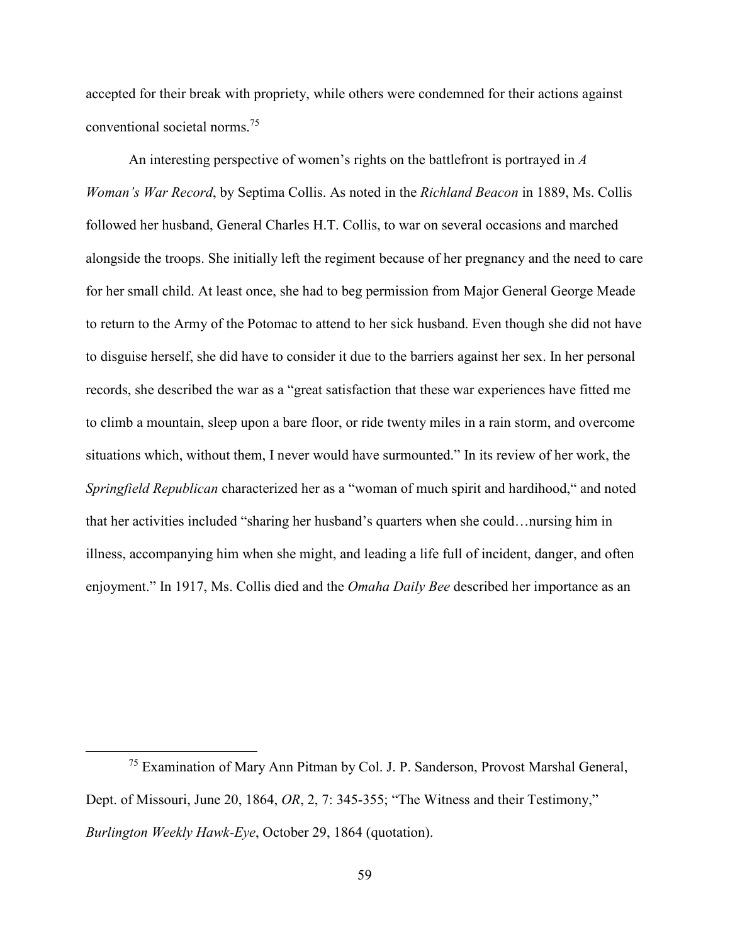accepted for their break with propriety, while others were condemned for their actions against conventional societal norms.<sup>75</sup>

An interesting perspective of women's rights on the battlefront is portrayed in *A Woman's War Record*, by Septima Collis. As noted in the *Richland Beacon* in 1889, Ms. Collis followed her husband, General Charles H.T. Collis, to war on several occasions and marched alongside the troops. She initially left the regiment because of her pregnancy and the need to care for her small child. At least once, she had to beg permission from Major General George Meade to return to the Army of the Potomac to attend to her sick husband. Even though she did not have to disguise herself, she did have to consider it due to the barriers against her sex. In her personal records, she described the war as a "great satisfaction that these war experiences have fitted me to climb a mountain, sleep upon a bare floor, or ride twenty miles in a rain storm, and overcome situations which, without them, I never would have surmounted." In its review of her work, the *Springfield Republican* characterized her as a "woman of much spirit and hardihood," and noted that her activities included "sharing her husband's quarters when she could…nursing him in illness, accompanying him when she might, and leading a life full of incident, danger, and often enjoyment." In 1917, Ms. Collis died and the *Omaha Daily Bee* described her importance as an

<u>.</u>

<sup>75</sup> Examination of Mary Ann Pitman by Col. J. P. Sanderson, Provost Marshal General, Dept. of Missouri, June 20, 1864, *OR*, 2, 7: 345-355; "The Witness and their Testimony," *Burlington Weekly Hawk-Eye*, October 29, 1864 (quotation).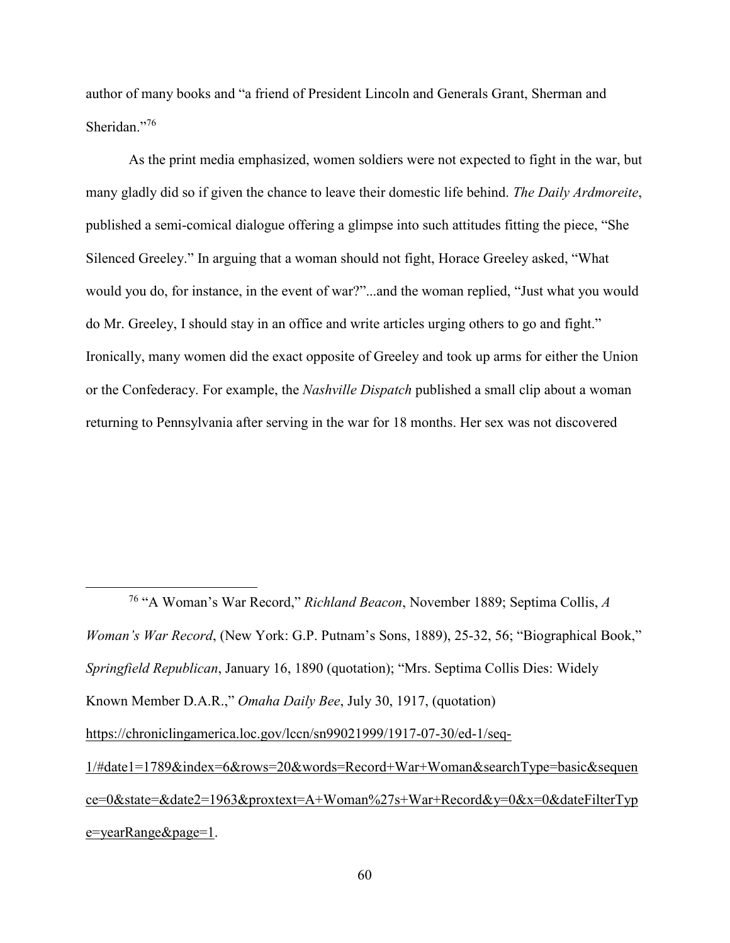author of many books and "a friend of President Lincoln and Generals Grant, Sherman and Sheridan."76

As the print media emphasized, women soldiers were not expected to fight in the war, but many gladly did so if given the chance to leave their domestic life behind. *The Daily Ardmoreite*, published a semi-comical dialogue offering a glimpse into such attitudes fitting the piece, "She Silenced Greeley." In arguing that a woman should not fight, Horace Greeley asked, "What would you do, for instance, in the event of war?"...and the woman replied, "Just what you would do Mr. Greeley, I should stay in an office and write articles urging others to go and fight." Ironically, many women did the exact opposite of Greeley and took up arms for either the Union or the Confederacy. For example, the *Nashville Dispatch* published a small clip about a woman returning to Pennsylvania after serving in the war for 18 months. Her sex was not discovered

<u>.</u>

<sup>76</sup> "A Woman's War Record," *Richland Beacon*, November 1889; Septima Collis, *A Woman's War Record*, (New York: G.P. Putnam's Sons, 1889), 25-32, 56; "Biographical Book," *Springfield Republican*, January 16, 1890 (quotation); "Mrs. Septima Collis Dies: Widely Known Member D.A.R.," *Omaha Daily Bee*, July 30, 1917, (quotation) https://chroniclingamerica.loc.gov/lccn/sn99021999/1917-07-30/ed-1/seq-1/#date1=1789&index=6&rows=20&words=Record+War+Woman&searchType=basic&sequen ce=0&state=&date2=1963&proxtext=A+Woman%27s+War+Record&y=0&x=0&dateFilterTyp e=yearRange&page=1.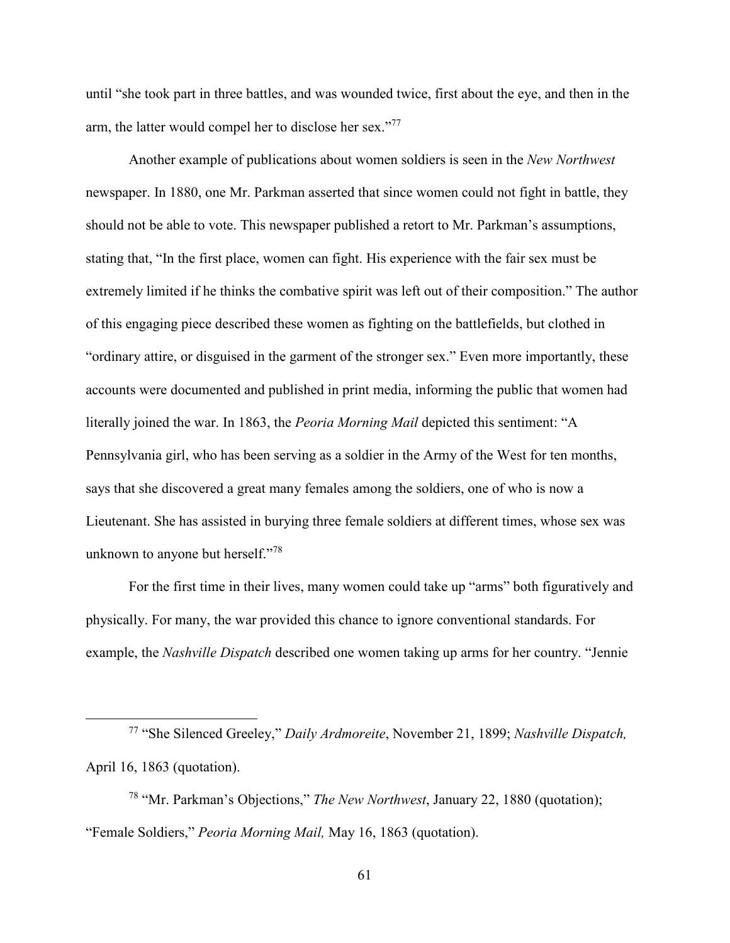until "she took part in three battles, and was wounded twice, first about the eye, and then in the arm, the latter would compel her to disclose her sex."<sup>77</sup>

Another example of publications about women soldiers is seen in the *New Northwest* newspaper. In 1880, one Mr. Parkman asserted that since women could not fight in battle, they should not be able to vote. This newspaper published a retort to Mr. Parkman's assumptions, stating that, "In the first place, women can fight. His experience with the fair sex must be extremely limited if he thinks the combative spirit was left out of their composition." The author of this engaging piece described these women as fighting on the battlefields, but clothed in "ordinary attire, or disguised in the garment of the stronger sex." Even more importantly, these accounts were documented and published in print media, informing the public that women had literally joined the war. In 1863, the *Peoria Morning Mail* depicted this sentiment: "A Pennsylvania girl, who has been serving as a soldier in the Army of the West for ten months, says that she discovered a great many females among the soldiers, one of who is now a Lieutenant. She has assisted in burying three female soldiers at different times, whose sex was unknown to anyone but herself."<sup>78</sup>

For the first time in their lives, many women could take up "arms" both figuratively and physically. For many, the war provided this chance to ignore conventional standards. For example, the *Nashville Dispatch* described one women taking up arms for her country. "Jennie

<sup>77</sup> "She Silenced Greeley," *Daily Ardmoreite*, November 21, 1899; *Nashville Dispatch,* April 16, 1863 (quotation).

<sup>78</sup> "Mr. Parkman's Objections," *The New Northwest*, January 22, 1880 (quotation); "Female Soldiers," *Peoria Morning Mail,* May 16, 1863 (quotation).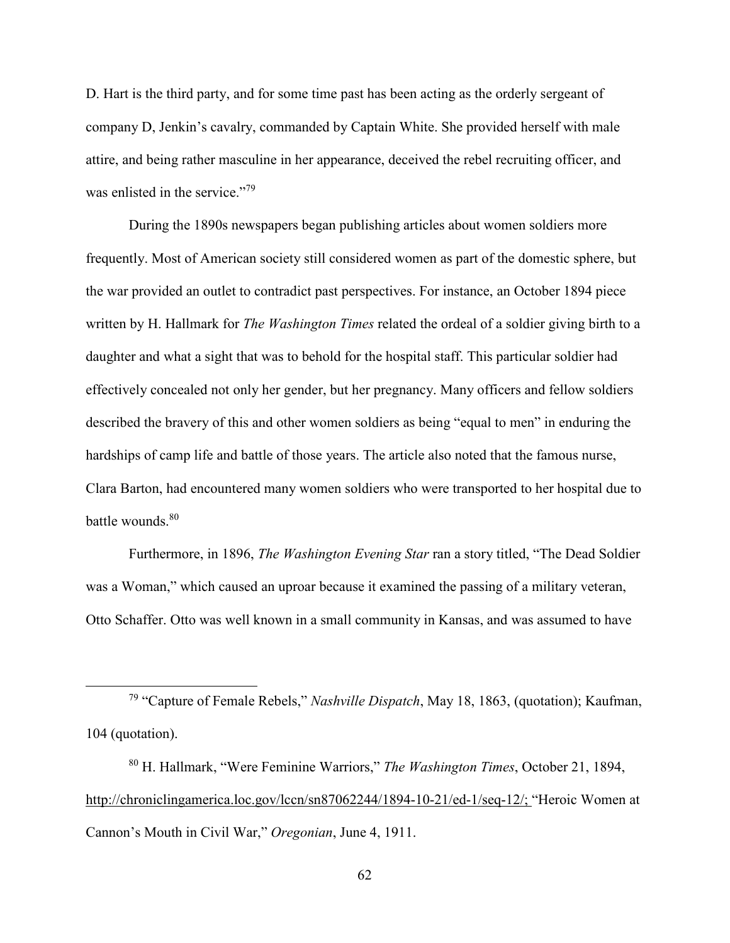D. Hart is the third party, and for some time past has been acting as the orderly sergeant of company D, Jenkin's cavalry, commanded by Captain White. She provided herself with male attire, and being rather masculine in her appearance, deceived the rebel recruiting officer, and was enlisted in the service."<sup>79</sup>

During the 1890s newspapers began publishing articles about women soldiers more frequently. Most of American society still considered women as part of the domestic sphere, but the war provided an outlet to contradict past perspectives. For instance, an October 1894 piece written by H. Hallmark for *The Washington Times* related the ordeal of a soldier giving birth to a daughter and what a sight that was to behold for the hospital staff. This particular soldier had effectively concealed not only her gender, but her pregnancy. Many officers and fellow soldiers described the bravery of this and other women soldiers as being "equal to men" in enduring the hardships of camp life and battle of those years. The article also noted that the famous nurse, Clara Barton, had encountered many women soldiers who were transported to her hospital due to battle wounds.<sup>80</sup>

Furthermore, in 1896, *The Washington Evening Star* ran a story titled, "The Dead Soldier was a Woman," which caused an uproar because it examined the passing of a military veteran, Otto Schaffer. Otto was well known in a small community in Kansas, and was assumed to have

<sup>79</sup> "Capture of Female Rebels," *Nashville Dispatch*, May 18, 1863, (quotation); Kaufman, 104 (quotation).

<sup>80</sup> H. Hallmark, "Were Feminine Warriors," *The Washington Times*, October 21, 1894, http://chroniclingamerica.loc.gov/lccn/sn87062244/1894-10-21/ed-1/seq-12/; "Heroic Women at Cannon's Mouth in Civil War," *Oregonian*, June 4, 1911.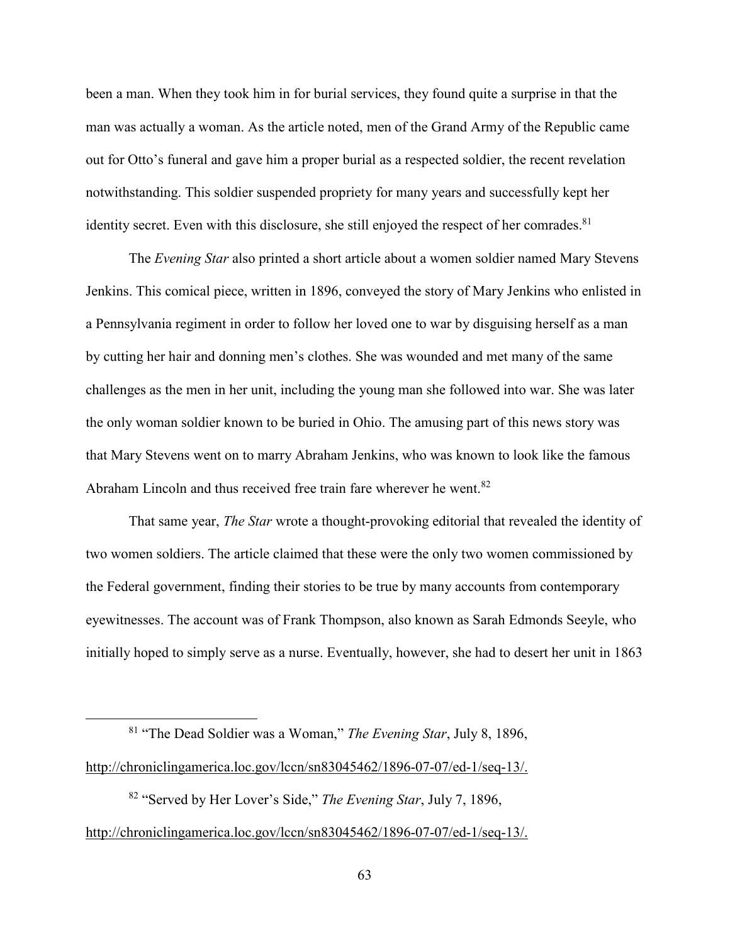been a man. When they took him in for burial services, they found quite a surprise in that the man was actually a woman. As the article noted, men of the Grand Army of the Republic came out for Otto's funeral and gave him a proper burial as a respected soldier, the recent revelation notwithstanding. This soldier suspended propriety for many years and successfully kept her identity secret. Even with this disclosure, she still enjoyed the respect of her comrades.<sup>81</sup>

The *Evening Star* also printed a short article about a women soldier named Mary Stevens Jenkins. This comical piece, written in 1896, conveyed the story of Mary Jenkins who enlisted in a Pennsylvania regiment in order to follow her loved one to war by disguising herself as a man by cutting her hair and donning men's clothes. She was wounded and met many of the same challenges as the men in her unit, including the young man she followed into war. She was later the only woman soldier known to be buried in Ohio. The amusing part of this news story was that Mary Stevens went on to marry Abraham Jenkins, who was known to look like the famous Abraham Lincoln and thus received free train fare wherever he went.<sup>82</sup>

That same year, *The Star* wrote a thought-provoking editorial that revealed the identity of two women soldiers. The article claimed that these were the only two women commissioned by the Federal government, finding their stories to be true by many accounts from contemporary eyewitnesses. The account was of Frank Thompson, also known as Sarah Edmonds Seeyle, who initially hoped to simply serve as a nurse. Eventually, however, she had to desert her unit in 1863

<sup>81</sup> "The Dead Soldier was a Woman," *The Evening Star*, July 8, 1896, http://chroniclingamerica.loc.gov/lccn/sn83045462/1896-07-07/ed-1/seq-13/.

l

<sup>82</sup> "Served by Her Lover's Side," *The Evening Star*, July 7, 1896, http://chroniclingamerica.loc.gov/lccn/sn83045462/1896-07-07/ed-1/seq-13/.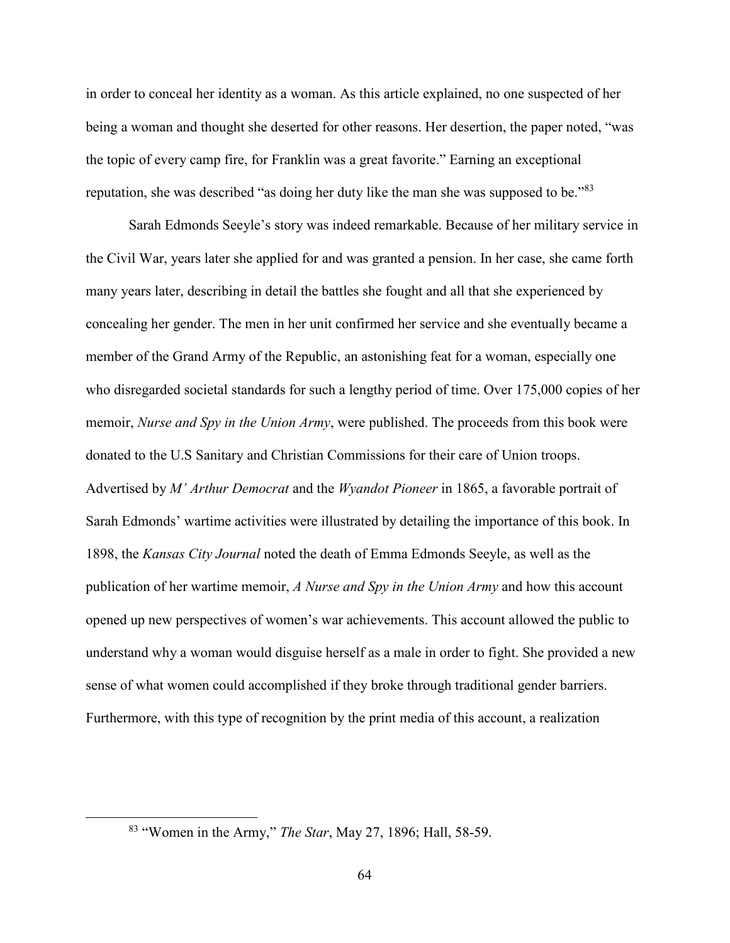in order to conceal her identity as a woman. As this article explained, no one suspected of her being a woman and thought she deserted for other reasons. Her desertion, the paper noted, "was the topic of every camp fire, for Franklin was a great favorite." Earning an exceptional reputation, she was described "as doing her duty like the man she was supposed to be."<sup>83</sup>

Sarah Edmonds Seeyle's story was indeed remarkable. Because of her military service in the Civil War, years later she applied for and was granted a pension. In her case, she came forth many years later, describing in detail the battles she fought and all that she experienced by concealing her gender. The men in her unit confirmed her service and she eventually became a member of the Grand Army of the Republic, an astonishing feat for a woman, especially one who disregarded societal standards for such a lengthy period of time. Over 175,000 copies of her memoir, *Nurse and Spy in the Union Army*, were published. The proceeds from this book were donated to the U.S Sanitary and Christian Commissions for their care of Union troops. Advertised by *M' Arthur Democrat* and the *Wyandot Pioneer* in 1865, a favorable portrait of Sarah Edmonds' wartime activities were illustrated by detailing the importance of this book. In 1898, the *Kansas City Journal* noted the death of Emma Edmonds Seeyle, as well as the publication of her wartime memoir, *A Nurse and Spy in the Union Army* and how this account opened up new perspectives of women's war achievements. This account allowed the public to understand why a woman would disguise herself as a male in order to fight. She provided a new sense of what women could accomplished if they broke through traditional gender barriers. Furthermore, with this type of recognition by the print media of this account, a realization

<u>.</u>

<sup>83</sup> "Women in the Army," *The Star*, May 27, 1896; Hall, 58-59.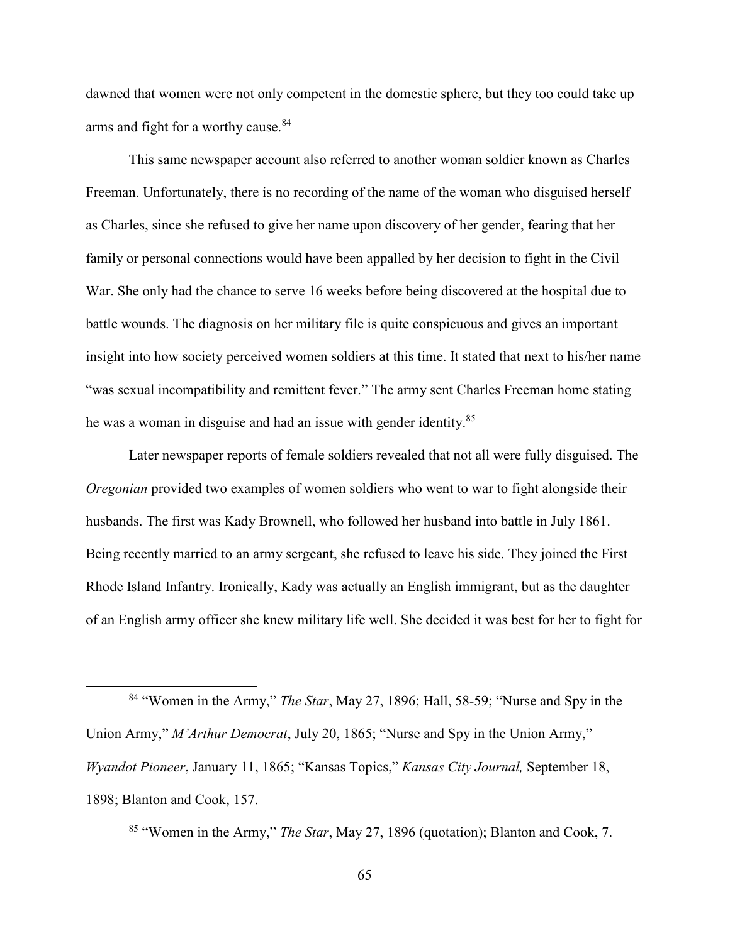dawned that women were not only competent in the domestic sphere, but they too could take up arms and fight for a worthy cause.<sup>84</sup>

 This same newspaper account also referred to another woman soldier known as Charles Freeman. Unfortunately, there is no recording of the name of the woman who disguised herself as Charles, since she refused to give her name upon discovery of her gender, fearing that her family or personal connections would have been appalled by her decision to fight in the Civil War. She only had the chance to serve 16 weeks before being discovered at the hospital due to battle wounds. The diagnosis on her military file is quite conspicuous and gives an important insight into how society perceived women soldiers at this time. It stated that next to his/her name "was sexual incompatibility and remittent fever." The army sent Charles Freeman home stating he was a woman in disguise and had an issue with gender identity.<sup>85</sup>

 Later newspaper reports of female soldiers revealed that not all were fully disguised. The *Oregonian* provided two examples of women soldiers who went to war to fight alongside their husbands. The first was Kady Brownell, who followed her husband into battle in July 1861. Being recently married to an army sergeant, she refused to leave his side. They joined the First Rhode Island Infantry. Ironically, Kady was actually an English immigrant, but as the daughter of an English army officer she knew military life well. She decided it was best for her to fight for

<sup>84</sup> "Women in the Army," *The Star*, May 27, 1896; Hall, 58-59; "Nurse and Spy in the Union Army," *M'Arthur Democrat*, July 20, 1865; "Nurse and Spy in the Union Army," *Wyandot Pioneer*, January 11, 1865; "Kansas Topics," *Kansas City Journal,* September 18, 1898; Blanton and Cook, 157.

-

<sup>85</sup> "Women in the Army," *The Star*, May 27, 1896 (quotation); Blanton and Cook, 7.

65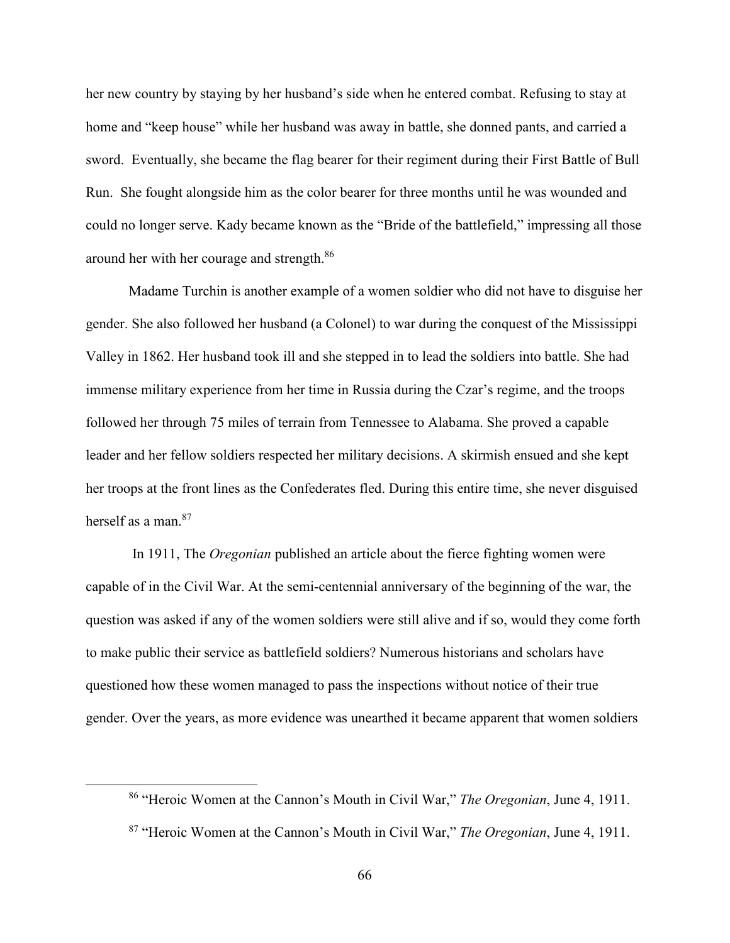her new country by staying by her husband's side when he entered combat. Refusing to stay at home and "keep house" while her husband was away in battle, she donned pants, and carried a sword. Eventually, she became the flag bearer for their regiment during their First Battle of Bull Run. She fought alongside him as the color bearer for three months until he was wounded and could no longer serve. Kady became known as the "Bride of the battlefield," impressing all those around her with her courage and strength.<sup>86</sup>

 Madame Turchin is another example of a women soldier who did not have to disguise her gender. She also followed her husband (a Colonel) to war during the conquest of the Mississippi Valley in 1862. Her husband took ill and she stepped in to lead the soldiers into battle. She had immense military experience from her time in Russia during the Czar's regime, and the troops followed her through 75 miles of terrain from Tennessee to Alabama. She proved a capable leader and her fellow soldiers respected her military decisions. A skirmish ensued and she kept her troops at the front lines as the Confederates fled. During this entire time, she never disguised herself as a man  $87$ 

 In 1911, The *Oregonian* published an article about the fierce fighting women were capable of in the Civil War. At the semi-centennial anniversary of the beginning of the war, the question was asked if any of the women soldiers were still alive and if so, would they come forth to make public their service as battlefield soldiers? Numerous historians and scholars have questioned how these women managed to pass the inspections without notice of their true gender. Over the years, as more evidence was unearthed it became apparent that women soldiers

<sup>86</sup> "Heroic Women at the Cannon's Mouth in Civil War," *The Oregonian*, June 4, 1911.

<sup>87</sup> "Heroic Women at the Cannon's Mouth in Civil War," *The Oregonian*, June 4, 1911.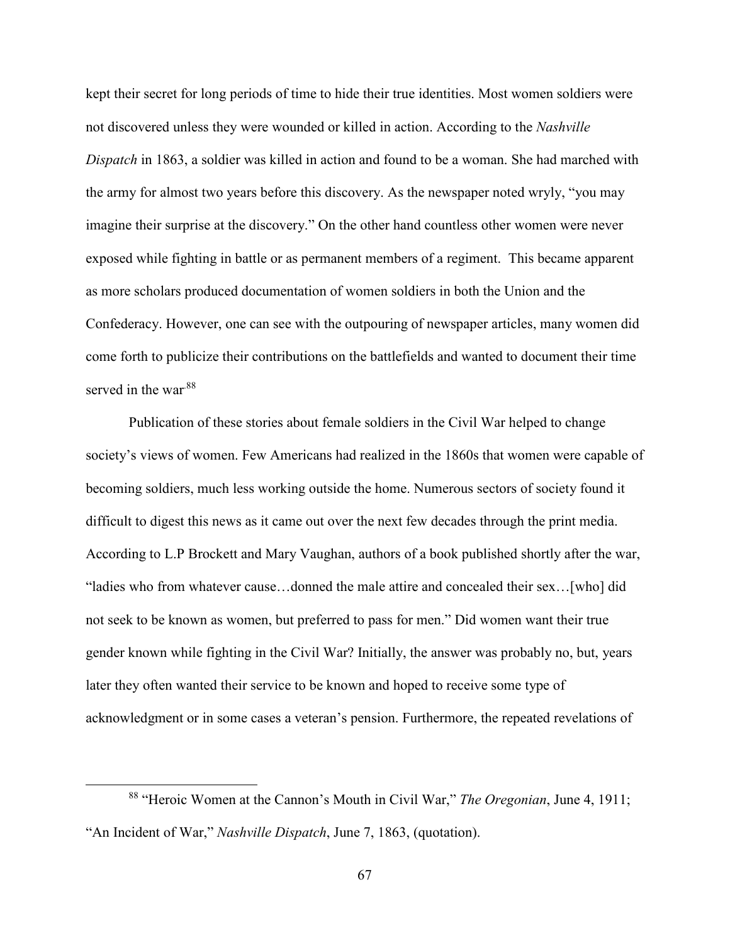kept their secret for long periods of time to hide their true identities. Most women soldiers were not discovered unless they were wounded or killed in action. According to the *Nashville Dispatch* in 1863, a soldier was killed in action and found to be a woman. She had marched with the army for almost two years before this discovery. As the newspaper noted wryly, "you may imagine their surprise at the discovery." On the other hand countless other women were never exposed while fighting in battle or as permanent members of a regiment. This became apparent as more scholars produced documentation of women soldiers in both the Union and the Confederacy. However, one can see with the outpouring of newspaper articles, many women did come forth to publicize their contributions on the battlefields and wanted to document their time served in the war.<sup>88</sup>

Publication of these stories about female soldiers in the Civil War helped to change society's views of women. Few Americans had realized in the 1860s that women were capable of becoming soldiers, much less working outside the home. Numerous sectors of society found it difficult to digest this news as it came out over the next few decades through the print media. According to L.P Brockett and Mary Vaughan, authors of a book published shortly after the war, "ladies who from whatever cause…donned the male attire and concealed their sex…[who] did not seek to be known as women, but preferred to pass for men." Did women want their true gender known while fighting in the Civil War? Initially, the answer was probably no, but, years later they often wanted their service to be known and hoped to receive some type of acknowledgment or in some cases a veteran's pension. Furthermore, the repeated revelations of

 $\overline{a}$ 

<sup>88</sup> "Heroic Women at the Cannon's Mouth in Civil War," *The Oregonian*, June 4, 1911; "An Incident of War," *Nashville Dispatch*, June 7, 1863, (quotation).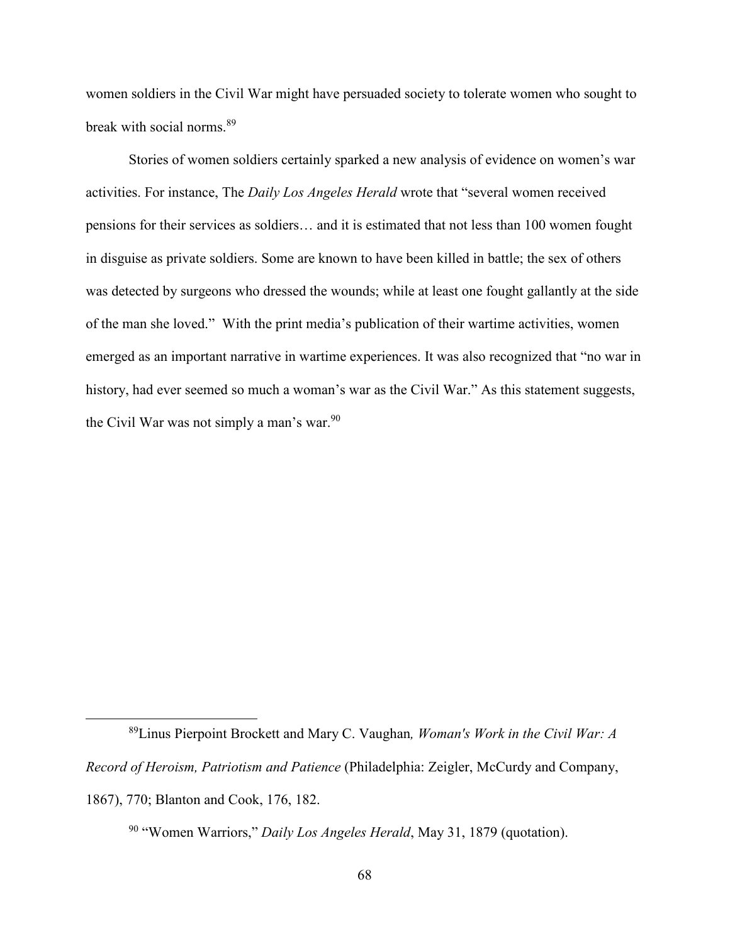women soldiers in the Civil War might have persuaded society to tolerate women who sought to break with social norms.<sup>89</sup>

Stories of women soldiers certainly sparked a new analysis of evidence on women's war activities. For instance, The *Daily Los Angeles Herald* wrote that "several women received pensions for their services as soldiers… and it is estimated that not less than 100 women fought in disguise as private soldiers. Some are known to have been killed in battle; the sex of others was detected by surgeons who dressed the wounds; while at least one fought gallantly at the side of the man she loved." With the print media's publication of their wartime activities, women emerged as an important narrative in wartime experiences. It was also recognized that "no war in history, had ever seemed so much a woman's war as the Civil War." As this statement suggests, the Civil War was not simply a man's war.<sup>90</sup>

 $\overline{a}$ 

<sup>89</sup>Linus Pierpoint Brockett and Mary C. Vaughan*, Woman's Work in the Civil War: A Record of Heroism, Patriotism and Patience* (Philadelphia: Zeigler, McCurdy and Company, 1867), 770; Blanton and Cook, 176, 182.

<sup>90</sup> "Women Warriors," *Daily Los Angeles Herald*, May 31, 1879 (quotation).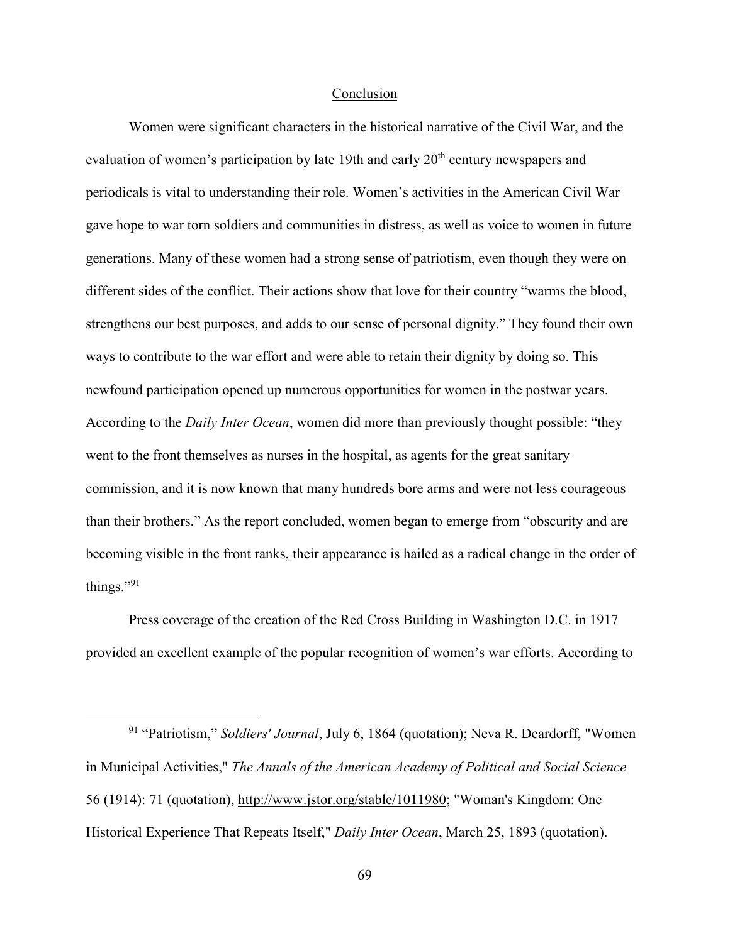## Conclusion

Women were significant characters in the historical narrative of the Civil War, and the evaluation of women's participation by late 19th and early 20<sup>th</sup> century newspapers and periodicals is vital to understanding their role. Women's activities in the American Civil War gave hope to war torn soldiers and communities in distress, as well as voice to women in future generations. Many of these women had a strong sense of patriotism, even though they were on different sides of the conflict. Their actions show that love for their country "warms the blood, strengthens our best purposes, and adds to our sense of personal dignity." They found their own ways to contribute to the war effort and were able to retain their dignity by doing so. This newfound participation opened up numerous opportunities for women in the postwar years. According to the *Daily Inter Ocean*, women did more than previously thought possible: "they went to the front themselves as nurses in the hospital, as agents for the great sanitary commission, and it is now known that many hundreds bore arms and were not less courageous than their brothers." As the report concluded, women began to emerge from "obscurity and are becoming visible in the front ranks, their appearance is hailed as a radical change in the order of things."<sup>91</sup>

Press coverage of the creation of the Red Cross Building in Washington D.C. in 1917 provided an excellent example of the popular recognition of women's war efforts. According to

-

<sup>91</sup> "Patriotism," *Soldiers' Journal*, July 6, 1864 (quotation); Neva R. Deardorff, "Women in Municipal Activities," *The Annals of the American Academy of Political and Social Science* 56 (1914): 71 (quotation), http://www.jstor.org/stable/1011980; "Woman's Kingdom: One Historical Experience That Repeats Itself," *Daily Inter Ocean*, March 25, 1893 (quotation).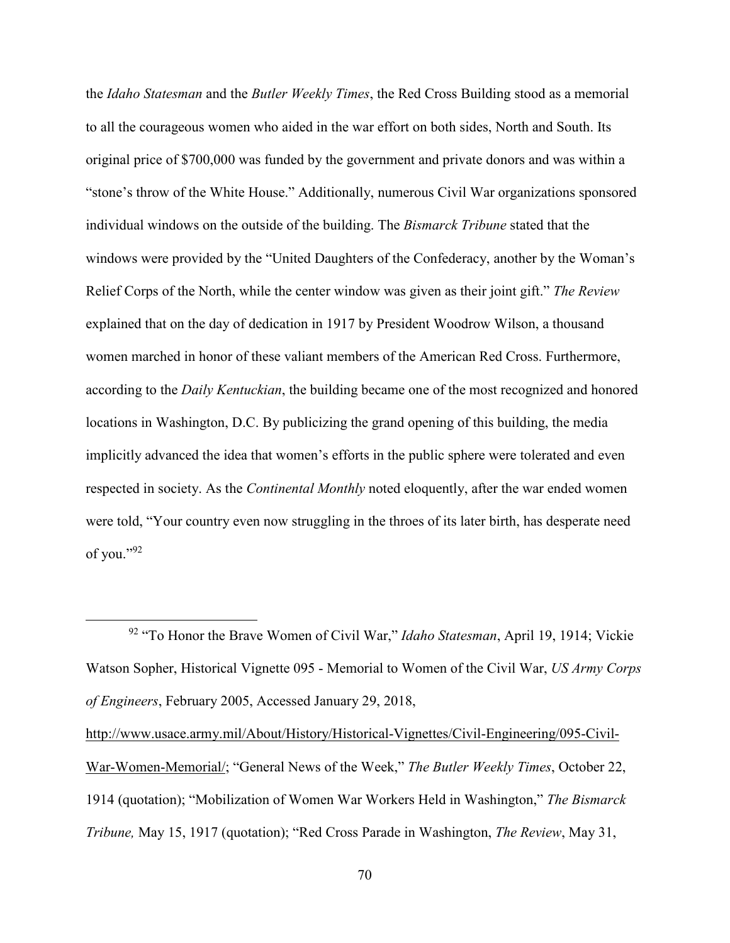the *Idaho Statesman* and the *Butler Weekly Times*, the Red Cross Building stood as a memorial to all the courageous women who aided in the war effort on both sides, North and South. Its original price of \$700,000 was funded by the government and private donors and was within a "stone's throw of the White House." Additionally, numerous Civil War organizations sponsored individual windows on the outside of the building. The *Bismarck Tribune* stated that the windows were provided by the "United Daughters of the Confederacy, another by the Woman's Relief Corps of the North, while the center window was given as their joint gift." *The Review* explained that on the day of dedication in 1917 by President Woodrow Wilson, a thousand women marched in honor of these valiant members of the American Red Cross. Furthermore, according to the *Daily Kentuckian*, the building became one of the most recognized and honored locations in Washington, D.C. By publicizing the grand opening of this building, the media implicitly advanced the idea that women's efforts in the public sphere were tolerated and even respected in society. As the *Continental Monthly* noted eloquently, after the war ended women were told, "Your country even now struggling in the throes of its later birth, has desperate need of you."92

 $\overline{a}$ 

http://www.usace.army.mil/About/History/Historical-Vignettes/Civil-Engineering/095-Civil-War-Women-Memorial/; "General News of the Week," *The Butler Weekly Times*, October 22, 1914 (quotation); "Mobilization of Women War Workers Held in Washington," *The Bismarck Tribune,* May 15, 1917 (quotation); "Red Cross Parade in Washington, *The Review*, May 31,

<sup>92</sup> "To Honor the Brave Women of Civil War," *Idaho Statesman*, April 19, 1914; Vickie Watson Sopher, Historical Vignette 095 - Memorial to Women of the Civil War, *US Army Corps of Engineers*, February 2005, Accessed January 29, 2018,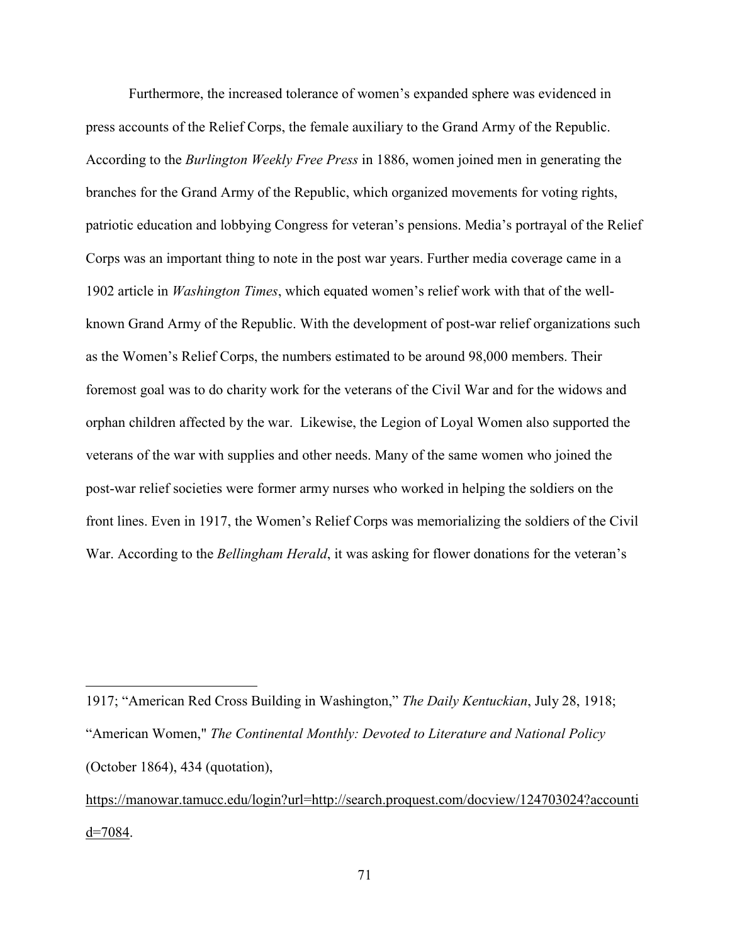Furthermore, the increased tolerance of women's expanded sphere was evidenced in press accounts of the Relief Corps, the female auxiliary to the Grand Army of the Republic. According to the *Burlington Weekly Free Press* in 1886, women joined men in generating the branches for the Grand Army of the Republic, which organized movements for voting rights, patriotic education and lobbying Congress for veteran's pensions. Media's portrayal of the Relief Corps was an important thing to note in the post war years. Further media coverage came in a 1902 article in *Washington Times*, which equated women's relief work with that of the wellknown Grand Army of the Republic. With the development of post-war relief organizations such as the Women's Relief Corps, the numbers estimated to be around 98,000 members. Their foremost goal was to do charity work for the veterans of the Civil War and for the widows and orphan children affected by the war. Likewise, the Legion of Loyal Women also supported the veterans of the war with supplies and other needs. Many of the same women who joined the post-war relief societies were former army nurses who worked in helping the soldiers on the front lines. Even in 1917, the Women's Relief Corps was memorializing the soldiers of the Civil War. According to the *Bellingham Herald*, it was asking for flower donations for the veteran's

-

https://manowar.tamucc.edu/login?url=http://search.proquest.com/docview/124703024?accounti  $d=7084$ .

<sup>1917; &</sup>quot;American Red Cross Building in Washington," *The Daily Kentuckian*, July 28, 1918; "American Women," *The Continental Monthly: Devoted to Literature and National Policy* (October 1864), 434 (quotation),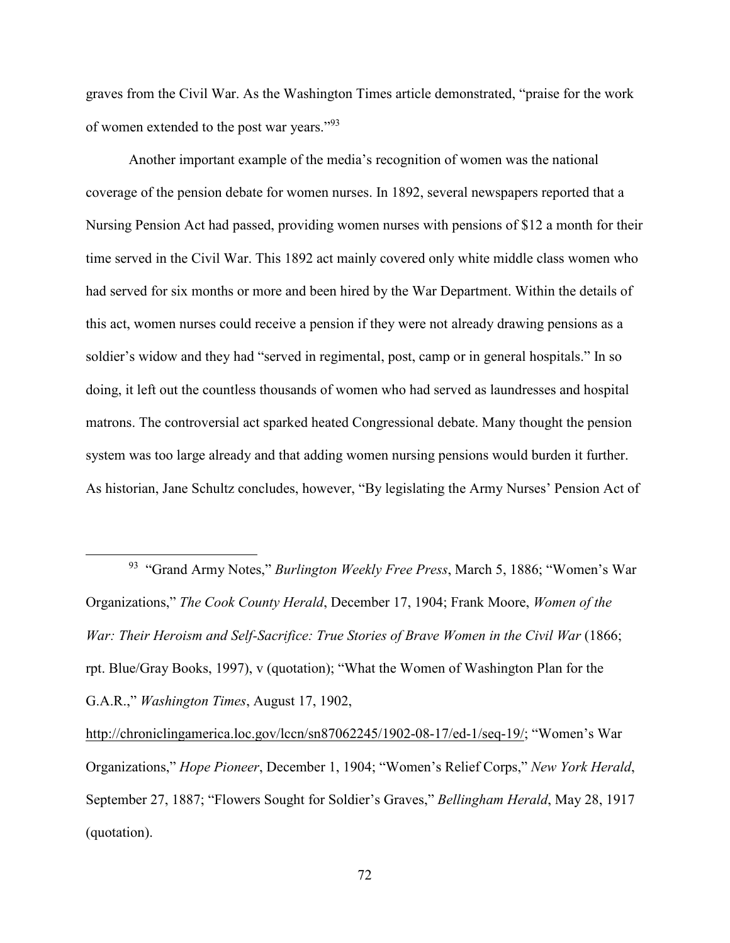graves from the Civil War. As the Washington Times article demonstrated, "praise for the work of women extended to the post war years."<sup>93</sup>

Another important example of the media's recognition of women was the national coverage of the pension debate for women nurses. In 1892, several newspapers reported that a Nursing Pension Act had passed, providing women nurses with pensions of \$12 a month for their time served in the Civil War. This 1892 act mainly covered only white middle class women who had served for six months or more and been hired by the War Department. Within the details of this act, women nurses could receive a pension if they were not already drawing pensions as a soldier's widow and they had "served in regimental, post, camp or in general hospitals." In so doing, it left out the countless thousands of women who had served as laundresses and hospital matrons. The controversial act sparked heated Congressional debate. Many thought the pension system was too large already and that adding women nursing pensions would burden it further. As historian, Jane Schultz concludes, however, "By legislating the Army Nurses' Pension Act of

<sup>93</sup> "Grand Army Notes," *Burlington Weekly Free Press*, March 5, 1886; "Women's War Organizations," *The Cook County Herald*, December 17, 1904; Frank Moore, *Women of the War: Their Heroism and Self-Sacrifice: True Stories of Brave Women in the Civil War* (1866; rpt. Blue/Gray Books, 1997), v (quotation); "What the Women of Washington Plan for the G.A.R.," *Washington Times*, August 17, 1902,

 $\overline{a}$ 

http://chroniclingamerica.loc.gov/lccn/sn87062245/1902-08-17/ed-1/seq-19/; "Women's War Organizations," *Hope Pioneer*, December 1, 1904; "Women's Relief Corps," *New York Herald*, September 27, 1887; "Flowers Sought for Soldier's Graves," *Bellingham Herald*, May 28, 1917 (quotation).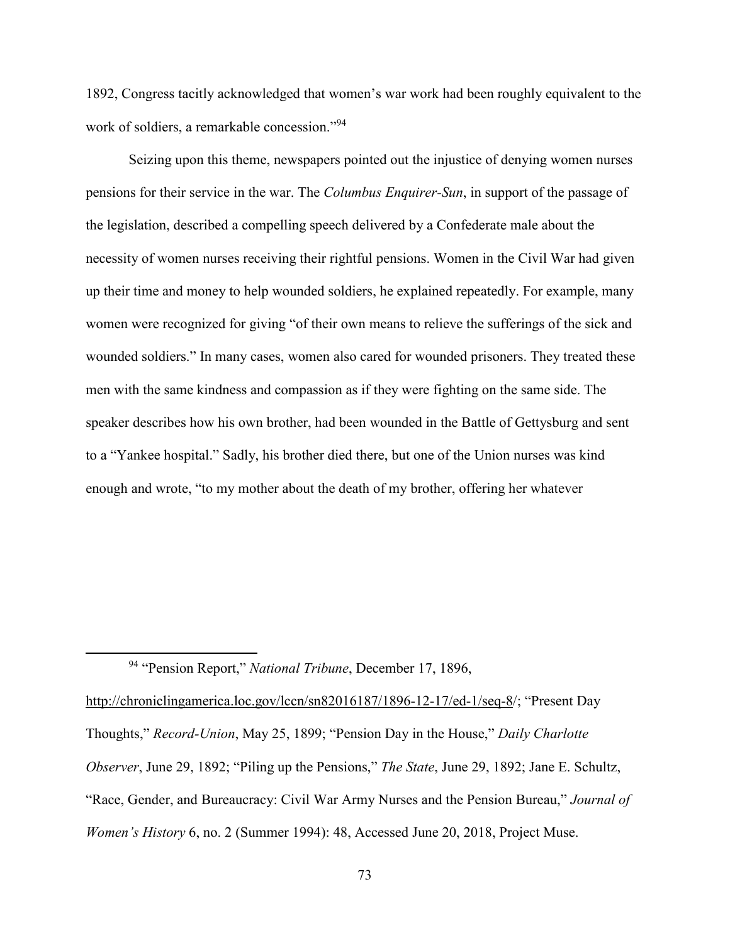1892, Congress tacitly acknowledged that women's war work had been roughly equivalent to the work of soldiers, a remarkable concession."<sup>94</sup>

Seizing upon this theme, newspapers pointed out the injustice of denying women nurses pensions for their service in the war. The *Columbus Enquirer-Sun*, in support of the passage of the legislation, described a compelling speech delivered by a Confederate male about the necessity of women nurses receiving their rightful pensions. Women in the Civil War had given up their time and money to help wounded soldiers, he explained repeatedly. For example, many women were recognized for giving "of their own means to relieve the sufferings of the sick and wounded soldiers." In many cases, women also cared for wounded prisoners. They treated these men with the same kindness and compassion as if they were fighting on the same side. The speaker describes how his own brother, had been wounded in the Battle of Gettysburg and sent to a "Yankee hospital." Sadly, his brother died there, but one of the Union nurses was kind enough and wrote, "to my mother about the death of my brother, offering her whatever

 $\overline{a}$ 

http://chroniclingamerica.loc.gov/lccn/sn82016187/1896-12-17/ed-1/seq-8/; "Present Day Thoughts," *Record-Union*, May 25, 1899; "Pension Day in the House," *Daily Charlotte Observer*, June 29, 1892; "Piling up the Pensions," *The State*, June 29, 1892; Jane E. Schultz, "Race, Gender, and Bureaucracy: Civil War Army Nurses and the Pension Bureau," *Journal of Women's History* 6, no. 2 (Summer 1994): 48, Accessed June 20, 2018, Project Muse.

<sup>94</sup> "Pension Report," *National Tribune*, December 17, 1896,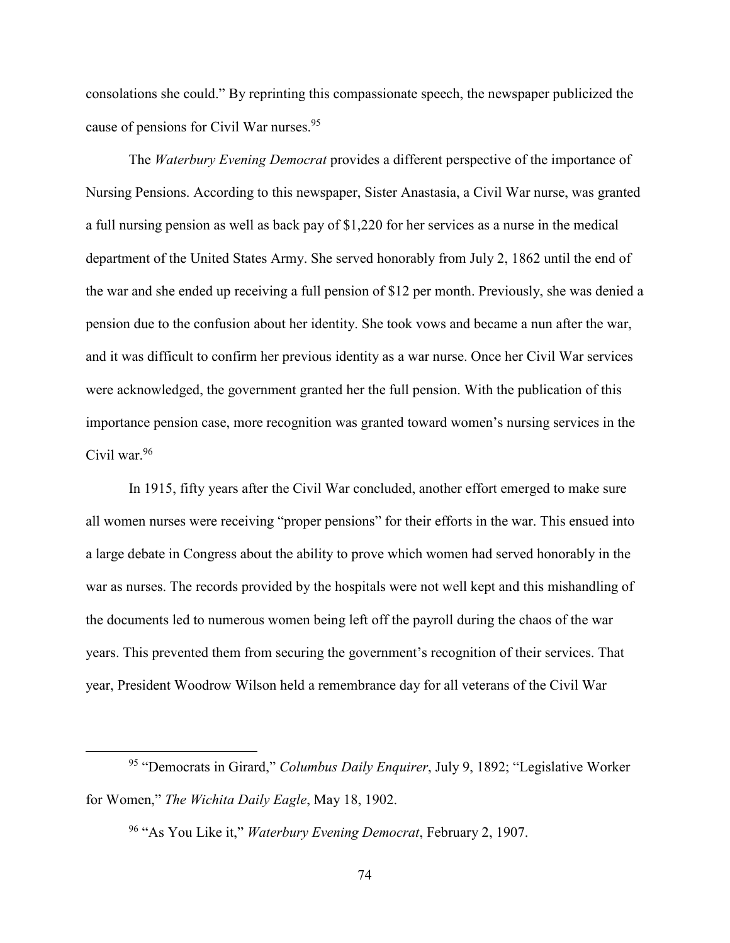consolations she could." By reprinting this compassionate speech, the newspaper publicized the cause of pensions for Civil War nurses.<sup>95</sup>

The *Waterbury Evening Democrat* provides a different perspective of the importance of Nursing Pensions. According to this newspaper, Sister Anastasia, a Civil War nurse, was granted a full nursing pension as well as back pay of \$1,220 for her services as a nurse in the medical department of the United States Army. She served honorably from July 2, 1862 until the end of the war and she ended up receiving a full pension of \$12 per month. Previously, she was denied a pension due to the confusion about her identity. She took vows and became a nun after the war, and it was difficult to confirm her previous identity as a war nurse. Once her Civil War services were acknowledged, the government granted her the full pension. With the publication of this importance pension case, more recognition was granted toward women's nursing services in the Civil war.<sup>96</sup>

In 1915, fifty years after the Civil War concluded, another effort emerged to make sure all women nurses were receiving "proper pensions" for their efforts in the war. This ensued into a large debate in Congress about the ability to prove which women had served honorably in the war as nurses. The records provided by the hospitals were not well kept and this mishandling of the documents led to numerous women being left off the payroll during the chaos of the war years. This prevented them from securing the government's recognition of their services. That year, President Woodrow Wilson held a remembrance day for all veterans of the Civil War

<u>.</u>

<sup>95</sup> "Democrats in Girard," *Columbus Daily Enquirer*, July 9, 1892; "Legislative Worker for Women," *The Wichita Daily Eagle*, May 18, 1902.

<sup>96</sup> "As You Like it," *Waterbury Evening Democrat*, February 2, 1907.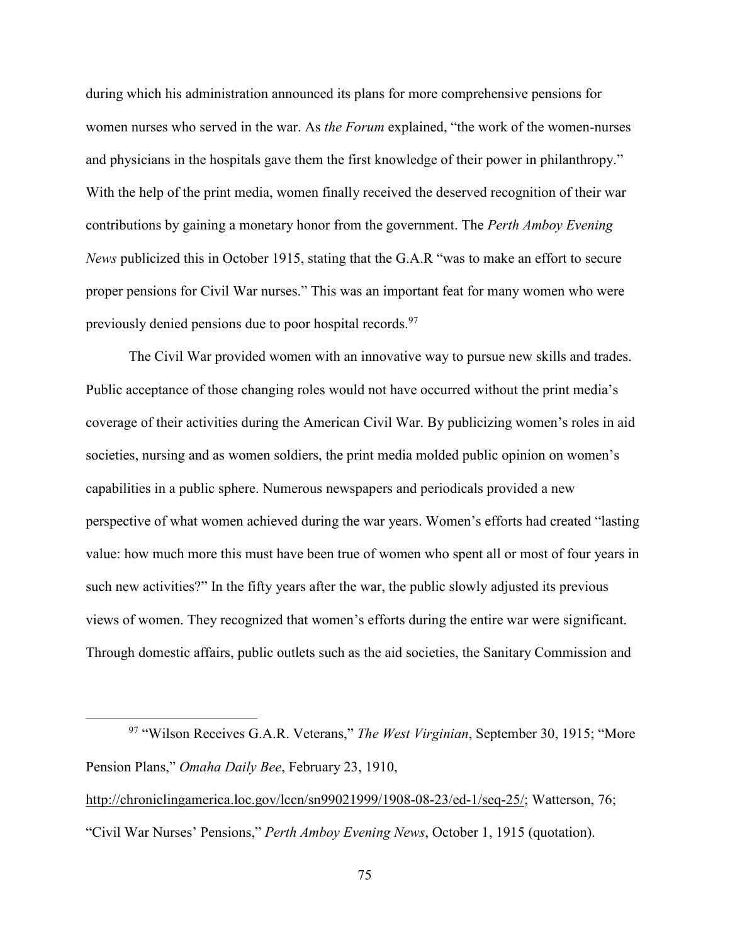during which his administration announced its plans for more comprehensive pensions for women nurses who served in the war. As *the Forum* explained, "the work of the women-nurses and physicians in the hospitals gave them the first knowledge of their power in philanthropy." With the help of the print media, women finally received the deserved recognition of their war contributions by gaining a monetary honor from the government. The *Perth Amboy Evening News* publicized this in October 1915, stating that the G.A.R "was to make an effort to secure proper pensions for Civil War nurses." This was an important feat for many women who were previously denied pensions due to poor hospital records.<sup>97</sup>

The Civil War provided women with an innovative way to pursue new skills and trades. Public acceptance of those changing roles would not have occurred without the print media's coverage of their activities during the American Civil War. By publicizing women's roles in aid societies, nursing and as women soldiers, the print media molded public opinion on women's capabilities in a public sphere. Numerous newspapers and periodicals provided a new perspective of what women achieved during the war years. Women's efforts had created "lasting value: how much more this must have been true of women who spent all or most of four years in such new activities?" In the fifty years after the war, the public slowly adjusted its previous views of women. They recognized that women's efforts during the entire war were significant. Through domestic affairs, public outlets such as the aid societies, the Sanitary Commission and

-

<sup>97</sup> "Wilson Receives G.A.R. Veterans," *The West Virginian*, September 30, 1915; "More Pension Plans," *Omaha Daily Bee*, February 23, 1910, http://chroniclingamerica.loc.gov/lccn/sn99021999/1908-08-23/ed-1/seq-25/; Watterson, 76; "Civil War Nurses' Pensions," *Perth Amboy Evening News*, October 1, 1915 (quotation).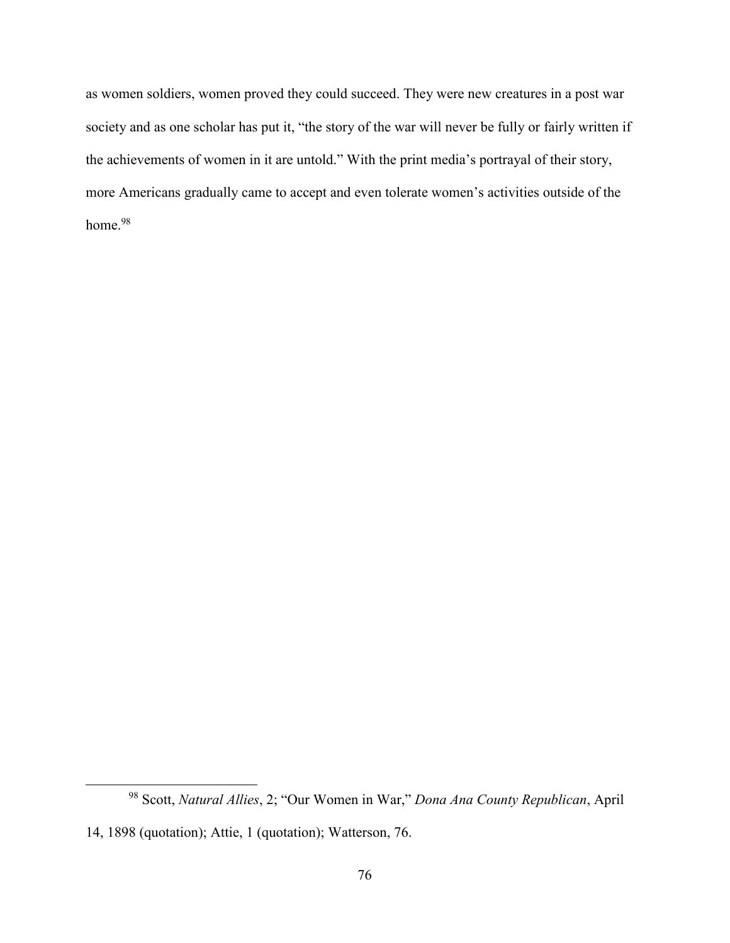as women soldiers, women proved they could succeed. They were new creatures in a post war society and as one scholar has put it, "the story of the war will never be fully or fairly written if the achievements of women in it are untold." With the print media's portrayal of their story, more Americans gradually came to accept and even tolerate women's activities outside of the home.<sup>98</sup>

 $\overline{a}$ 

<sup>98</sup> Scott, *Natural Allies*, 2; "Our Women in War," *Dona Ana County Republican*, April 14, 1898 (quotation); Attie, 1 (quotation); Watterson, 76.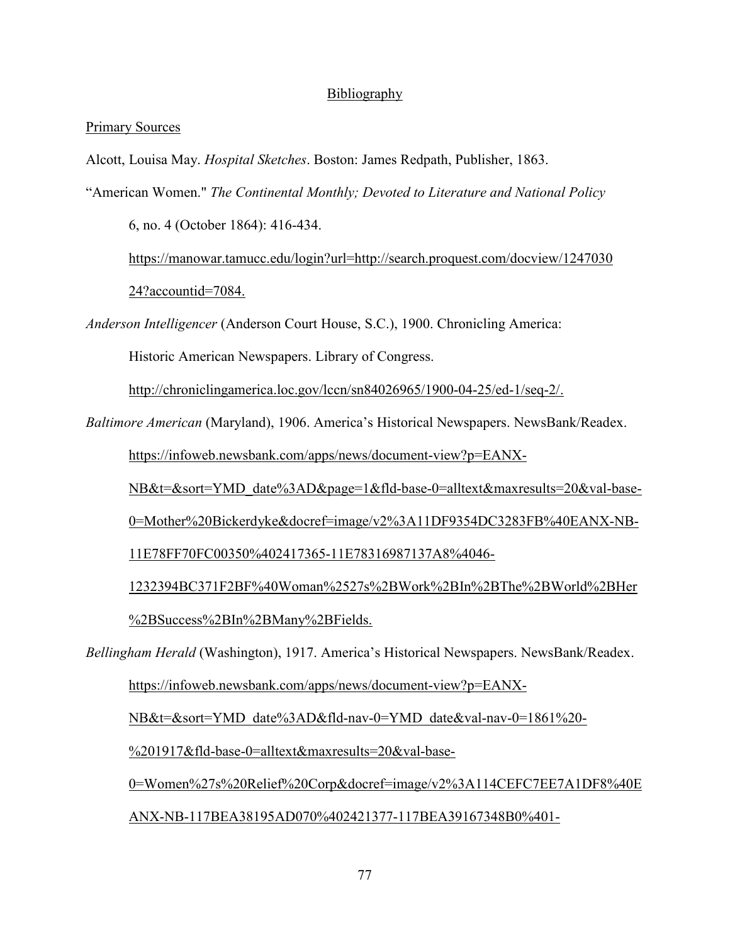## Bibliography

## Primary Sources

Alcott, Louisa May. *Hospital Sketches*. Boston: James Redpath, Publisher, 1863.

"American Women." *The Continental Monthly; Devoted to Literature and National Policy*

6, no. 4 (October 1864): 416-434.

 https://manowar.tamucc.edu/login?url=http://search.proquest.com/docview/1247030 24?accountid=7084.

*Anderson Intelligencer* (Anderson Court House, S.C.), 1900. Chronicling America:

Historic American Newspapers. Library of Congress.

http://chroniclingamerica.loc.gov/lccn/sn84026965/1900-04-25/ed-1/seq-2/.

*Baltimore American* (Maryland), 1906. America's Historical Newspapers. NewsBank/Readex.

https://infoweb.newsbank.com/apps/news/document-view?p=EANX-

NB&t=&sort=YMD\_date%3AD&page=1&fld-base-0=alltext&maxresults=20&val-base-

0=Mother%20Bickerdyke&docref=image/v2%3A11DF9354DC3283FB%40EANX-NB-

11E78FF70FC00350%402417365-11E78316987137A8%4046-

 1232394BC371F2BF%40Woman%2527s%2BWork%2BIn%2BThe%2BWorld%2BHer %2BSuccess%2BIn%2BMany%2BFields.

*Bellingham Herald* (Washington), 1917. America's Historical Newspapers. NewsBank/Readex.

https://infoweb.newsbank.com/apps/news/document-view?p=EANX-

NB&t=&sort=YMD\_date%3AD&fld-nav-0=YMD\_date&val-nav-0=1861%20-

%201917&fld-base-0=alltext&maxresults=20&val-base-

 0=Women%27s%20Relief%20Corp&docref=image/v2%3A114CEFC7EE7A1DF8%40E ANX-NB-117BEA38195AD070%402421377-117BEA39167348B0%401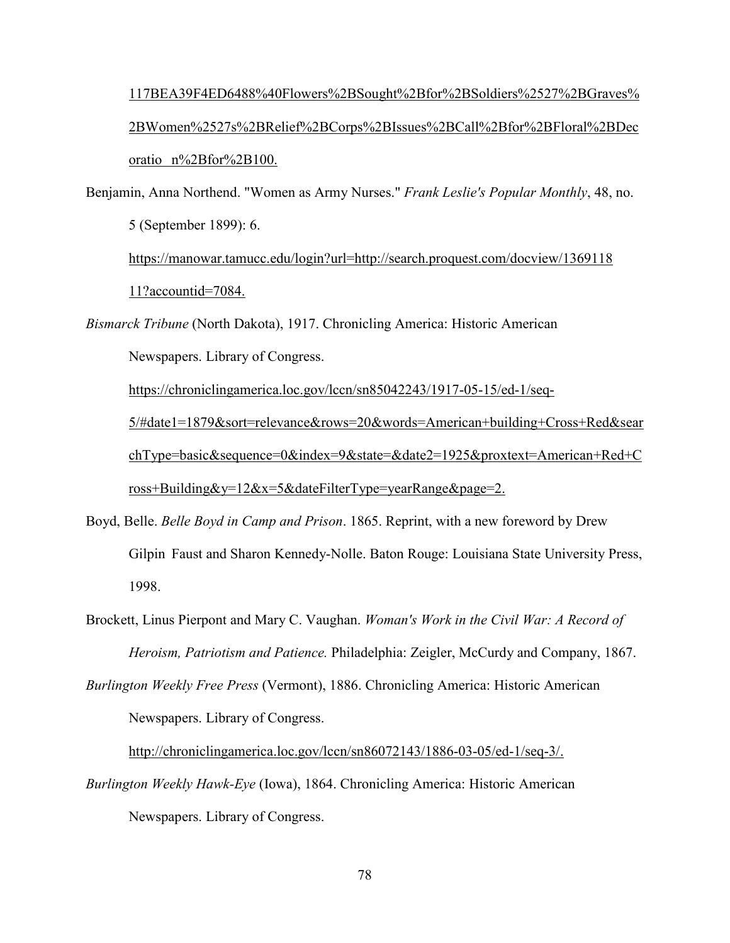117BEA39F4ED6488%40Flowers%2BSought%2Bfor%2BSoldiers%2527%2BGraves% 2BWomen%2527s%2BRelief%2BCorps%2BIssues%2BCall%2Bfor%2BFloral%2BDec oratio n%2Bfor%2B100.

Benjamin, Anna Northend. "Women as Army Nurses." *Frank Leslie's Popular Monthly*, 48, no. 5 (September 1899): 6. https://manowar.tamucc.edu/login?url=http://search.proquest.com/docview/1369118

11?accountid=7084.

*Bismarck Tribune* (North Dakota), 1917. Chronicling America: Historic American

Newspapers. Library of Congress.

https://chroniclingamerica.loc.gov/lccn/sn85042243/1917-05-15/ed-1/seq-

 5/#date1=1879&sort=relevance&rows=20&words=American+building+Cross+Red&sear chType=basic&sequence=0&index=9&state=&date2=1925&proxtext=American+Red+C ross+Building&y=12&x=5&dateFilterType=yearRange&page=2.

Boyd, Belle. *Belle Boyd in Camp and Prison*. 1865. Reprint, with a new foreword by Drew Gilpin Faust and Sharon Kennedy-Nolle. Baton Rouge: Louisiana State University Press, 1998.

Brockett, Linus Pierpont and Mary C. Vaughan. *Woman's Work in the Civil War: A Record of Heroism, Patriotism and Patience.* Philadelphia: Zeigler, McCurdy and Company, 1867.

*Burlington Weekly Free Press* (Vermont), 1886. Chronicling America: Historic American Newspapers. Library of Congress.

http://chroniclingamerica.loc.gov/lccn/sn86072143/1886-03-05/ed-1/seq-3/.

*Burlington Weekly Hawk-Eye* (Iowa), 1864. Chronicling America: Historic American Newspapers. Library of Congress.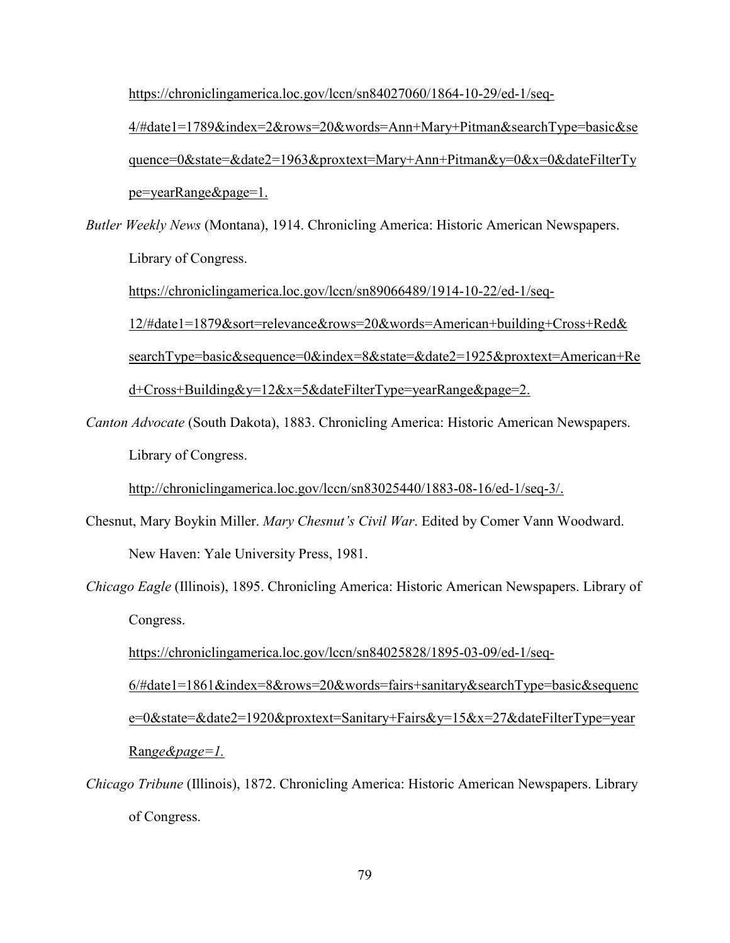https://chroniclingamerica.loc.gov/lccn/sn84027060/1864-10-29/ed-1/seq-

 4/#date1=1789&index=2&rows=20&words=Ann+Mary+Pitman&searchType=basic&se quence=0&state=&date2=1963&proxtext=Mary+Ann+Pitman&y=0&x=0&dateFilterTy pe=yearRange&page=1.

*Butler Weekly News* (Montana), 1914. Chronicling America: Historic American Newspapers. Library of Congress.

https://chroniclingamerica.loc.gov/lccn/sn89066489/1914-10-22/ed-1/seq-

12/#date1=1879&sort=relevance&rows=20&words=American+building+Cross+Red&

searchType=basic&sequence=0&index=8&state=&date2=1925&proxtext=American+Re

d+Cross+Building&y=12&x=5&dateFilterType=yearRange&page=2.

*Canton Advocate* (South Dakota), 1883. Chronicling America: Historic American Newspapers. Library of Congress.

http://chroniclingamerica.loc.gov/lccn/sn83025440/1883-08-16/ed-1/seq-3/.

- Chesnut, Mary Boykin Miller. *Mary Chesnut's Civil War*. Edited by Comer Vann Woodward. New Haven: Yale University Press, 1981.
- *Chicago Eagle* (Illinois), 1895. Chronicling America: Historic American Newspapers. Library of Congress.

 https://chroniclingamerica.loc.gov/lccn/sn84025828/1895-03-09/ed-1/seq- 6/#date1=1861&index=8&rows=20&words=fairs+sanitary&searchType=basic&sequenc e=0&state=&date2=1920&proxtext=Sanitary+Fairs&y=15&x=27&dateFilterType=year Ran*ge&page=1.*

*Chicago Tribune* (Illinois), 1872. Chronicling America: Historic American Newspapers. Library of Congress.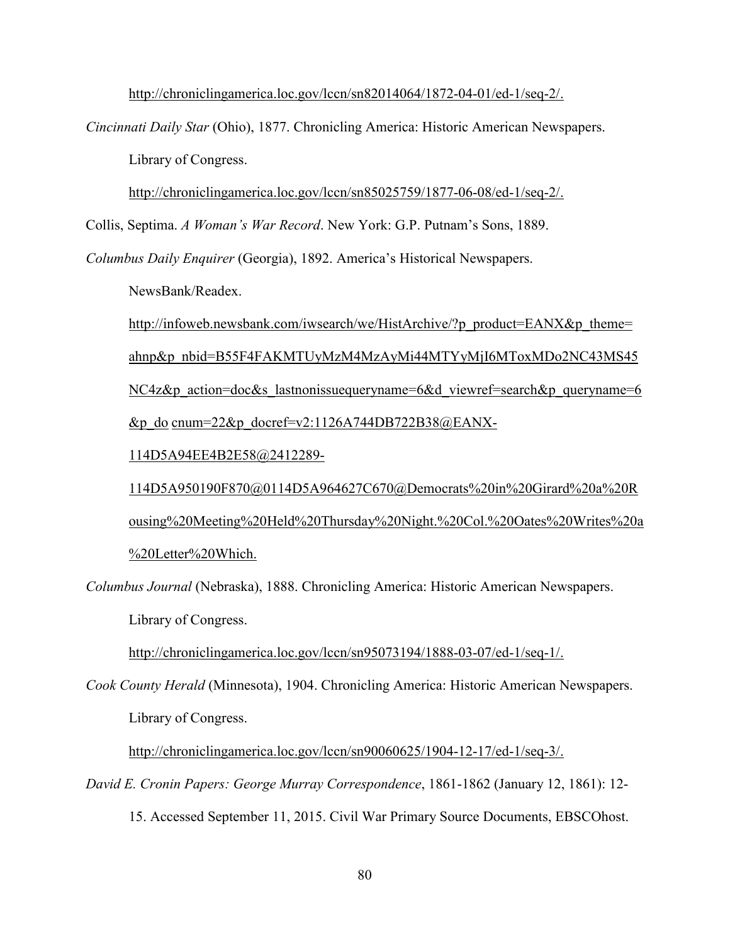http://chroniclingamerica.loc.gov/lccn/sn82014064/1872-04-01/ed-1/seq-2/.

*Cincinnati Daily Star* (Ohio), 1877. Chronicling America: Historic American Newspapers. Library of Congress.

http://chroniclingamerica.loc.gov/lccn/sn85025759/1877-06-08/ed-1/seq-2/.

Collis, Septima. *A Woman's War Record*. New York: G.P. Putnam's Sons, 1889.

*Columbus Daily Enquirer* (Georgia), 1892. America's Historical Newspapers.

NewsBank/Readex.

http://infoweb.newsbank.com/iwsearch/we/HistArchive/?p\_product=EANX&p\_theme= ahnp&p\_nbid=B55F4FAKMTUyMzM4MzAyMi44MTYyMjI6MToxMDo2NC43MS45 NC4z&p action=doc&s lastnonissuequeryname=6&d viewref=search&p queryname=6 &p\_do cnum= $22$ &p\_docref=v2:1126A744DB722B38@EANX-

114D5A94EE4B2E58@2412289-

 114D5A950190F870@0114D5A964627C670@Democrats%20in%20Girard%20a%20R ousing%20Meeting%20Held%20Thursday%20Night.%20Col.%20Oates%20Writes%20a %20Letter%20Which.

*Columbus Journal* (Nebraska), 1888. Chronicling America: Historic American Newspapers.

Library of Congress.

http://chroniclingamerica.loc.gov/lccn/sn95073194/1888-03-07/ed-1/seq-1/.

*Cook County Herald* (Minnesota), 1904. Chronicling America: Historic American Newspapers. Library of Congress.

http://chroniclingamerica.loc.gov/lccn/sn90060625/1904-12-17/ed-1/seq-3/.

*David E. Cronin Papers: George Murray Correspondence*, 1861-1862 (January 12, 1861): 12-

15. Accessed September 11, 2015. Civil War Primary Source Documents, EBSCOhost.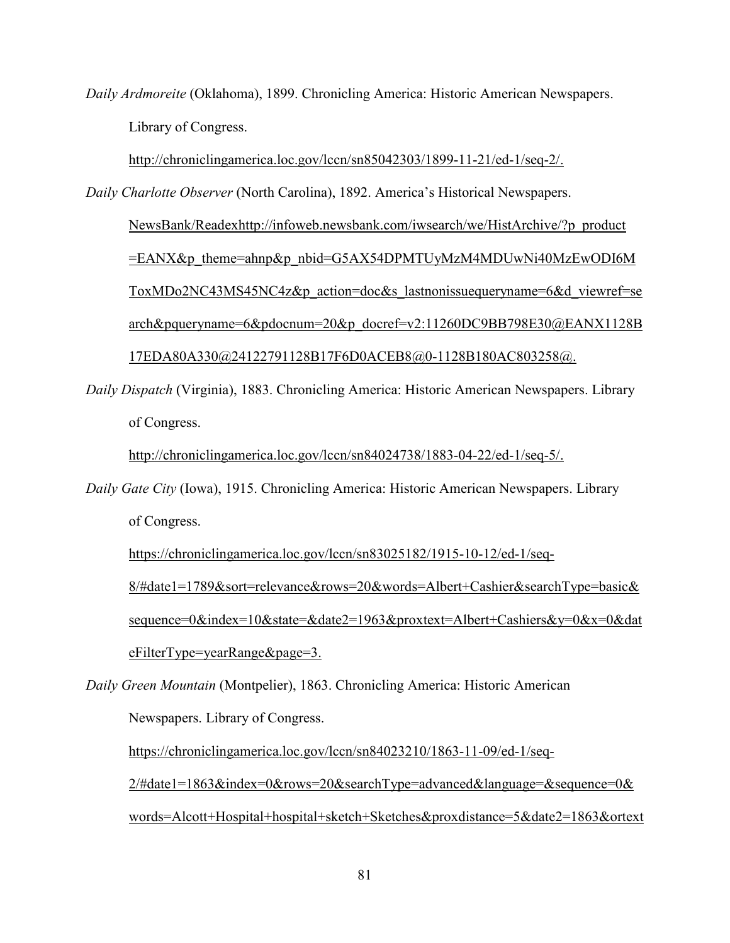*Daily Ardmoreite* (Oklahoma), 1899. Chronicling America: Historic American Newspapers. Library of Congress.

http://chroniclingamerica.loc.gov/lccn/sn85042303/1899-11-21/ed-1/seq-2/.

*Daily Charlotte Observer* (North Carolina), 1892. America's Historical Newspapers. NewsBank/Readexhttp://infoweb.newsbank.com/iwsearch/we/HistArchive/?p\_product =EANX&p\_theme=ahnp&p\_nbid=G5AX54DPMTUyMzM4MDUwNi40MzEwODI6M ToxMDo2NC43MS45NC4z&p\_action=doc&s\_lastnonissuequeryname=6&d\_viewref=se arch&pqueryname=6&pdocnum=20&p\_docref=v2:11260DC9BB798E30@EANX1128B 17EDA80A330@24122791128B17F6D0ACEB8@0-1128B180AC803258@.

*Daily Dispatch* (Virginia), 1883. Chronicling America: Historic American Newspapers. Library of Congress.

http://chroniclingamerica.loc.gov/lccn/sn84024738/1883-04-22/ed-1/seq-5/.

*Daily Gate City* (Iowa), 1915. Chronicling America: Historic American Newspapers. Library of Congress.

https://chroniclingamerica.loc.gov/lccn/sn83025182/1915-10-12/ed-1/seq- 8/#date1=1789&sort=relevance&rows=20&words=Albert+Cashier&searchType=basic& sequence=0&index=10&state=&date2=1963&proxtext=Albert+Cashiers&y=0&x=0&dat eFilterType=yearRange&page=3.

*Daily Green Mountain* (Montpelier), 1863. Chronicling America: Historic American Newspapers. Library of Congress.

https://chroniclingamerica.loc.gov/lccn/sn84023210/1863-11-09/ed-1/seq- $2/\text{\#date1}=1863\text{\&index}=0\text{\&rows}=20\text{\&searchType}=advanced\&language=\&sequence=0\&$ words=Alcott+Hospital+hospital+sketch+Sketches&proxdistance=5&date2=1863&ortext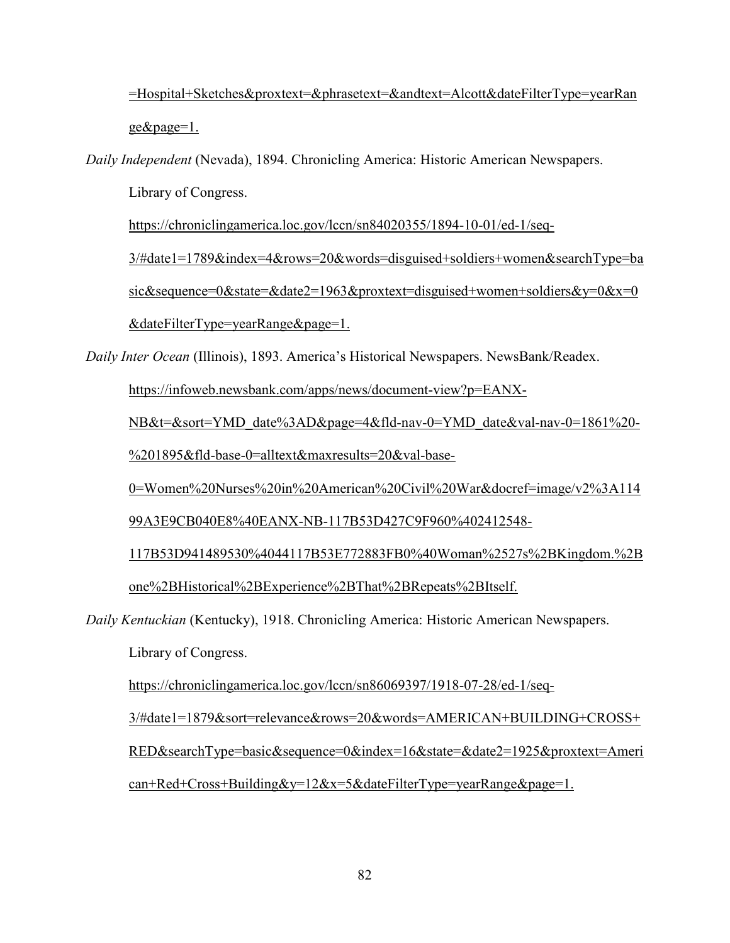=Hospital+Sketches&proxtext=&phrasetext=&andtext=Alcott&dateFilterType=yearRan ge&page=1.

*Daily Independent* (Nevada), 1894. Chronicling America: Historic American Newspapers.

Library of Congress.

https://chroniclingamerica.loc.gov/lccn/sn84020355/1894-10-01/ed-1/seq-

 3/#date1=1789&index=4&rows=20&words=disguised+soldiers+women&searchType=ba sic&sequence=0&state=&date2=1963&proxtext=disguised+women+soldiers&y=0&x=0 &dateFilterType=yearRange&page=1.

*Daily Inter Ocean* (Illinois), 1893. America's Historical Newspapers. NewsBank/Readex.

https://infoweb.newsbank.com/apps/news/document-view?p=EANX-

NB&t=&sort=YMD\_date%3AD&page=4&fld-nav-0=YMD\_date&val-nav-0=1861%20-

%201895&fld-base-0=alltext&maxresults=20&val-base-

0=Women%20Nurses%20in%20American%20Civil%20War&docref=image/v2%3A114

99A3E9CB040E8%40EANX-NB-117B53D427C9F960%402412548-

 117B53D941489530%4044117B53E772883FB0%40Woman%2527s%2BKingdom.%2B one%2BHistorical%2BExperience%2BThat%2BRepeats%2BItself.

*Daily Kentuckian* (Kentucky), 1918. Chronicling America: Historic American Newspapers.

Library of Congress.

https://chroniclingamerica.loc.gov/lccn/sn86069397/1918-07-28/ed-1/seq-

3/#date1=1879&sort=relevance&rows=20&words=AMERICAN+BUILDING+CROSS+

RED&searchType=basic&sequence=0&index=16&state=&date2=1925&proxtext=Ameri

can+Red+Cross+Building&y=12&x=5&dateFilterType=yearRange&page=1.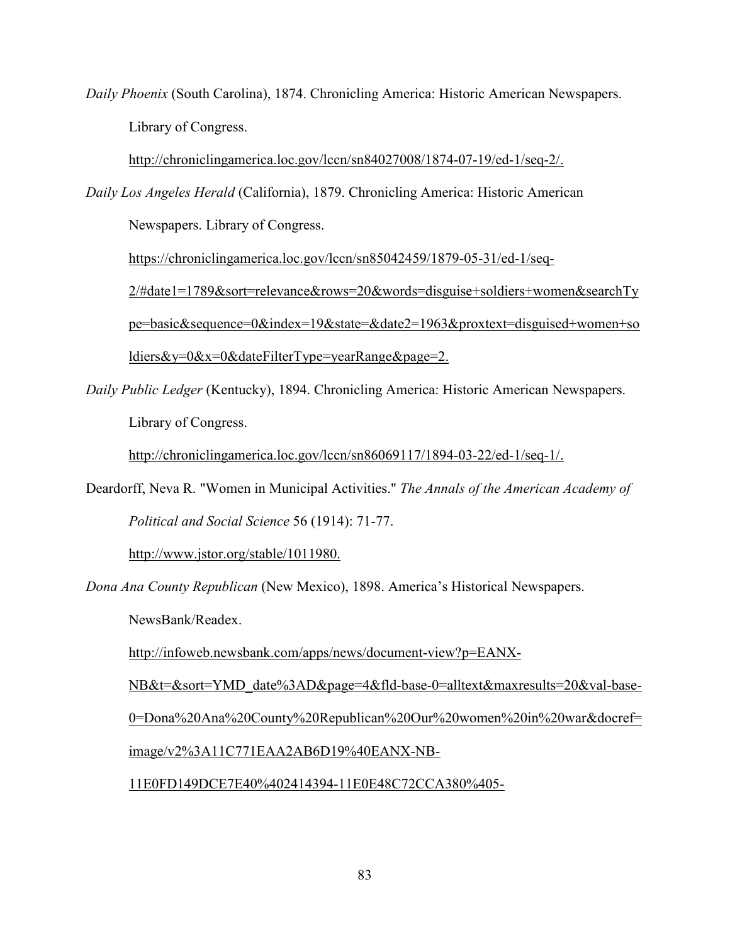*Daily Phoenix* (South Carolina), 1874. Chronicling America: Historic American Newspapers. Library of Congress.

http://chroniclingamerica.loc.gov/lccn/sn84027008/1874-07-19/ed-1/seq-2/.

*Daily Los Angeles Herald* (California), 1879. Chronicling America: Historic American

Newspapers. Library of Congress.

https://chroniclingamerica.loc.gov/lccn/sn85042459/1879-05-31/ed-1/seq-

 2/#date1=1789&sort=relevance&rows=20&words=disguise+soldiers+women&searchTy pe=basic&sequence=0&index=19&state=&date2=1963&proxtext=disguised+women+so ldiers&y=0&x=0&dateFilterType=yearRange&page=2.

*Daily Public Ledger* (Kentucky), 1894. Chronicling America: Historic American Newspapers. Library of Congress.

http://chroniclingamerica.loc.gov/lccn/sn86069117/1894-03-22/ed-1/seq-1/.

Deardorff, Neva R. "Women in Municipal Activities." *The Annals of the American Academy of Political and Social Science* 56 (1914): 71-77.

http://www.jstor.org/stable/1011980.

*Dona Ana County Republican* (New Mexico), 1898. America's Historical Newspapers.

NewsBank/Readex.

http://infoweb.newsbank.com/apps/news/document-view?p=EANX-

NB&t=&sort=YMD\_date%3AD&page=4&fld-base-0=alltext&maxresults=20&val-base-0=Dona%20Ana%20County%20Republican%20Our%20women%20in%20war&docref= image/v2%3A11C771EAA2AB6D19%40EANX-NB-

11E0FD149DCE7E40%402414394-11E0E48C72CCA380%405-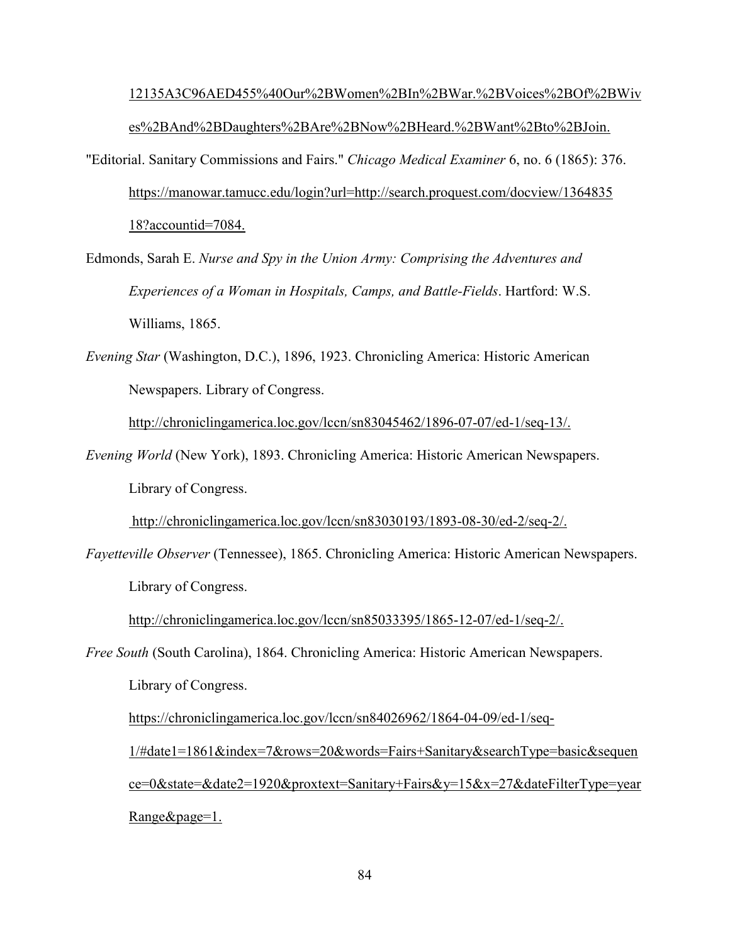## 12135A3C96AED455%40Our%2BWomen%2BIn%2BWar.%2BVoices%2BOf%2BWiv es%2BAnd%2BDaughters%2BAre%2BNow%2BHeard.%2BWant%2Bto%2BJoin.

- "Editorial. Sanitary Commissions and Fairs." *Chicago Medical Examiner* 6, no. 6 (1865): 376. https://manowar.tamucc.edu/login?url=http://search.proquest.com/docview/1364835 18?accountid=7084.
- Edmonds, Sarah E. *Nurse and Spy in the Union Army: Comprising the Adventures and Experiences of a Woman in Hospitals, Camps, and Battle-Fields*. Hartford: W.S. Williams, 1865.
- *Evening Star* (Washington, D.C.), 1896, 1923. Chronicling America: Historic American Newspapers. Library of Congress.

http://chroniclingamerica.loc.gov/lccn/sn83045462/1896-07-07/ed-1/seq-13/.

*Evening World* (New York), 1893. Chronicling America: Historic American Newspapers. Library of Congress.

http://chroniclingamerica.loc.gov/lccn/sn83030193/1893-08-30/ed-2/seq-2/.

*Fayetteville Observer* (Tennessee), 1865. Chronicling America: Historic American Newspapers. Library of Congress.

http://chroniclingamerica.loc.gov/lccn/sn85033395/1865-12-07/ed-1/seq-2/.

*Free South* (South Carolina), 1864. Chronicling America: Historic American Newspapers. Library of Congress.

https://chroniclingamerica.loc.gov/lccn/sn84026962/1864-04-09/ed-1/seq-

 1/#date1=1861&index=7&rows=20&words=Fairs+Sanitary&searchType=basic&sequen ce=0&state=&date2=1920&proxtext=Sanitary+Fairs&y=15&x=27&dateFilterType=year Range&page=1.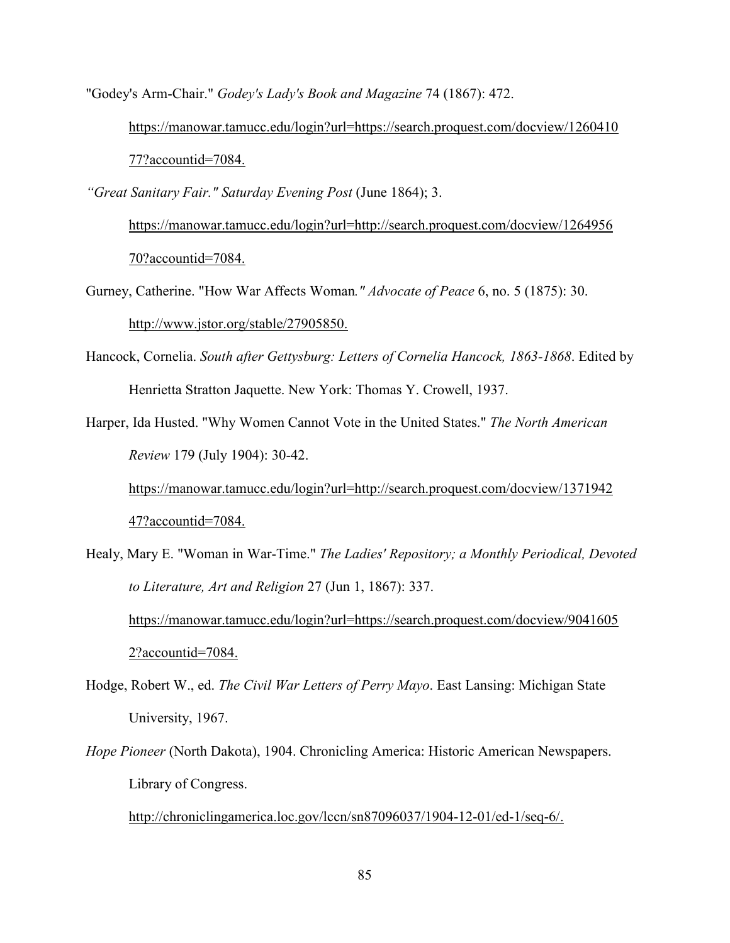"Godey's Arm-Chair." *Godey's Lady's Book and Magazine* 74 (1867): 472.

 https://manowar.tamucc.edu/login?url=https://search.proquest.com/docview/1260410 77?accountid=7084.

*"Great Sanitary Fair." Saturday Evening Post* (June 1864); 3.

 https://manowar.tamucc.edu/login?url=http://search.proquest.com/docview/1264956 70?accountid=7084.

Gurney, Catherine. "How War Affects Woman*." Advocate of Peace* 6, no. 5 (1875): 30. http://www.jstor.org/stable/27905850.

- Hancock, Cornelia. *South after Gettysburg: Letters of Cornelia Hancock, 1863-1868*. Edited by Henrietta Stratton Jaquette. New York: Thomas Y. Crowell, 1937.
- Harper, Ida Husted. "Why Women Cannot Vote in the United States." *The North American Review* 179 (July 1904): 30-42. https://manowar.tamucc.edu/login?url=http://search.proquest.com/docview/1371942

47?accountid=7084.

Healy, Mary E. "Woman in War-Time." *The Ladies' Repository; a Monthly Periodical, Devoted to Literature, Art and Religion* 27 (Jun 1, 1867): 337. https://manowar.tamucc.edu/login?url=https://search.proquest.com/docview/9041605 2?accountid=7084.

Hodge, Robert W., ed. *The Civil War Letters of Perry Mayo*. East Lansing: Michigan State University, 1967.

*Hope Pioneer* (North Dakota), 1904. Chronicling America: Historic American Newspapers. Library of Congress.

http://chroniclingamerica.loc.gov/lccn/sn87096037/1904-12-01/ed-1/seq-6/.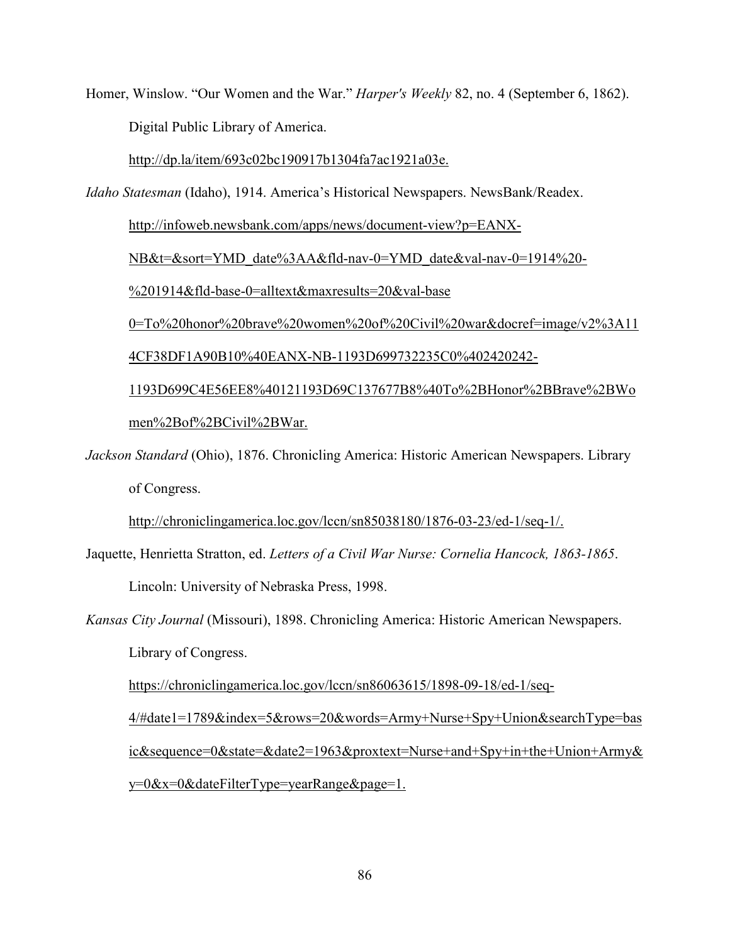Homer, Winslow. "Our Women and the War." *Harper's Weekly* 82, no. 4 (September 6, 1862). Digital Public Library of America.

http://dp.la/item/693c02bc190917b1304fa7ac1921a03e.

*Idaho Statesman* (Idaho), 1914. America's Historical Newspapers. NewsBank/Readex.

http://infoweb.newsbank.com/apps/news/document-view?p=EANX-

NB&t=&sort=YMD\_date%3AA&fld-nav-0=YMD\_date&val-nav-0=1914%20-

%201914&fld-base-0=alltext&maxresults=20&val-base

0=To%20honor%20brave%20women%20of%20Civil%20war&docref=image/v2%3A11

4CF38DF1A90B10%40EANX-NB-1193D699732235C0%402420242-

 1193D699C4E56EE8%40121193D69C137677B8%40To%2BHonor%2BBrave%2BWo men%2Bof%2BCivil%2BWar.

*Jackson Standard* (Ohio), 1876. Chronicling America: Historic American Newspapers. Library of Congress.

http://chroniclingamerica.loc.gov/lccn/sn85038180/1876-03-23/ed-1/seq-1/.

Jaquette, Henrietta Stratton, ed. *Letters of a Civil War Nurse: Cornelia Hancock, 1863-1865*.

Lincoln: University of Nebraska Press, 1998.

*Kansas City Journal* (Missouri), 1898. Chronicling America: Historic American Newspapers. Library of Congress.

https://chroniclingamerica.loc.gov/lccn/sn86063615/1898-09-18/ed-1/seq-

 4/#date1=1789&index=5&rows=20&words=Army+Nurse+Spy+Union&searchType=bas ic&sequence=0&state=&date2=1963&proxtext=Nurse+and+Spy+in+the+Union+Army& y=0&x=0&dateFilterType=yearRange&page=1.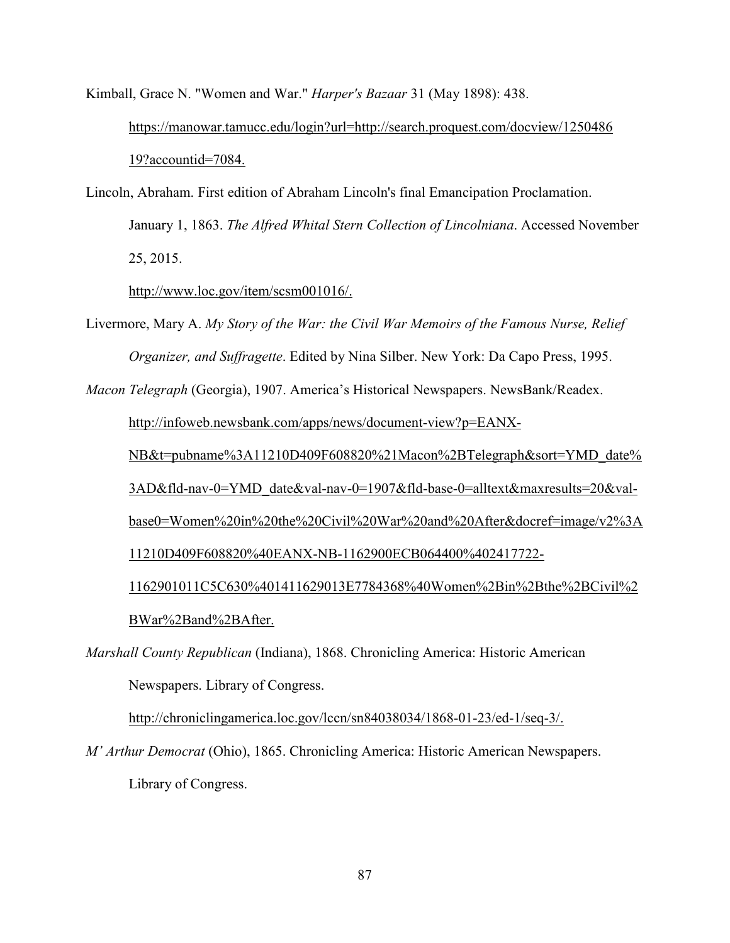Kimball, Grace N. "Women and War." *Harper's Bazaar* 31 (May 1898): 438. https://manowar.tamucc.edu/login?url=http://search.proquest.com/docview/1250486 19?accountid=7084.

Lincoln, Abraham. First edition of Abraham Lincoln's final Emancipation Proclamation. January 1, 1863. *The Alfred Whital Stern Collection of Lincolniana*. Accessed November 25, 2015.

http://www.loc.gov/item/scsm001016/.

Livermore, Mary A. *My Story of the War: the Civil War Memoirs of the Famous Nurse, Relief Organizer, and Suffragette*. Edited by Nina Silber. New York: Da Capo Press, 1995.

*Macon Telegraph* (Georgia), 1907. America's Historical Newspapers. NewsBank/Readex.

http://infoweb.newsbank.com/apps/news/document-view?p=EANX-

NB&t=pubname%3A11210D409F608820%21Macon%2BTelegraph&sort=YMD\_date%

3AD&fld-nav-0=YMD\_date&val-nav-0=1907&fld-base-0=alltext&maxresults=20&val-

base0=Women%20in%20the%20Civil%20War%20and%20After&docref=image/v2%3A

11210D409F608820%40EANX-NB-1162900ECB064400%402417722-

 1162901011C5C630%401411629013E7784368%40Women%2Bin%2Bthe%2BCivil%2 BWar%2Band%2BAfter.

*Marshall County Republican* (Indiana), 1868. Chronicling America: Historic American Newspapers. Library of Congress.

http://chroniclingamerica.loc.gov/lccn/sn84038034/1868-01-23/ed-1/seq-3/.

*M' Arthur Democrat* (Ohio), 1865. Chronicling America: Historic American Newspapers. Library of Congress.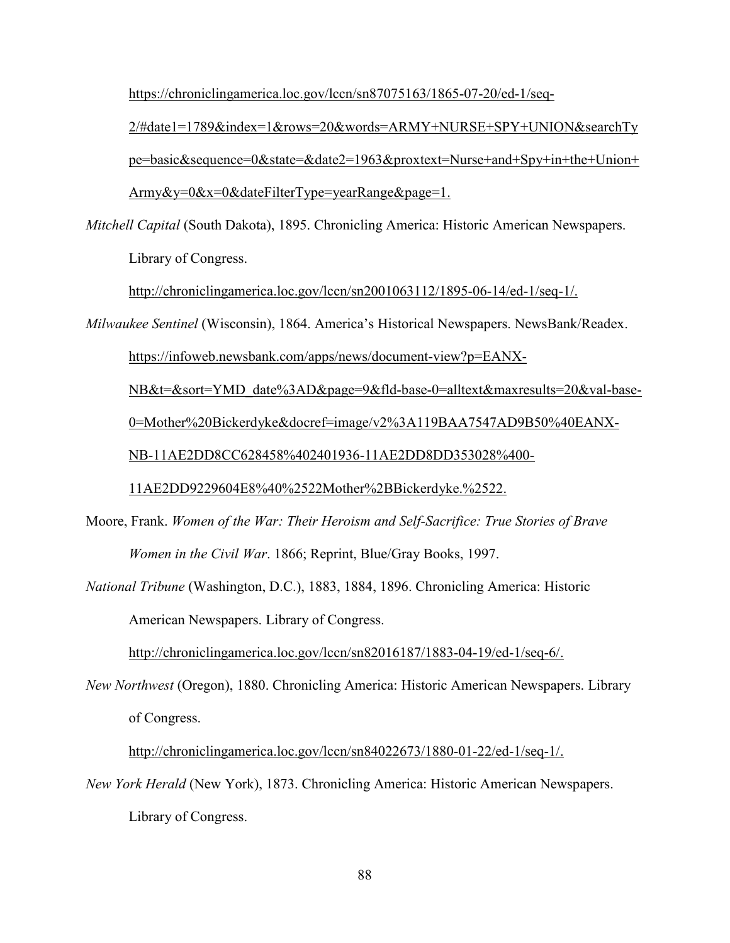https://chroniclingamerica.loc.gov/lccn/sn87075163/1865-07-20/ed-1/seq-

 2/#date1=1789&index=1&rows=20&words=ARMY+NURSE+SPY+UNION&searchTy pe=basic&sequence=0&state=&date2=1963&proxtext=Nurse+and+Spy+in+the+Union+ Army&y=0&x=0&dateFilterType=yearRange&page=1.

*Mitchell Capital* (South Dakota), 1895. Chronicling America: Historic American Newspapers.

Library of Congress.

http://chroniclingamerica.loc.gov/lccn/sn2001063112/1895-06-14/ed-1/seq-1/.

*Milwaukee Sentinel* (Wisconsin), 1864. America's Historical Newspapers. NewsBank/Readex.

https://infoweb.newsbank.com/apps/news/document-view?p=EANX-

NB&t=&sort=YMD\_date%3AD&page=9&fld-base-0=alltext&maxresults=20&val-base-

0=Mother%20Bickerdyke&docref=image/v2%3A119BAA7547AD9B50%40EANX-

NB-11AE2DD8CC628458%402401936-11AE2DD8DD353028%400-

11AE2DD9229604E8%40%2522Mother%2BBickerdyke.%2522.

Moore, Frank. *Women of the War: Their Heroism and Self-Sacrifice: True Stories of Brave Women in the Civil War*. 1866; Reprint, Blue/Gray Books, 1997.

*National Tribune* (Washington, D.C.), 1883, 1884, 1896. Chronicling America: Historic American Newspapers. Library of Congress.

http://chroniclingamerica.loc.gov/lccn/sn82016187/1883-04-19/ed-1/seq-6/.

*New Northwest* (Oregon), 1880. Chronicling America: Historic American Newspapers. Library of Congress.

http://chroniclingamerica.loc.gov/lccn/sn84022673/1880-01-22/ed-1/seq-1/.

*New York Herald* (New York), 1873. Chronicling America: Historic American Newspapers. Library of Congress.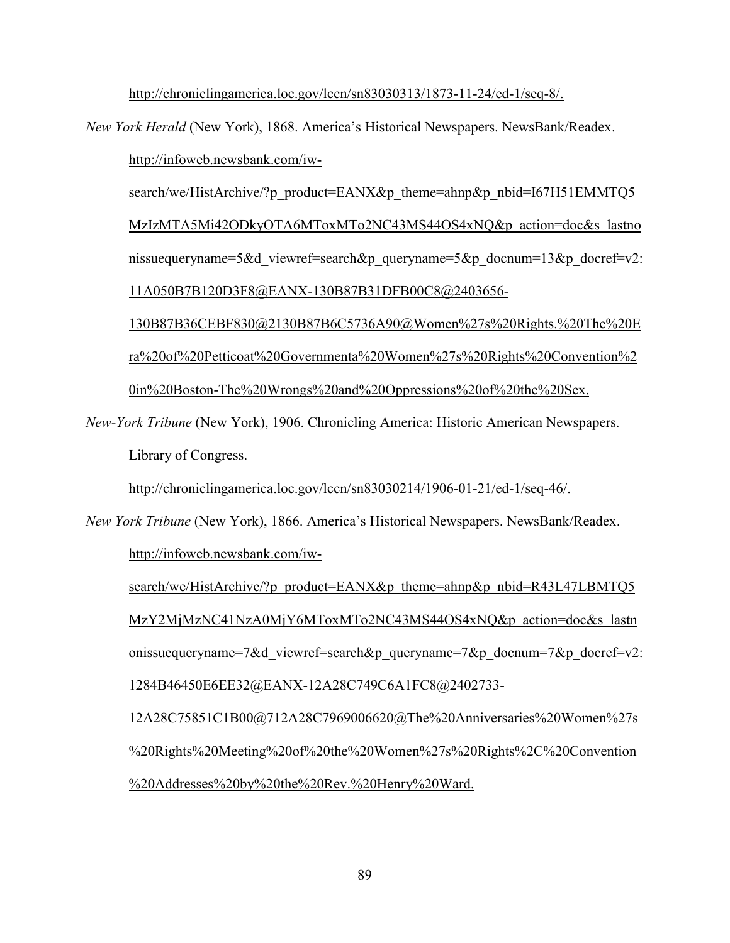http://chroniclingamerica.loc.gov/lccn/sn83030313/1873-11-24/ed-1/seq-8/.

*New York Herald* (New York), 1868. America's Historical Newspapers. NewsBank/Readex.

http://infoweb.newsbank.com/iw-

search/we/HistArchive/?p\_product=EANX&p\_theme=ahnp&p\_nbid=I67H51EMMTQ5 MzIzMTA5Mi42ODkyOTA6MToxMTo2NC43MS44OS4xNQ&p\_action=doc&s\_lastno nissuequeryname=5&d\_viewref=search&p\_queryname=5&p\_docnum=13&p\_docref=v2: 11A050B7B120D3F8@EANX-130B87B31DFB00C8@2403656-

130B87B36CEBF830@2130B87B6C5736A90@Women%27s%20Rights.%20The%20E ra%20of%20Petticoat%20Governmenta%20Women%27s%20Rights%20Convention%2 0in%20Boston-The%20Wrongs%20and%20Oppressions%20of%20the%20Sex.

*New-York Tribune* (New York), 1906. Chronicling America: Historic American Newspapers. Library of Congress.

http://chroniclingamerica.loc.gov/lccn/sn83030214/1906-01-21/ed-1/seq-46/.

*New York Tribune* (New York), 1866. America's Historical Newspapers. NewsBank/Readex. http://infoweb.newsbank.com/iw-

search/we/HistArchive/?p\_product=EANX&p\_theme=ahnp&p\_nbid=R43L47LBMTQ5 MzY2MjMzNC41NzA0MjY6MToxMTo2NC43MS44OS4xNQ&p\_action=doc&s\_lastn onissuequeryname=7&d\_viewref=search&p\_queryname=7&p\_docnum=7&p\_docref=v2: 1284B46450E6EE32@EANX-12A28C749C6A1FC8@2402733-

 12A28C75851C1B00@712A28C7969006620@The%20Anniversaries%20Women%27s %20Rights%20Meeting%20of%20the%20Women%27s%20Rights%2C%20Convention %20Addresses%20by%20the%20Rev.%20Henry%20Ward.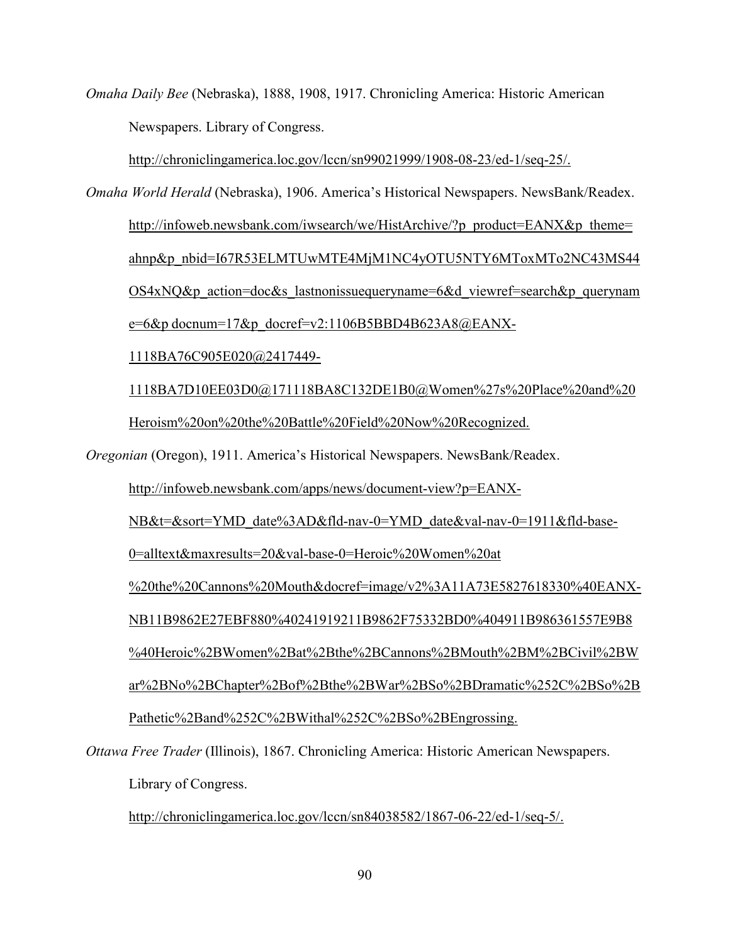*Omaha Daily Bee* (Nebraska), 1888, 1908, 1917. Chronicling America: Historic American Newspapers. Library of Congress.

http://chroniclingamerica.loc.gov/lccn/sn99021999/1908-08-23/ed-1/seq-25/.

*Omaha World Herald* (Nebraska), 1906. America's Historical Newspapers. NewsBank/Readex. http://infoweb.newsbank.com/iwsearch/we/HistArchive/?p\_product=EANX&p\_theme= ahnp&p\_nbid=I67R53ELMTUwMTE4MjM1NC4yOTU5NTY6MToxMTo2NC43MS44 OS4xNQ&p\_action=doc&s\_lastnonissuequeryname=6&d\_viewref=search&p\_querynam  $e=6&p$  docnum=17 $&p$  docref=v2:1106B5BBD4B623A8@EANX-1118BA76C905E020@2417449-

 1118BA7D10EE03D0@171118BA8C132DE1B0@Women%27s%20Place%20and%20 Heroism%20on%20the%20Battle%20Field%20Now%20Recognized.

*Oregonian* (Oregon), 1911. America's Historical Newspapers. NewsBank/Readex.

http://infoweb.newsbank.com/apps/news/document-view?p=EANX-

NB&t=&sort=YMD\_date%3AD&fld-nav-0=YMD\_date&val-nav-0=1911&fld-base-

0=alltext&maxresults=20&val-base-0=Heroic%20Women%20at

%20the%20Cannons%20Mouth&docref=image/v2%3A11A73E5827618330%40EANX-

NB11B9862E27EBF880%40241919211B9862F75332BD0%404911B986361557E9B8

%40Heroic%2BWomen%2Bat%2Bthe%2BCannons%2BMouth%2BM%2BCivil%2BW

ar%2BNo%2BChapter%2Bof%2Bthe%2BWar%2BSo%2BDramatic%252C%2BSo%2B

Pathetic%2Band%252C%2BWithal%252C%2BSo%2BEngrossing.

*Ottawa Free Trader* (Illinois), 1867. Chronicling America: Historic American Newspapers. Library of Congress.

http://chroniclingamerica.loc.gov/lccn/sn84038582/1867-06-22/ed-1/seq-5/.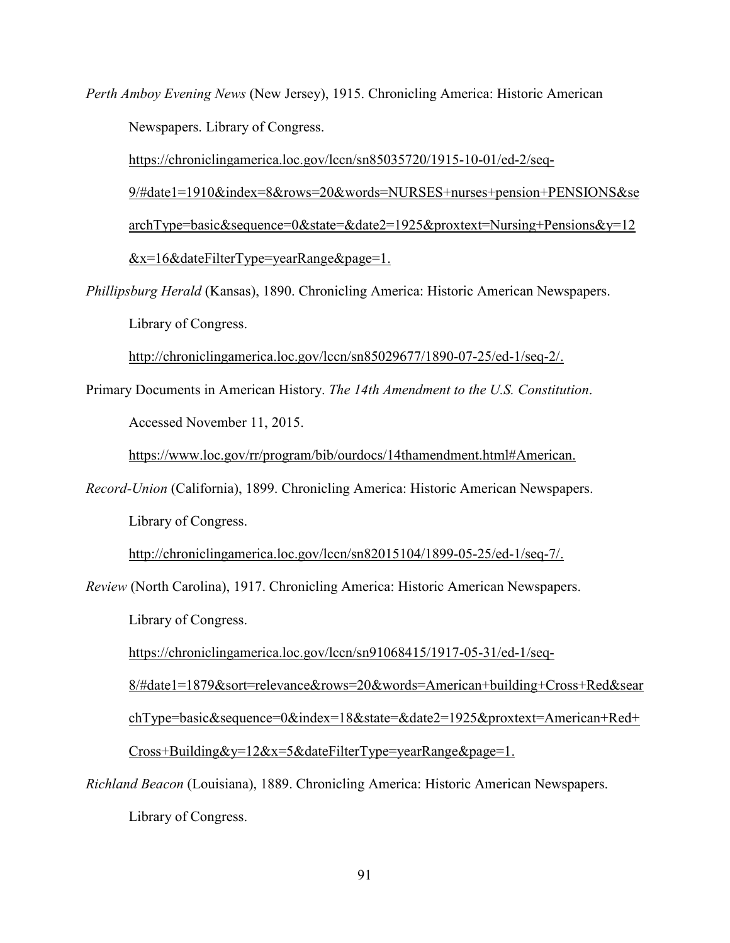*Perth Amboy Evening News* (New Jersey), 1915. Chronicling America: Historic American Newspapers. Library of Congress.

 https://chroniclingamerica.loc.gov/lccn/sn85035720/1915-10-01/ed-2/seq- 9/#date1=1910&index=8&rows=20&words=NURSES+nurses+pension+PENSIONS&se archType=basic&sequence=0&state=&date2=1925&proxtext=Nursing+Pensions&y=12 &x=16&dateFilterType=yearRange&page=1.

*Phillipsburg Herald* (Kansas), 1890. Chronicling America: Historic American Newspapers. Library of Congress.

http://chroniclingamerica.loc.gov/lccn/sn85029677/1890-07-25/ed-1/seq-2/.

Primary Documents in American History. *The 14th Amendment to the U.S. Constitution*. Accessed November 11, 2015.

https://www.loc.gov/rr/program/bib/ourdocs/14thamendment.html#American.

*Record-Union* (California), 1899. Chronicling America: Historic American Newspapers. Library of Congress.

http://chroniclingamerica.loc.gov/lccn/sn82015104/1899-05-25/ed-1/seq-7/.

*Review* (North Carolina), 1917. Chronicling America: Historic American Newspapers. Library of Congress.

https://chroniclingamerica.loc.gov/lccn/sn91068415/1917-05-31/ed-1/seq-

8/#date1=1879&sort=relevance&rows=20&words=American+building+Cross+Red&sear

chType=basic&sequence=0&index=18&state=&date2=1925&proxtext=American+Red+

Cross+Building&y=12&x=5&dateFilterType=yearRange&page=1.

*Richland Beacon* (Louisiana), 1889. Chronicling America: Historic American Newspapers.

Library of Congress.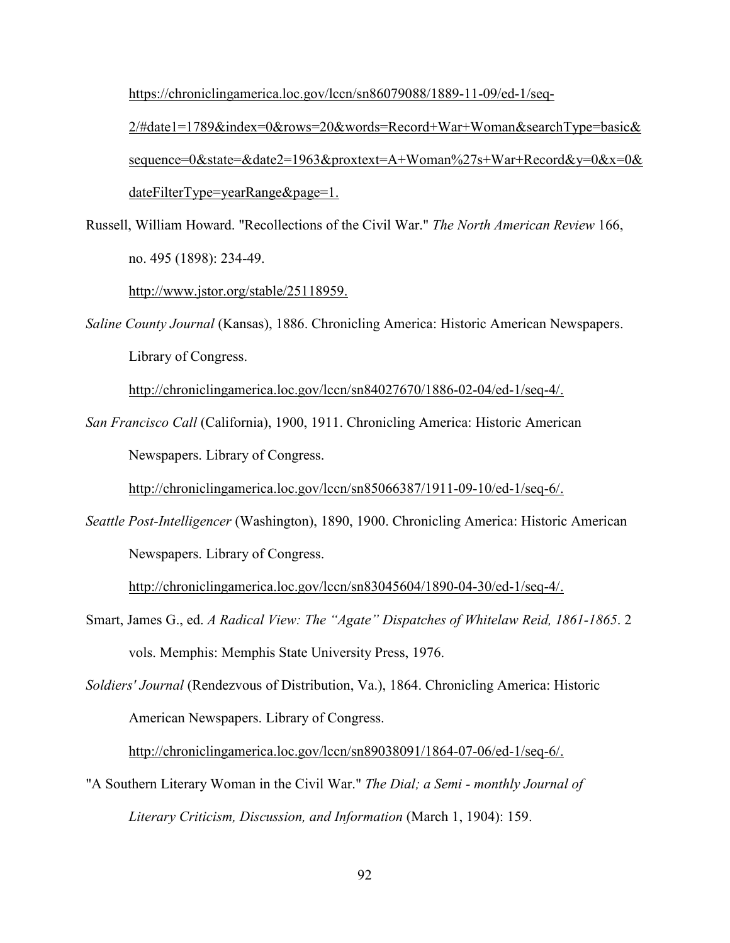https://chroniclingamerica.loc.gov/lccn/sn86079088/1889-11-09/ed-1/seq-

 2/#date1=1789&index=0&rows=20&words=Record+War+Woman&searchType=basic& sequence=0&state=&date2=1963&proxtext=A+Woman%27s+War+Record&y=0&x=0& dateFilterType=yearRange&page=1.

Russell, William Howard. "Recollections of the Civil War." *The North American Review* 166, no. 495 (1898): 234-49.

http://www.jstor.org/stable/25118959.

*Saline County Journal* (Kansas), 1886. Chronicling America: Historic American Newspapers. Library of Congress.

http://chroniclingamerica.loc.gov/lccn/sn84027670/1886-02-04/ed-1/seq-4/.

*San Francisco Call* (California), 1900, 1911. Chronicling America: Historic American Newspapers. Library of Congress.

http://chroniclingamerica.loc.gov/lccn/sn85066387/1911-09-10/ed-1/seq-6/.

*Seattle Post-Intelligencer* (Washington), 1890, 1900. Chronicling America: Historic American Newspapers. Library of Congress.

http://chroniclingamerica.loc.gov/lccn/sn83045604/1890-04-30/ed-1/seq-4/.

- Smart, James G., ed. *A Radical View: The "Agate" Dispatches of Whitelaw Reid, 1861-1865*. 2 vols. Memphis: Memphis State University Press, 1976.
- *Soldiers' Journal* (Rendezvous of Distribution, Va.), 1864. Chronicling America: Historic American Newspapers. Library of Congress.

http://chroniclingamerica.loc.gov/lccn/sn89038091/1864-07-06/ed-1/seq-6/.

"A Southern Literary Woman in the Civil War." *The Dial; a Semi - monthly Journal of Literary Criticism, Discussion, and Information* (March 1, 1904): 159.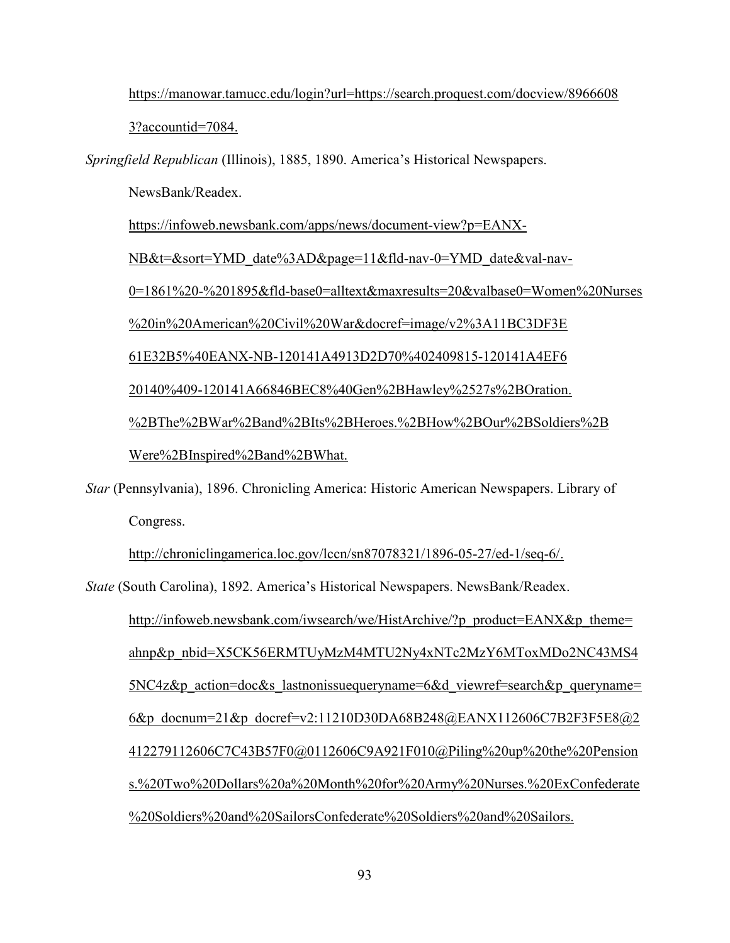https://manowar.tamucc.edu/login?url=https://search.proquest.com/docview/8966608

3?accountid=7084.

*Springfield Republican* (Illinois), 1885, 1890. America's Historical Newspapers.

NewsBank/Readex.

https://infoweb.newsbank.com/apps/news/document-view?p=EANX-

NB&t=&sort=YMD\_date%3AD&page=11&fld-nav-0=YMD\_date&val-nav-

0=1861%20-%201895&fld-base0=alltext&maxresults=20&valbase0=Women%20Nurses

%20in%20American%20Civil%20War&docref=image/v2%3A11BC3DF3E

61E32B5%40EANX-NB-120141A4913D2D70%402409815-120141A4EF6

20140%409-120141A66846BEC8%40Gen%2BHawley%2527s%2BOration.

%2BThe%2BWar%2Band%2BIts%2BHeroes.%2BHow%2BOur%2BSoldiers%2B

Were%2BInspired%2Band%2BWhat.

*Star* (Pennsylvania), 1896. Chronicling America: Historic American Newspapers. Library of Congress.

http://chroniclingamerica.loc.gov/lccn/sn87078321/1896-05-27/ed-1/seq-6/.

*State* (South Carolina), 1892. America's Historical Newspapers. NewsBank/Readex.

http://infoweb.newsbank.com/iwsearch/we/HistArchive/?p\_product=EANX&p\_theme= ahnp&p\_nbid=X5CK56ERMTUyMzM4MTU2Ny4xNTc2MzY6MToxMDo2NC43MS4 5NC4z&p\_action=doc&s\_lastnonissuequeryname=6&d\_viewref=search&p\_queryname= 6&p\_docnum=21&p\_docref=v2:11210D30DA68B248@EANX112606C7B2F3F5E8@2 412279112606C7C43B57F0@0112606C9A921F010@Piling%20up%20the%20Pension s.%20Two%20Dollars%20a%20Month%20for%20Army%20Nurses.%20ExConfederate %20Soldiers%20and%20SailorsConfederate%20Soldiers%20and%20Sailors.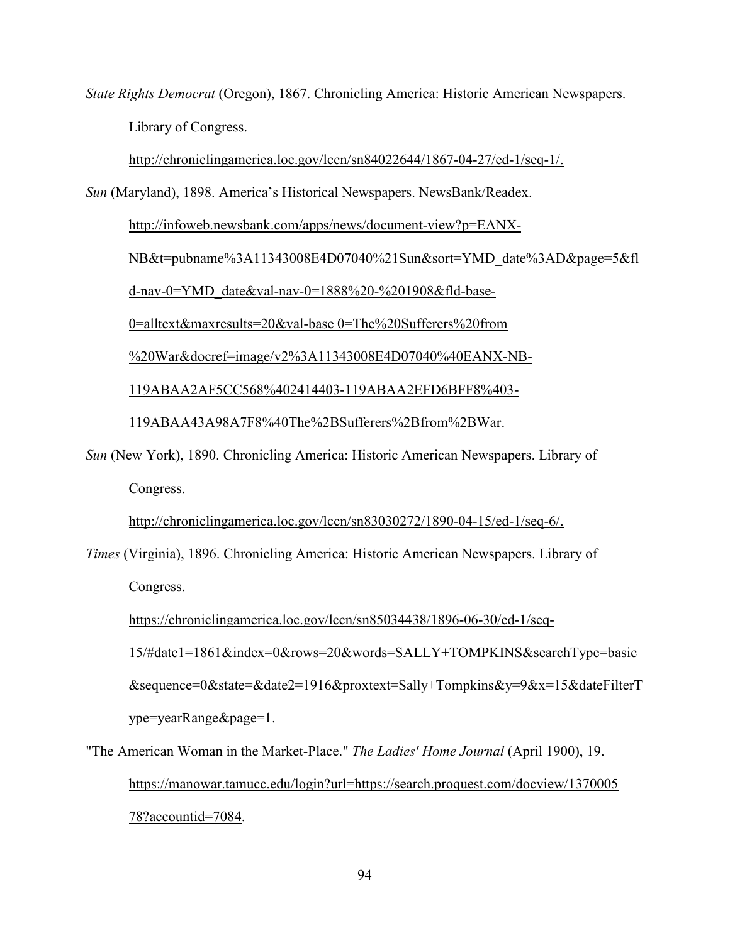*State Rights Democrat* (Oregon), 1867. Chronicling America: Historic American Newspapers. Library of Congress.

http://chroniclingamerica.loc.gov/lccn/sn84022644/1867-04-27/ed-1/seq-1/.

*Sun* (Maryland), 1898. America's Historical Newspapers. NewsBank/Readex.

http://infoweb.newsbank.com/apps/news/document-view?p=EANX-

NB&t=pubname%3A11343008E4D07040%21Sun&sort=YMD\_date%3AD&page=5&fl

d-nav-0=YMD\_date&val-nav-0=1888%20-%201908&fld-base-

0=alltext&maxresults=20&val-base 0=The%20Sufferers%20from

%20War&docref=image/v2%3A11343008E4D07040%40EANX-NB-

119ABAA2AF5CC568%402414403-119ABAA2EFD6BFF8%403-

119ABAA43A98A7F8%40The%2BSufferers%2Bfrom%2BWar.

*Sun* (New York), 1890. Chronicling America: Historic American Newspapers. Library of Congress.

http://chroniclingamerica.loc.gov/lccn/sn83030272/1890-04-15/ed-1/seq-6/.

*Times* (Virginia), 1896. Chronicling America: Historic American Newspapers. Library of Congress.

https://chroniclingamerica.loc.gov/lccn/sn85034438/1896-06-30/ed-1/seq-

15/#date1=1861&index=0&rows=20&words=SALLY+TOMPKINS&searchType=basic

 &sequence=0&state=&date2=1916&proxtext=Sally+Tompkins&y=9&x=15&dateFilterT ype=yearRange&page=1.

"The American Woman in the Market-Place." *The Ladies' Home Journal* (April 1900), 19. https://manowar.tamucc.edu/login?url=https://search.proquest.com/docview/1370005 78?accountid=7084.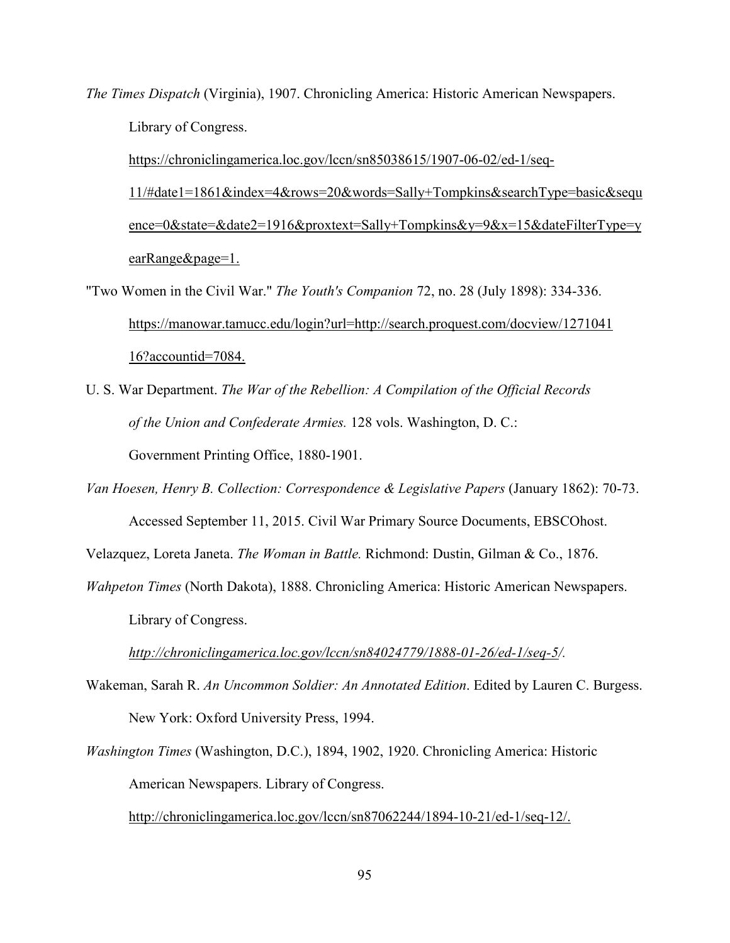*The Times Dispatch* (Virginia), 1907. Chronicling America: Historic American Newspapers. Library of Congress.

 https://chroniclingamerica.loc.gov/lccn/sn85038615/1907-06-02/ed-1/seq- 11/#date1=1861&index=4&rows=20&words=Sally+Tompkins&searchType=basic&sequ ence=0&state=&date2=1916&proxtext=Sally+Tompkins&y=9&x=15&dateFilterType=y earRange&page=1.

"Two Women in the Civil War." *The Youth's Companion* 72, no. 28 (July 1898): 334-336. https://manowar.tamucc.edu/login?url=http://search.proquest.com/docview/1271041 16?accountid=7084.

U. S. War Department. *The War of the Rebellion: A Compilation of the Official Records of the Union and Confederate Armies.* 128 vols. Washington, D. C.: Government Printing Office, 1880-1901.

*Van Hoesen, Henry B. Collection: Correspondence & Legislative Papers* (January 1862): 70-73. Accessed September 11, 2015. Civil War Primary Source Documents, EBSCOhost.

Velazquez, Loreta Janeta. *The Woman in Battle.* Richmond: Dustin, Gilman & Co., 1876.

*Wahpeton Times* (North Dakota), 1888. Chronicling America: Historic American Newspapers. Library of Congress.

*http://chroniclingamerica.loc.gov/lccn/sn84024779/1888-01-26/ed-1/seq-5/.*

- Wakeman, Sarah R. *An Uncommon Soldier: An Annotated Edition*. Edited by Lauren C. Burgess. New York: Oxford University Press, 1994.
- *Washington Times* (Washington, D.C.), 1894, 1902, 1920. Chronicling America: Historic American Newspapers. Library of Congress.

http://chroniclingamerica.loc.gov/lccn/sn87062244/1894-10-21/ed-1/seq-12/.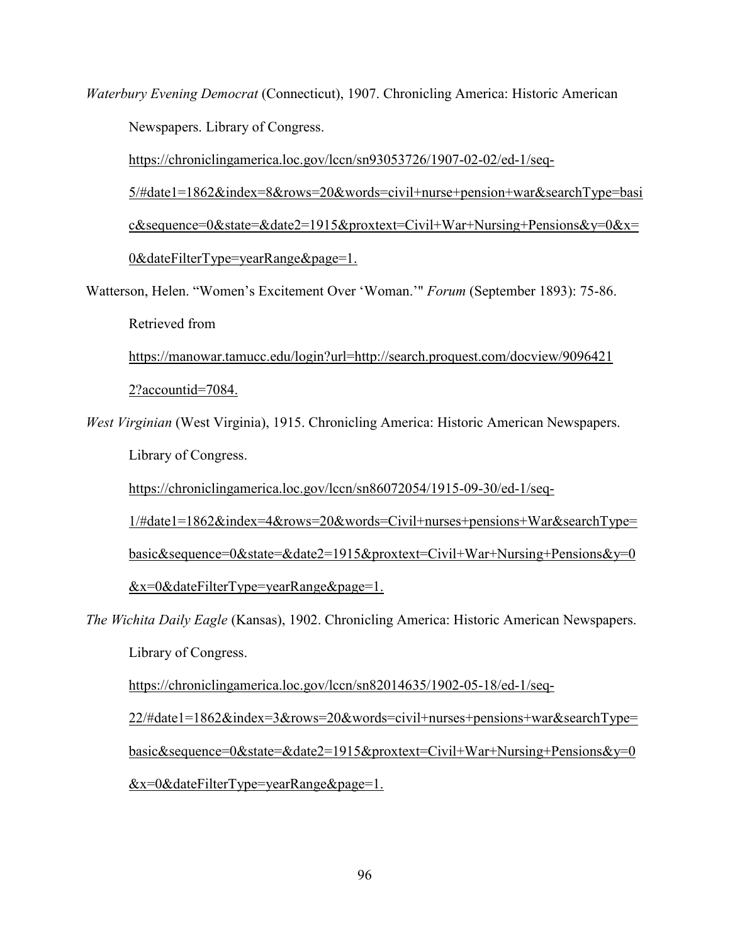*Waterbury Evening Democrat* (Connecticut), 1907. Chronicling America: Historic American Newspapers. Library of Congress.

https://chroniclingamerica.loc.gov/lccn/sn93053726/1907-02-02/ed-1/seq-

 5/#date1=1862&index=8&rows=20&words=civil+nurse+pension+war&searchType=basi c&sequence=0&state=&date2=1915&proxtext=Civil+War+Nursing+Pensions&y=0&x= 0&dateFilterType=yearRange&page=1.

Watterson, Helen. "Women's Excitement Over 'Woman.'" *Forum* (September 1893): 75-86. Retrieved from

 https://manowar.tamucc.edu/login?url=http://search.proquest.com/docview/9096421 2?accountid=7084.

*West Virginian* (West Virginia), 1915. Chronicling America: Historic American Newspapers.

Library of Congress.

https://chroniclingamerica.loc.gov/lccn/sn86072054/1915-09-30/ed-1/seq-

1/#date1=1862&index=4&rows=20&words=Civil+nurses+pensions+War&searchType=

basic&sequence=0&state=&date2=1915&proxtext=Civil+War+Nursing+Pensions&y=0

&x=0&dateFilterType=yearRange&page=1.

*The Wichita Daily Eagle* (Kansas), 1902. Chronicling America: Historic American Newspapers.

Library of Congress.

https://chroniclingamerica.loc.gov/lccn/sn82014635/1902-05-18/ed-1/seq-

22/#date1=1862&index=3&rows=20&words=civil+nurses+pensions+war&searchType=

basic&sequence=0&state=&date2=1915&proxtext=Civil+War+Nursing+Pensions&y=0

&x=0&dateFilterType=yearRange&page=1.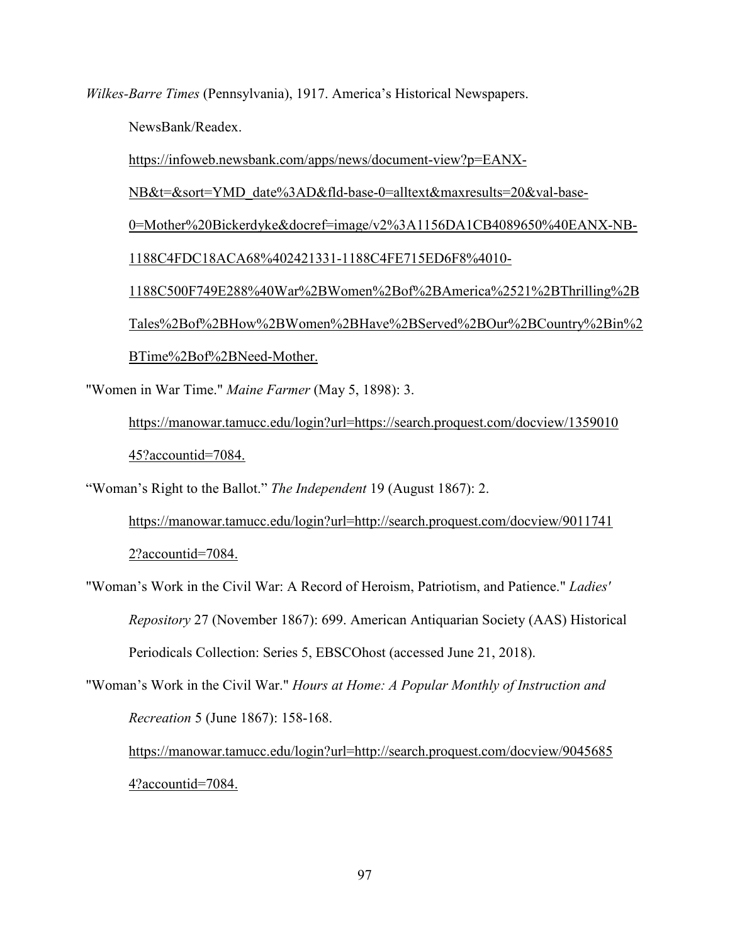*Wilkes-Barre Times* (Pennsylvania), 1917. America's Historical Newspapers.

NewsBank/Readex.

https://infoweb.newsbank.com/apps/news/document-view?p=EANX-

NB&t=&sort=YMD\_date%3AD&fld-base-0=alltext&maxresults=20&val-base-

0=Mother%20Bickerdyke&docref=image/v2%3A1156DA1CB4089650%40EANX-NB-

1188C4FDC18ACA68%402421331-1188C4FE715ED6F8%4010-

 1188C500F749E288%40War%2BWomen%2Bof%2BAmerica%2521%2BThrilling%2B Tales%2Bof%2BHow%2BWomen%2BHave%2BServed%2BOur%2BCountry%2Bin%2 BTime%2Bof%2BNeed-Mother.

"Women in War Time." *Maine Farmer* (May 5, 1898): 3.

 https://manowar.tamucc.edu/login?url=https://search.proquest.com/docview/1359010 45?accountid=7084.

"Woman's Right to the Ballot." *The Independent* 19 (August 1867): 2.

 https://manowar.tamucc.edu/login?url=http://search.proquest.com/docview/9011741 2?accountid=7084.

"Woman's Work in the Civil War: A Record of Heroism, Patriotism, and Patience." *Ladies' Repository* 27 (November 1867): 699. American Antiquarian Society (AAS) Historical Periodicals Collection: Series 5, EBSCOhost (accessed June 21, 2018).

"Woman's Work in the Civil War." *Hours at Home: A Popular Monthly of Instruction and Recreation* 5 (June 1867): 158-168.

 https://manowar.tamucc.edu/login?url=http://search.proquest.com/docview/9045685 4?accountid=7084.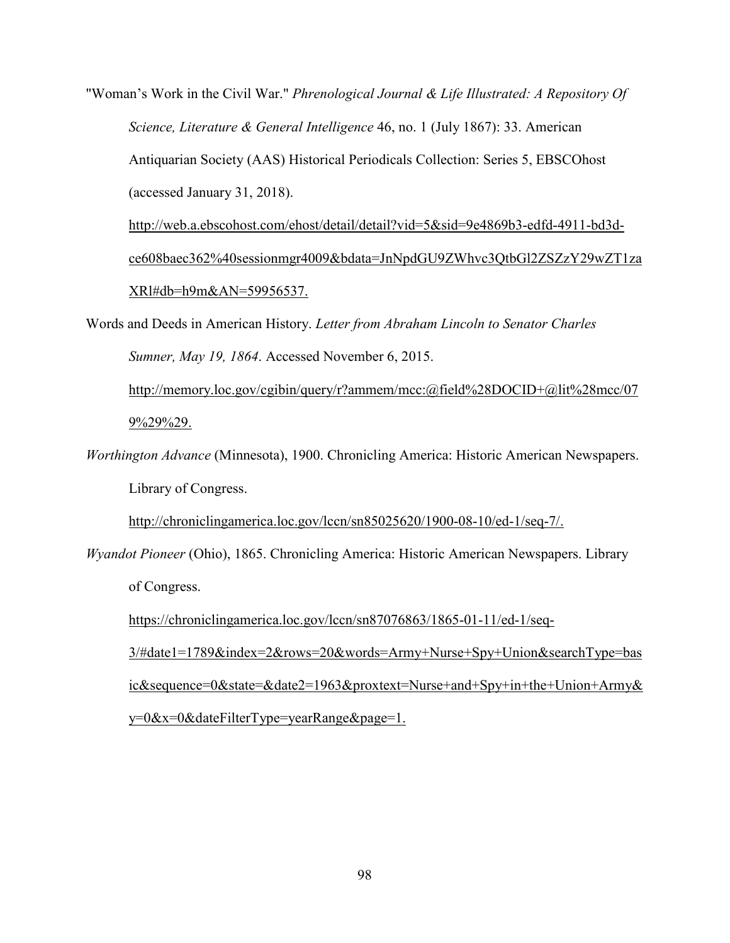"Woman's Work in the Civil War." *Phrenological Journal & Life Illustrated: A Repository Of Science, Literature & General Intelligence* 46, no. 1 (July 1867): 33. American Antiquarian Society (AAS) Historical Periodicals Collection: Series 5, EBSCOhost (accessed January 31, 2018).

 http://web.a.ebscohost.com/ehost/detail/detail?vid=5&sid=9e4869b3-edfd-4911-bd3d ce608baec362%40sessionmgr4009&bdata=JnNpdGU9ZWhvc3QtbGl2ZSZzY29wZT1za XRl#db=h9m&AN=59956537.

Words and Deeds in American History. *Letter from Abraham Lincoln to Senator Charles Sumner, May 19, 1864*. Accessed November 6, 2015.

 http://memory.loc.gov/cgibin/query/r?ammem/mcc:@field%28DOCID+@lit%28mcc/07 9%29%29.

*Worthington Advance* (Minnesota), 1900. Chronicling America: Historic American Newspapers. Library of Congress.

http://chroniclingamerica.loc.gov/lccn/sn85025620/1900-08-10/ed-1/seq-7/.

*Wyandot Pioneer* (Ohio), 1865. Chronicling America: Historic American Newspapers. Library of Congress.

https://chroniclingamerica.loc.gov/lccn/sn87076863/1865-01-11/ed-1/seq-

 3/#date1=1789&index=2&rows=20&words=Army+Nurse+Spy+Union&searchType=bas ic&sequence=0&state=&date2=1963&proxtext=Nurse+and+Spy+in+the+Union+Army& y=0&x=0&dateFilterType=yearRange&page=1.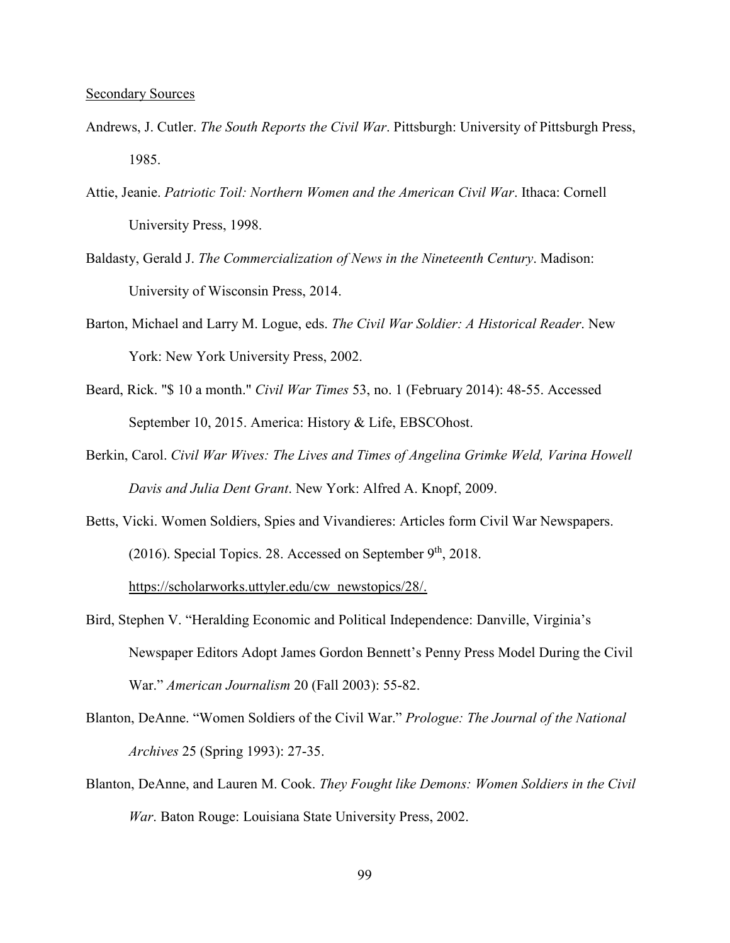- Andrews, J. Cutler. *The South Reports the Civil War*. Pittsburgh: University of Pittsburgh Press, 1985.
- Attie, Jeanie. *Patriotic Toil: Northern Women and the American Civil War*. Ithaca: Cornell University Press, 1998.
- Baldasty, Gerald J. *The Commercialization of News in the Nineteenth Century*. Madison: University of Wisconsin Press, 2014.
- Barton, Michael and Larry M. Logue, eds. *The Civil War Soldier: A Historical Reader*. New York: New York University Press, 2002.
- Beard, Rick. "\$ 10 a month." *Civil War Times* 53, no. 1 (February 2014): 48-55. Accessed September 10, 2015. America: History & Life, EBSCOhost.
- Berkin, Carol. *Civil War Wives: The Lives and Times of Angelina Grimke Weld, Varina Howell Davis and Julia Dent Grant*. New York: Alfred A. Knopf, 2009.
- Betts, Vicki. Women Soldiers, Spies and Vivandieres: Articles form Civil War Newspapers. (2016). Special Topics. 28. Accessed on September  $9<sup>th</sup>$ , 2018. https://scholarworks.uttyler.edu/cw\_newstopics/28/.
- Bird, Stephen V. "Heralding Economic and Political Independence: Danville, Virginia's Newspaper Editors Adopt James Gordon Bennett's Penny Press Model During the Civil War." *American Journalism* 20 (Fall 2003): 55-82.
- Blanton, DeAnne. "Women Soldiers of the Civil War." *Prologue: The Journal of the National Archives* 25 (Spring 1993): 27-35.
- Blanton, DeAnne, and Lauren M. Cook. *They Fought like Demons: Women Soldiers in the Civil War*. Baton Rouge: Louisiana State University Press, 2002.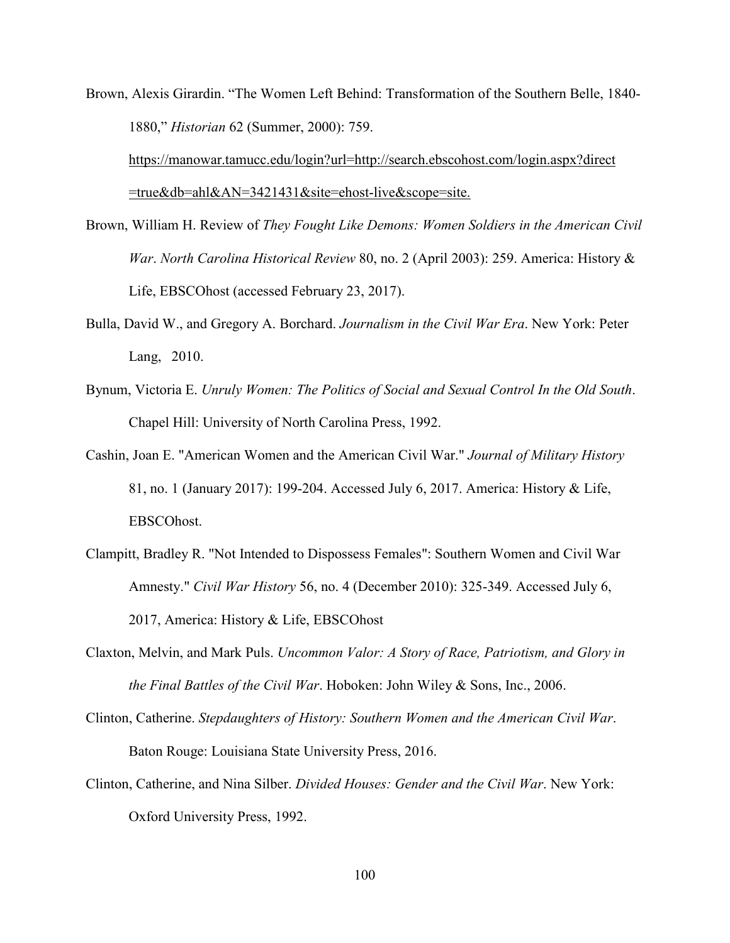Brown, Alexis Girardin. "The Women Left Behind: Transformation of the Southern Belle, 1840- 1880," *Historian* 62 (Summer, 2000): 759.

 https://manowar.tamucc.edu/login?url=http://search.ebscohost.com/login.aspx?direct =true&db=ahl&AN=3421431&site=ehost-live&scope=site.

- Brown, William H. Review of *They Fought Like Demons: Women Soldiers in the American Civil War*. *North Carolina Historical Review* 80, no. 2 (April 2003): 259. America: History & Life, EBSCOhost (accessed February 23, 2017).
- Bulla, David W., and Gregory A. Borchard. *Journalism in the Civil War Era*. New York: Peter Lang, 2010.
- Bynum, Victoria E. *Unruly Women: The Politics of Social and Sexual Control In the Old South*. Chapel Hill: University of North Carolina Press, 1992.
- Cashin, Joan E. "American Women and the American Civil War." *Journal of Military History* 81, no. 1 (January 2017): 199-204. Accessed July 6, 2017. America: History & Life, EBSCOhost.
- Clampitt, Bradley R. "Not Intended to Dispossess Females": Southern Women and Civil War Amnesty." *Civil War History* 56, no. 4 (December 2010): 325-349. Accessed July 6, 2017, America: History & Life, EBSCOhost
- Claxton, Melvin, and Mark Puls. *Uncommon Valor: A Story of Race, Patriotism, and Glory in the Final Battles of the Civil War*. Hoboken: John Wiley & Sons, Inc., 2006.
- Clinton, Catherine. *Stepdaughters of History: Southern Women and the American Civil War*. Baton Rouge: Louisiana State University Press, 2016.
- Clinton, Catherine, and Nina Silber. *Divided Houses: Gender and the Civil War*. New York: Oxford University Press, 1992.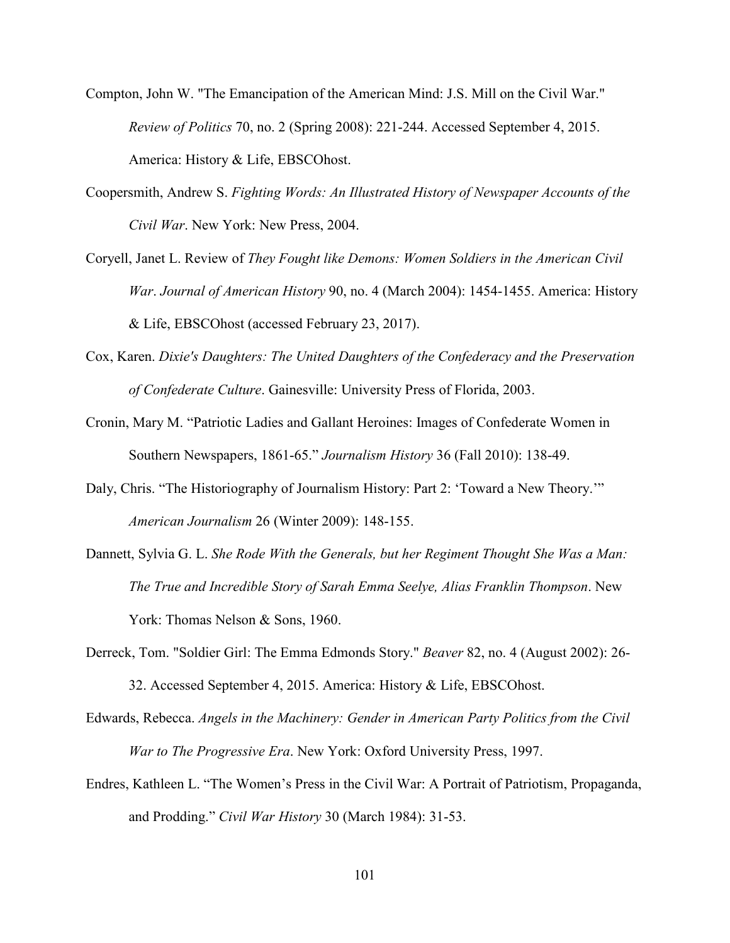- Compton, John W. "The Emancipation of the American Mind: J.S. Mill on the Civil War." *Review of Politics* 70, no. 2 (Spring 2008): 221-244. Accessed September 4, 2015. America: History & Life, EBSCOhost.
- Coopersmith, Andrew S. *Fighting Words: An Illustrated History of Newspaper Accounts of the Civil War*. New York: New Press, 2004.
- Coryell, Janet L. Review of *They Fought like Demons: Women Soldiers in the American Civil War*. *Journal of American History* 90, no. 4 (March 2004): 1454-1455. America: History & Life, EBSCOhost (accessed February 23, 2017).
- Cox, Karen. *Dixie's Daughters: The United Daughters of the Confederacy and the Preservation of Confederate Culture*. Gainesville: University Press of Florida, 2003.
- Cronin, Mary M. "Patriotic Ladies and Gallant Heroines: Images of Confederate Women in Southern Newspapers, 1861-65." *Journalism History* 36 (Fall 2010): 138-49.
- Daly, Chris. "The Historiography of Journalism History: Part 2: 'Toward a New Theory.'" *American Journalism* 26 (Winter 2009): 148-155.
- Dannett, Sylvia G. L. *She Rode With the Generals, but her Regiment Thought She Was a Man: The True and Incredible Story of Sarah Emma Seelye, Alias Franklin Thompson*. New York: Thomas Nelson & Sons, 1960.
- Derreck, Tom. "Soldier Girl: The Emma Edmonds Story." *Beaver* 82, no. 4 (August 2002): 26- 32. Accessed September 4, 2015. America: History & Life, EBSCOhost.
- Edwards, Rebecca. *Angels in the Machinery: Gender in American Party Politics from the Civil War to The Progressive Era*. New York: Oxford University Press, 1997.
- Endres, Kathleen L. "The Women's Press in the Civil War: A Portrait of Patriotism, Propaganda, and Prodding." *Civil War History* 30 (March 1984): 31-53.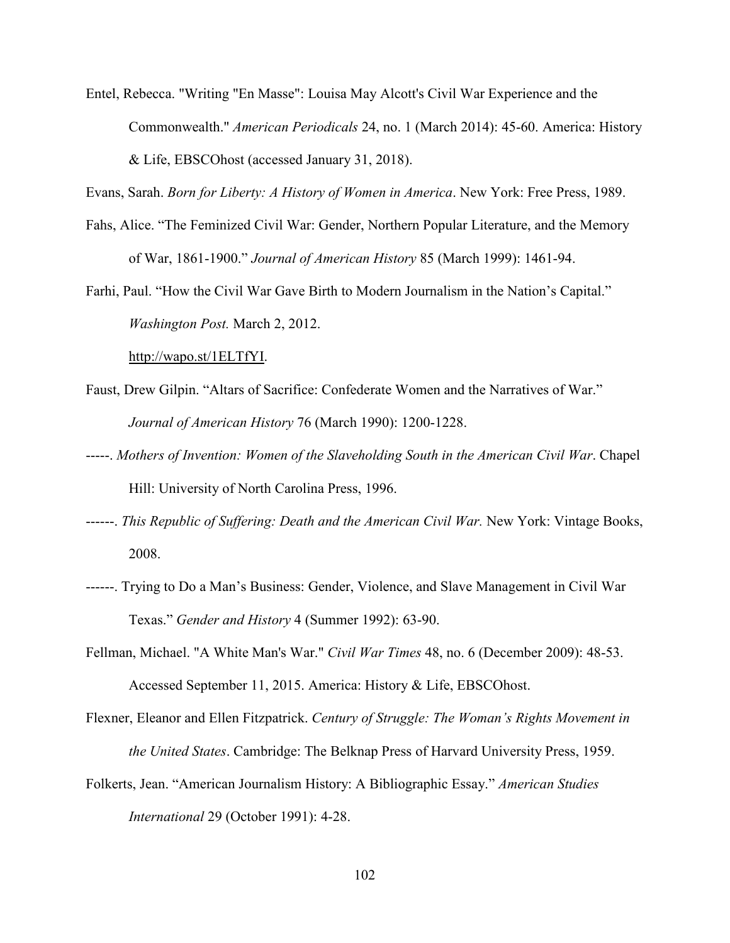Entel, Rebecca. "Writing "En Masse": Louisa May Alcott's Civil War Experience and the Commonwealth." *American Periodicals* 24, no. 1 (March 2014): 45-60. America: History & Life, EBSCOhost (accessed January 31, 2018).

Evans, Sarah. *Born for Liberty: A History of Women in America*. New York: Free Press, 1989.

- Fahs, Alice. "The Feminized Civil War: Gender, Northern Popular Literature, and the Memory of War, 1861-1900." *Journal of American History* 85 (March 1999): 1461-94.
- Farhi, Paul. "How the Civil War Gave Birth to Modern Journalism in the Nation's Capital." *Washington Post.* March 2, 2012.

http://wapo.st/1ELTfYI.

- Faust, Drew Gilpin. "Altars of Sacrifice: Confederate Women and the Narratives of War." *Journal of American History* 76 (March 1990): 1200-1228.
- -----. *Mothers of Invention: Women of the Slaveholding South in the American Civil War*. Chapel Hill: University of North Carolina Press, 1996.
- ------. *This Republic of Suffering: Death and the American Civil War.* New York: Vintage Books, 2008.
- ------. Trying to Do a Man's Business: Gender, Violence, and Slave Management in Civil War Texas." *Gender and History* 4 (Summer 1992): 63-90.
- Fellman, Michael. "A White Man's War." *Civil War Times* 48, no. 6 (December 2009): 48-53. Accessed September 11, 2015. America: History & Life, EBSCOhost.
- Flexner, Eleanor and Ellen Fitzpatrick. *Century of Struggle: The Woman's Rights Movement in the United States*. Cambridge: The Belknap Press of Harvard University Press, 1959.
- Folkerts, Jean. "American Journalism History: A Bibliographic Essay." *American Studies International* 29 (October 1991): 4-28.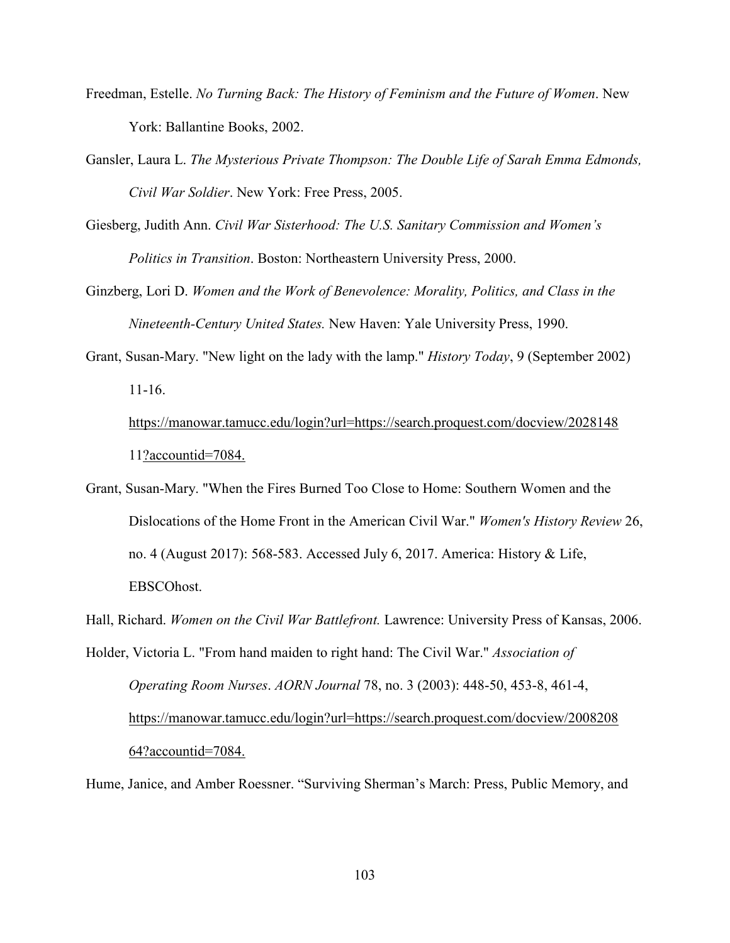- Freedman, Estelle. *No Turning Back: The History of Feminism and the Future of Women*. New York: Ballantine Books, 2002.
- Gansler, Laura L. *The Mysterious Private Thompson: The Double Life of Sarah Emma Edmonds, Civil War Soldier*. New York: Free Press, 2005.
- Giesberg, Judith Ann. *Civil War Sisterhood: The U.S. Sanitary Commission and Women's Politics in Transition*. Boston: Northeastern University Press, 2000.
- Ginzberg, Lori D. *Women and the Work of Benevolence: Morality, Politics, and Class in the Nineteenth-Century United States.* New Haven: Yale University Press, 1990.
- Grant, Susan-Mary. "New light on the lady with the lamp." *History Today*, 9 (September 2002) 11-16.

 https://manowar.tamucc.edu/login?url=https://search.proquest.com/docview/2028148 11?accountid=7084.

Grant, Susan-Mary. "When the Fires Burned Too Close to Home: Southern Women and the Dislocations of the Home Front in the American Civil War." *Women's History Review* 26, no. 4 (August 2017): 568-583. Accessed July 6, 2017. America: History & Life, EBSCOhost.

Hall, Richard. *Women on the Civil War Battlefront.* Lawrence: University Press of Kansas, 2006.

Holder, Victoria L. "From hand maiden to right hand: The Civil War." *Association of Operating Room Nurses*. *AORN Journal* 78, no. 3 (2003): 448-50, 453-8, 461-4, https://manowar.tamucc.edu/login?url=https://search.proquest.com/docview/2008208 64?accountid=7084.

Hume, Janice, and Amber Roessner. "Surviving Sherman's March: Press, Public Memory, and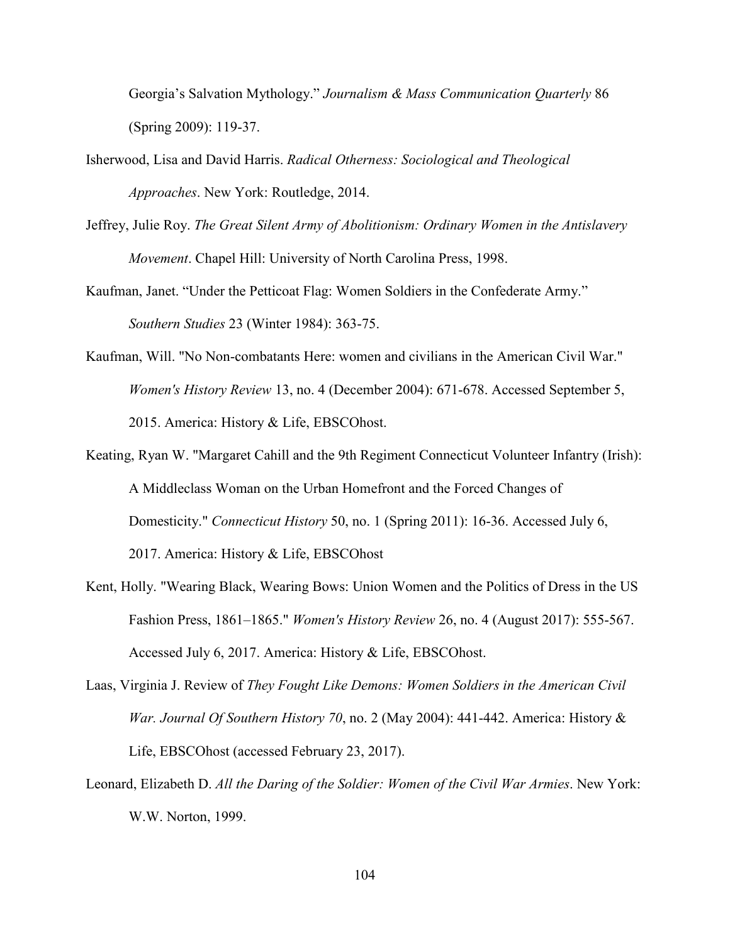Georgia's Salvation Mythology." *Journalism & Mass Communication Quarterly* 86 (Spring 2009): 119-37.

- Isherwood, Lisa and David Harris. *Radical Otherness: Sociological and Theological Approaches*. New York: Routledge, 2014.
- Jeffrey, Julie Roy. *The Great Silent Army of Abolitionism: Ordinary Women in the Antislavery Movement*. Chapel Hill: University of North Carolina Press, 1998.
- Kaufman, Janet. "Under the Petticoat Flag: Women Soldiers in the Confederate Army." *Southern Studies* 23 (Winter 1984): 363-75.
- Kaufman, Will. "No Non-combatants Here: women and civilians in the American Civil War." *Women's History Review* 13, no. 4 (December 2004): 671-678. Accessed September 5, 2015. America: History & Life, EBSCOhost.
- Keating, Ryan W. "Margaret Cahill and the 9th Regiment Connecticut Volunteer Infantry (Irish): A Middleclass Woman on the Urban Homefront and the Forced Changes of Domesticity." *Connecticut History* 50, no. 1 (Spring 2011): 16-36. Accessed July 6, 2017. America: History & Life, EBSCOhost
- Kent, Holly. "Wearing Black, Wearing Bows: Union Women and the Politics of Dress in the US Fashion Press, 1861–1865." *Women's History Review* 26, no. 4 (August 2017): 555-567. Accessed July 6, 2017. America: History & Life, EBSCOhost.
- Laas, Virginia J. Review of *They Fought Like Demons: Women Soldiers in the American Civil War. Journal Of Southern History 70*, no. 2 (May 2004): 441-442. America: History & Life, EBSCOhost (accessed February 23, 2017).
- Leonard, Elizabeth D. *All the Daring of the Soldier: Women of the Civil War Armies*. New York: W.W. Norton, 1999.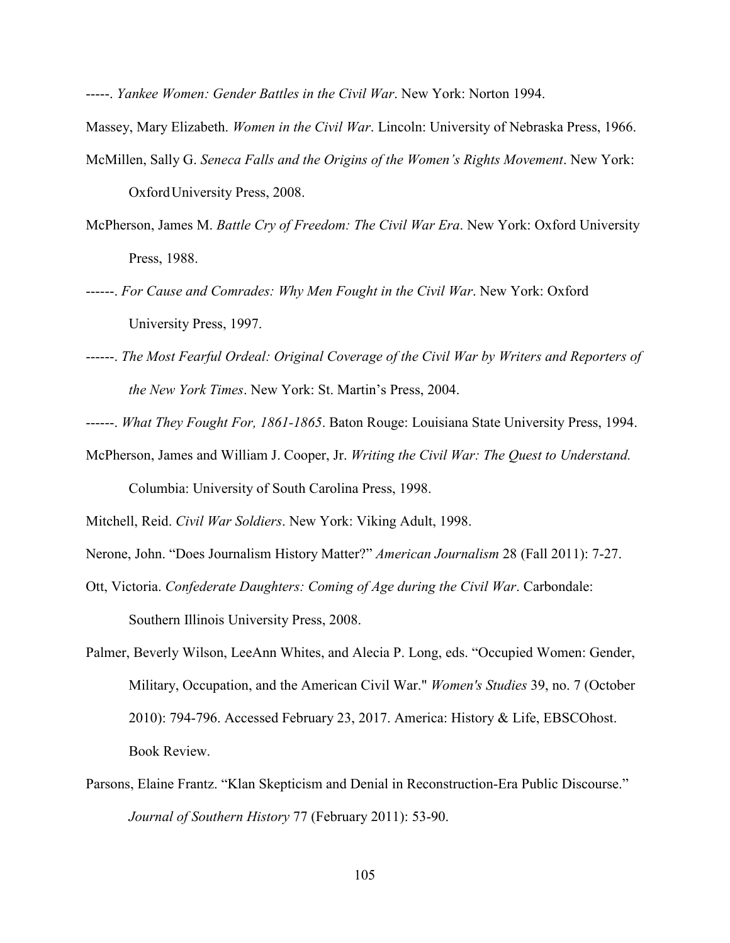-----. *Yankee Women: Gender Battles in the Civil War*. New York: Norton 1994.

Massey, Mary Elizabeth. *Women in the Civil War*. Lincoln: University of Nebraska Press, 1966.

- McMillen, Sally G. *Seneca Falls and the Origins of the Women's Rights Movement*. New York: Oxford University Press, 2008.
- McPherson, James M. *Battle Cry of Freedom: The Civil War Era*. New York: Oxford University Press, 1988.
- ------. *For Cause and Comrades: Why Men Fought in the Civil War*. New York: Oxford University Press, 1997.
- ------. *The Most Fearful Ordeal: Original Coverage of the Civil War by Writers and Reporters of the New York Times*. New York: St. Martin's Press, 2004.
- ------. *What They Fought For, 1861-1865*. Baton Rouge: Louisiana State University Press, 1994.
- McPherson, James and William J. Cooper, Jr. *Writing the Civil War: The Quest to Understand.* Columbia: University of South Carolina Press, 1998.
- Mitchell, Reid. *Civil War Soldiers*. New York: Viking Adult, 1998.
- Nerone, John. "Does Journalism History Matter?" *American Journalism* 28 (Fall 2011): 7-27.
- Ott, Victoria. *Confederate Daughters: Coming of Age during the Civil War*. Carbondale: Southern Illinois University Press, 2008.
- Palmer, Beverly Wilson, LeeAnn Whites, and Alecia P. Long, eds. "Occupied Women: Gender, Military, Occupation, and the American Civil War." *Women's Studies* 39, no. 7 (October 2010): 794-796. Accessed February 23, 2017. America: History & Life, EBSCOhost. Book Review.
- Parsons, Elaine Frantz. "Klan Skepticism and Denial in Reconstruction-Era Public Discourse." *Journal of Southern History* 77 (February 2011): 53-90.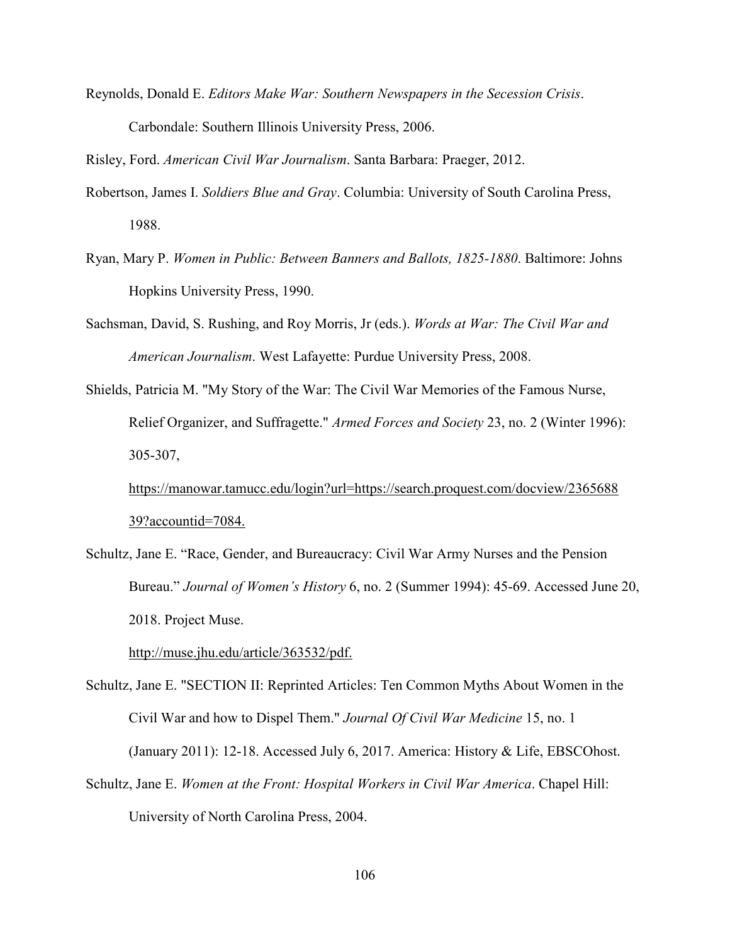Reynolds, Donald E. *Editors Make War: Southern Newspapers in the Secession Crisis*. Carbondale: Southern Illinois University Press, 2006.

Risley, Ford. *American Civil War Journalism*. Santa Barbara: Praeger, 2012.

- Robertson, James I. *Soldiers Blue and Gray*. Columbia: University of South Carolina Press, 1988.
- Ryan, Mary P. *Women in Public: Between Banners and Ballots, 1825-1880*. Baltimore: Johns Hopkins University Press, 1990.
- Sachsman, David, S. Rushing, and Roy Morris, Jr (eds.). *Words at War: The Civil War and American Journalism*. West Lafayette: Purdue University Press, 2008.
- Shields, Patricia M. "My Story of the War: The Civil War Memories of the Famous Nurse, Relief Organizer, and Suffragette." *Armed Forces and Society* 23, no. 2 (Winter 1996): 305-307,

 https://manowar.tamucc.edu/login?url=https://search.proquest.com/docview/2365688 39?accountid=7084.

Schultz, Jane E. "Race, Gender, and Bureaucracy: Civil War Army Nurses and the Pension Bureau." *Journal of Women's History* 6, no. 2 (Summer 1994): 45-69. Accessed June 20, 2018. Project Muse.

http://muse.jhu.edu/article/363532/pdf.

- Schultz, Jane E. "SECTION II: Reprinted Articles: Ten Common Myths About Women in the Civil War and how to Dispel Them." *Journal Of Civil War Medicine* 15, no. 1 (January 2011): 12-18. Accessed July 6, 2017. America: History & Life, EBSCOhost.
- Schultz, Jane E. *Women at the Front: Hospital Workers in Civil War America*. Chapel Hill: University of North Carolina Press, 2004.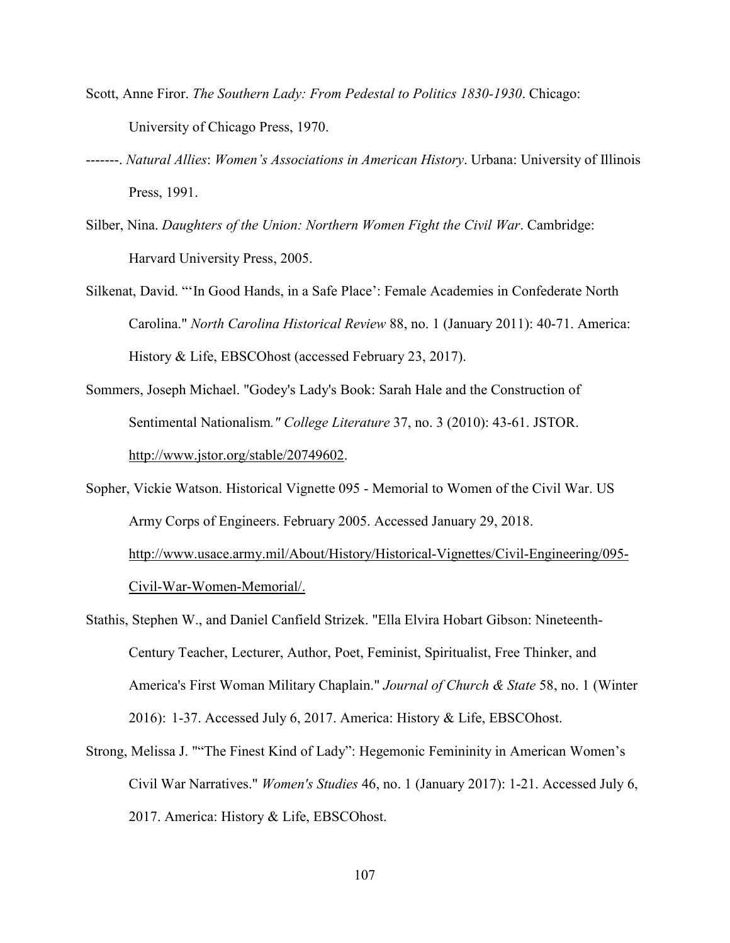- Scott, Anne Firor. *The Southern Lady: From Pedestal to Politics 1830-1930*. Chicago: University of Chicago Press, 1970.
- -------. *Natural Allies*: *Women's Associations in American History*. Urbana: University of Illinois Press, 1991.
- Silber, Nina. *Daughters of the Union: Northern Women Fight the Civil War*. Cambridge: Harvard University Press, 2005.
- Silkenat, David. "'In Good Hands, in a Safe Place': Female Academies in Confederate North Carolina." *North Carolina Historical Review* 88, no. 1 (January 2011): 40-71. America: History & Life, EBSCOhost (accessed February 23, 2017).
- Sommers, Joseph Michael. "Godey's Lady's Book: Sarah Hale and the Construction of Sentimental Nationalism*." College Literature* 37, no. 3 (2010): 43-61. JSTOR. http://www.jstor.org/stable/20749602.
- Sopher, Vickie Watson. Historical Vignette 095 Memorial to Women of the Civil War. US Army Corps of Engineers. February 2005. Accessed January 29, 2018. http://www.usace.army.mil/About/History/Historical-Vignettes/Civil-Engineering/095- Civil-War-Women-Memorial/.
- Stathis, Stephen W., and Daniel Canfield Strizek. "Ella Elvira Hobart Gibson: Nineteenth- Century Teacher, Lecturer, Author, Poet, Feminist, Spiritualist, Free Thinker, and America's First Woman Military Chaplain." *Journal of Church & State* 58, no. 1 (Winter 2016): 1-37. Accessed July 6, 2017. America: History & Life, EBSCOhost.
- Strong, Melissa J. ""The Finest Kind of Lady": Hegemonic Femininity in American Women's Civil War Narratives." *Women's Studies* 46, no. 1 (January 2017): 1-21. Accessed July 6, 2017. America: History & Life, EBSCOhost.